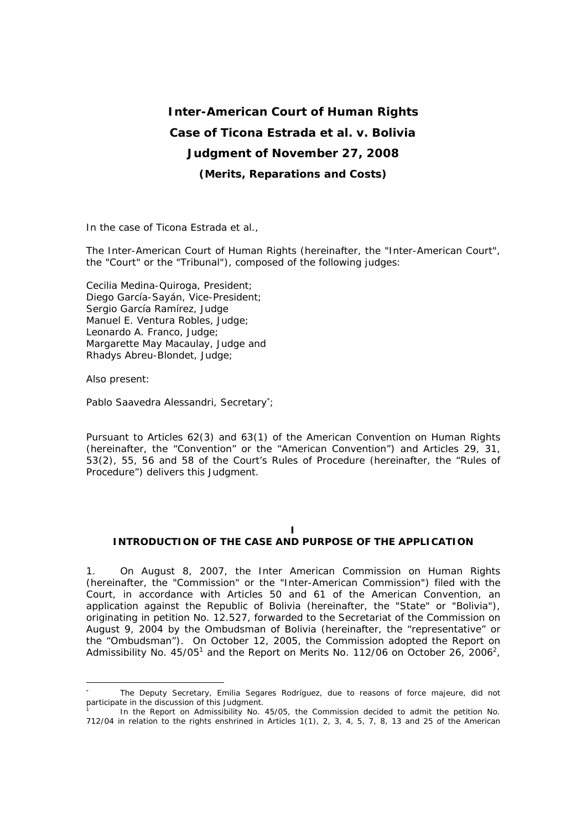# **Inter-American Court of Human Rights Case of Ticona Estrada** *et al. v***. Bolivia Judgment of November 27, 2008**  *(Merits, Reparations and Costs)*

In the case of *Ticona Estrada et al.*,

The Inter-American Court of Human Rights (hereinafter, the "Inter-American Court", the "Court" or the "Tribunal"), composed of the following judges:

Cecilia Medina-Quiroga, President; Diego García-Sayán, Vice-President; Sergio García Ramírez, Judge Manuel E. Ventura Robles, Judge; Leonardo A. Franco, Judge; Margarette May Macaulay, Judge and Rhadys Abreu-Blondet, Judge;

Also present:

l

Pablo Saavedra Alessandri, Secretary<sup>∗</sup>;

Pursuant to Articles 62(3) and 63(1) of the American Convention on Human Rights (hereinafter, the "Convention" or the "American Convention") and Articles 29, 31, 53(2), 55, 56 and 58 of the Court's Rules of Procedure (hereinafter, the "Rules of Procedure") delivers this Judgment.

## **I**

## **INTRODUCTION OF THE CASE AND PURPOSE OF THE APPLICATION**

1. On August 8, 2007, the Inter American Commission on Human Rights (hereinafter, the "Commission" or the "Inter-American Commission") filed with the Court, in accordance with Articles 50 and 61 of the American Convention, an application against the Republic of Bolivia (hereinafter, the "State" or "Bolivia"), originating in petition No. 12.527, forwarded to the Secretariat of the Commission on August 9, 2004 by the Ombudsman of Bolivia (hereinafter, the "representative" or the "Ombudsman"). On October 12, 2005, the Commission adopted the Report on Admissibility No. 45/05<sup>1</sup> and the Report on Merits No. 112/06 on October 26, 2006<sup>2</sup>,

<sup>∗</sup> The Deputy Secretary, Emilia Segares Rodríguez, due to reasons of force majeure, did not participate in the discussion of this Judgment.

<sup>1</sup> In the Report on Admissibility No. 45/05, the Commission decided to admit the petition No. 712/04 in relation to the rights enshrined in Articles 1(1), 2, 3, 4, 5, 7, 8, 13 and 25 of the American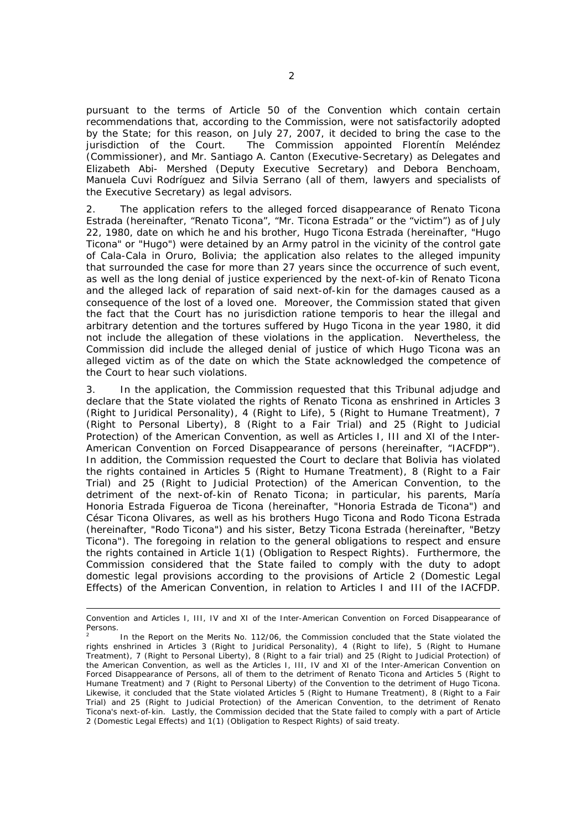pursuant to the terms of Article 50 of the Convention which contain certain recommendations that, according to the Commission, were not satisfactorily adopted by the State; for this reason, on July 27, 2007, it decided to bring the case to the jurisdiction of the Court. The Commission appointed Florentin Meléndez (Commissioner), and Mr. Santiago A. Canton (Executive-Secretary) as Delegates and Elizabeth Abi- Mershed (Deputy Executive Secretary) and Debora Benchoam, Manuela Cuvi Rodríguez and Silvia Serrano (all of them, lawyers and specialists of the Executive Secretary) as legal advisors.

2. The application refers to the alleged forced disappearance of Renato Ticona Estrada (hereinafter, "Renato Ticona", "Mr. Ticona Estrada" or the "victim") as of July 22, 1980, date on which he and his brother, Hugo Ticona Estrada (hereinafter, "Hugo Ticona" or "Hugo") were detained by an Army patrol in the vicinity of the control gate of Cala-Cala in Oruro, Bolivia; the application also relates to the alleged impunity that surrounded the case for more than 27 years since the occurrence of such event, as well as the long denial of justice experienced by the next-of-kin of Renato Ticona and the alleged lack of reparation of said next-of-kin for the damages caused as a consequence of the lost of a loved one. Moreover, the Commission stated that given the fact that the Court has no jurisdiction *ratione temporis* to hear the illegal and arbitrary detention and the tortures suffered by Hugo Ticona in the year 1980, it did not include the allegation of these violations in the application. Nevertheless, the Commission did include the alleged denial of justice of which Hugo Ticona was an alleged victim as of the date on which the State acknowledged the competence of the Court to hear such violations.

3. In the application, the Commission requested that this Tribunal adjudge and declare that the State violated the rights of Renato Ticona as enshrined in Articles 3 (Right to Juridical Personality), 4 (Right to Life), 5 (Right to Humane Treatment), 7 (Right to Personal Liberty), 8 (Right to a Fair Trial) and 25 (Right to Judicial Protection) of the American Convention, as well as Articles I, III and XI of the Inter-American Convention on Forced Disappearance of persons (hereinafter, "IACFDP"). In addition, the Commission requested the Court to declare that Bolivia has violated the rights contained in Articles 5 (Right to Humane Treatment), 8 (Right to a Fair Trial) and 25 (Right to Judicial Protection) of the American Convention, to the detriment of the next-of-kin of Renato Ticona; in particular, his parents, María Honoria Estrada Figueroa de Ticona (hereinafter, "Honoria Estrada de Ticona") and César Ticona Olivares, as well as his brothers Hugo Ticona and Rodo Ticona Estrada (hereinafter, "Rodo Ticona") and his sister, Betzy Ticona Estrada (hereinafter, "Betzy Ticona"). The foregoing in relation to the general obligations to respect and ensure the rights contained in Article 1(1) (Obligation to Respect Rights). Furthermore, the Commission considered that the State failed to comply with the duty to adopt domestic legal provisions according to the provisions of Article 2 (Domestic Legal Effects) of the American Convention, in relation to Articles I and III of the IACFDP.

Convention and Articles I, III, IV and XI of the Inter-American Convention on Forced Disappearance of Persons.

<sup>2</sup> In the Report on the Merits No. 112/06, the Commission concluded that the State violated the rights enshrined in Articles 3 (Right to Juridical Personality), 4 (Right to life), 5 (Right to Humane Treatment), 7 (Right to Personal Liberty), 8 (Right to a fair trial) and 25 (Right to Judicial Protection) of the American Convention, as well as the Articles I, III, IV and XI of the Inter-American Convention on Forced Disappearance of Persons, all of them to the detriment of Renato Ticona and Articles 5 (Right to Humane Treatment) and 7 (Right to Personal Liberty) of the Convention to the detriment of Hugo Ticona. Likewise, it concluded that the State violated Articles 5 (Right to Humane Treatment), 8 (Right to a Fair Trial) and 25 (Right to Judicial Protection) of the American Convention, to the detriment of Renato Ticona's next-of-kin. Lastly, the Commission decided that the State failed to comply with a part of Article 2 (Domestic Legal Effects) and 1(1) (Obligation to Respect Rights) of said treaty.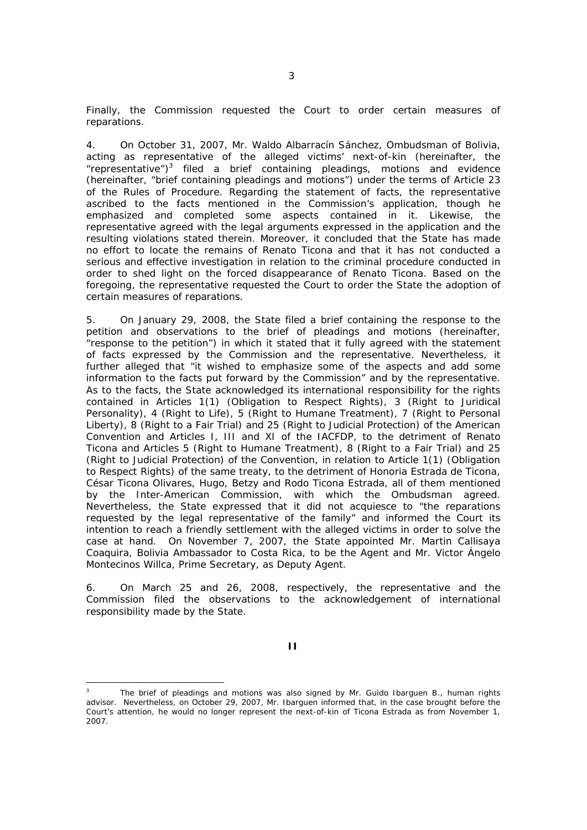Finally, the Commission requested the Court to order certain measures of reparations.

4. On October 31, 2007, Mr. Waldo Albarracín Sánchez, Ombudsman of Bolivia, acting as representative of the alleged victims' next-of-kin (hereinafter, the "representative")<sup>3</sup> filed a brief containing pleadings, motions and evidence (hereinafter, "brief containing pleadings and motions") under the terms of Article 23 of the Rules of Procedure. Regarding the statement of facts, the representative ascribed to the facts mentioned in the Commission's application, though he emphasized and completed some aspects contained in it. Likewise, the representative agreed with the legal arguments expressed in the application and the resulting violations stated therein. Moreover, it concluded that the State has made no effort to locate the remains of Renato Ticona and that it has not conducted a serious and effective investigation in relation to the criminal procedure conducted in order to shed light on the forced disappearance of Renato Ticona. Based on the foregoing, the representative requested the Court to order the State the adoption of certain measures of reparations.

5. On January 29, 2008, the State filed a brief containing the response to the petition and observations to the brief of pleadings and motions (hereinafter, "response to the petition") in which it stated that it fully agreed with the statement of facts expressed by the Commission and the representative. Nevertheless, it further alleged that "it wished to emphasize some of the aspects and add some information to the facts put forward by the Commission" and by the representative. As to the facts, the State acknowledged its international responsibility for the rights contained in Articles 1(1) (Obligation to Respect Rights), 3 (Right to Juridical Personality), 4 (Right to Life), 5 (Right to Humane Treatment), 7 (Right to Personal Liberty), 8 (Right to a Fair Trial) and 25 (Right to Judicial Protection) of the American Convention and Articles I, III and XI of the IACFDP, to the detriment of Renato Ticona and Articles 5 (Right to Humane Treatment), 8 (Right to a Fair Trial) and 25 (Right to Judicial Protection) of the Convention, in relation to Article 1(1) (Obligation to Respect Rights) of the same treaty, to the detriment of Honoria Estrada de Ticona, César Ticona Olivares, Hugo, Betzy and Rodo Ticona Estrada, all of them mentioned by the Inter-American Commission, with which the Ombudsman agreed. Nevertheless, the State expressed that it did not acquiesce to "the reparations requested by the legal representative of the family" and informed the Court its intention to reach a friendly settlement with the alleged victims in order to solve the case at hand. On November 7, 2007, the State appointed Mr. Martin Callisaya Coaquira, Bolivia Ambassador to Costa Rica, to be the Agent and Mr. Victor Ángelo Montecinos Willca, Prime Secretary, as Deputy Agent.

6. On March 25 and 26, 2008, respectively, the representative and the Commission filed the observations to the acknowledgement of international responsibility made by the State.

 $\overline{a}$ 

<sup>3</sup> The brief of pleadings and motions was also signed by Mr. Guido Ibarguen B., human rights advisor. Nevertheless, on October 29, 2007, Mr. Ibarguen informed that, in the case brought before the Court's attention, he would no longer represent the next-of-kin of Ticona Estrada as from November 1, 2007.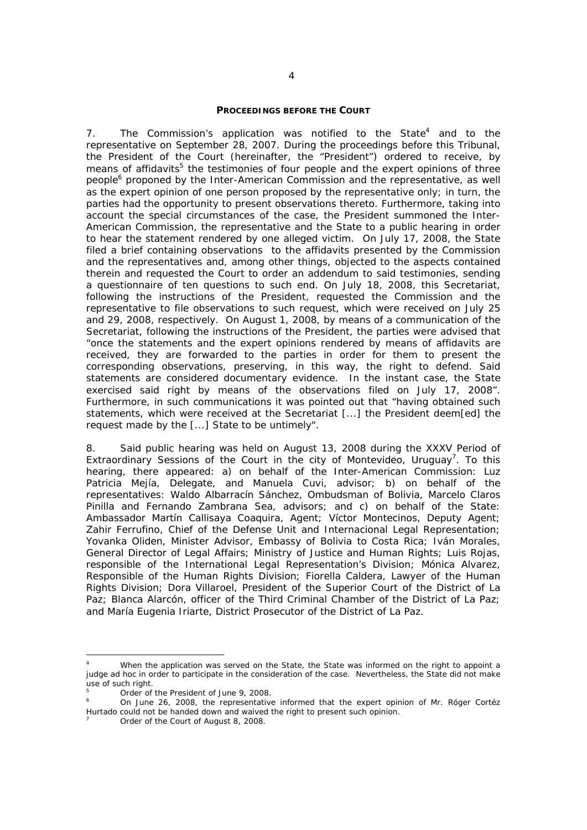#### **PROCEEDINGS BEFORE THE COURT**

7. The Commission's application was notified to the State $4$  and to the representative on September 28, 2007. During the proceedings before this Tribunal, the President of the Court (hereinafter, the "President") ordered to receive, by means of affidavits<sup>5</sup> the testimonies of four people and the expert opinions of three people<sup>6</sup> proponed by the Inter-American Commission and the representative, as well as the expert opinion of one person proposed by the representative only; in turn, the parties had the opportunity to present observations thereto. Furthermore, taking into account the special circumstances of the case, the President summoned the Inter-American Commission, the representative and the State to a public hearing in order to hear the statement rendered by one alleged victim. On July 17, 2008, the State filed a brief containing observations to the affidavits presented by the Commission and the representatives and, among other things, objected to the aspects contained therein and requested the Court to order an addendum to said testimonies, sending a questionnaire of ten questions to such end. On July 18, 2008, this Secretariat, following the instructions of the President, requested the Commission and the representative to file observations to such request, which were received on July 25 and 29, 2008, respectively. On August 1, 2008, by means of a communication of the Secretariat, following the instructions of the President, the parties were advised that "once the statements and the expert opinions rendered by means of affidavits are received, they are forwarded to the parties in order for them to present the corresponding observations, preserving, in this way, the right to defend. Said statements are considered documentary evidence. In the instant case, the State exercised said right by means of the observations filed on July 17, 2008". Furthermore, in such communications it was pointed out that "having obtained such statements, which were received at the Secretariat [...] the President deem[ed] the request made by the [...] State to be untimely".

8. Said public hearing was held on August 13, 2008 during the XXXV Period of Extraordinary Sessions of the Court in the city of Montevideo, Uruguay<sup>7</sup>. To this hearing, there appeared: a) on behalf of the Inter-American Commission: Luz Patricia Mejía, Delegate, and Manuela Cuvi, advisor; b) on behalf of the representatives: Waldo Albarracín Sánchez, Ombudsman of Bolivia, Marcelo Claros Pinilla and Fernando Zambrana Sea, advisors; and c) on behalf of the State: Ambassador Martín Callisaya Coaquira, Agent; Víctor Montecinos, Deputy Agent; Zahir Ferrufino, Chief of the Defense Unit and Internacional Legal Representation; Yovanka Oliden, Minister Advisor, Embassy of Bolivia to Costa Rica; Iván Morales, General Director of Legal Affairs; Ministry of Justice and Human Rights; Luis Rojas, responsible of the International Legal Representation's Division; Mónica Alvarez, Responsible of the Human Rights Division; Fiorella Caldera, Lawyer of the Human Rights Division; Dora Villaroel, President of the Superior Court of the District of La Paz; Blanca Alarcón, officer of the Third Criminal Chamber of the District of La Paz; and María Eugenia Iriarte, District Prosecutor of the District of La Paz.

<sup>4</sup> When the application was served on the State, the State was informed on the right to appoint a judge *ad hoc* in order to participate in the consideration of the case. Nevertheless, the State did not make use of such right.

<sup>5</sup> Order of the President of June 9, 2008.

<sup>6</sup> On June 26, 2008, the representative informed that the expert opinion of Mr. Róger Cortéz Hurtado could not be handed down and waived the right to present such opinion. 7

Order of the Court of August 8, 2008.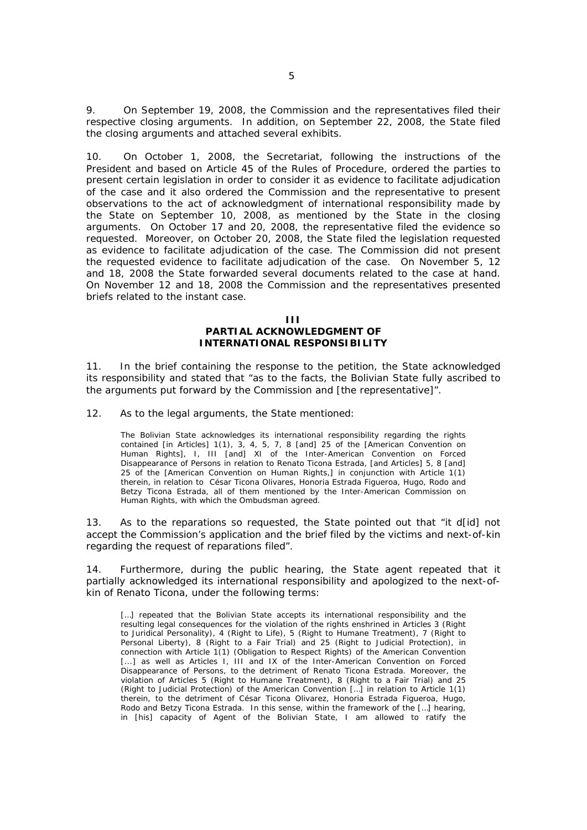9. On September 19, 2008, the Commission and the representatives filed their respective closing arguments. In addition, on September 22, 2008, the State filed the closing arguments and attached several exhibits.

10. On October 1, 2008, the Secretariat, following the instructions of the President and based on Article 45 of the Rules of Procedure, ordered the parties to present certain legislation in order to consider it as evidence to facilitate adjudication of the case and it also ordered the Commission and the representative to present observations to the act of acknowledgment of international responsibility made by the State on September 10, 2008, as mentioned by the State in the closing arguments. On October 17 and 20, 2008, the representative filed the evidence so requested. Moreover, on October 20, 2008, the State filed the legislation requested as evidence to facilitate adjudication of the case. The Commission did not present the requested evidence to facilitate adjudication of the case. On November 5, 12 and 18, 2008 the State forwarded several documents related to the case at hand. On November 12 and 18, 2008 the Commission and the representatives presented briefs related to the instant case.

> **III PARTIAL ACKNOWLEDGMENT OF INTERNATIONAL RESPONSIBILITY**

11. In the brief containing the response to the petition, the State acknowledged its responsibility and stated that "as to the facts, the Bolivian State fully ascribed to the arguments put forward by the Commission and [the representative]".

12. As to the legal arguments, the State mentioned:

The Bolivian State acknowledges its international responsibility regarding the rights contained [in Articles] 1(1), 3, 4, 5, 7, 8 [and] 25 of the [American Convention on Human Rights], I, III [and] XI of the Inter-American Convention on Forced Disappearance of Persons in relation to Renato Ticona Estrada, [and Articles] 5, 8 [and] 25 of the [American Convention on Human Rights,] in conjunction with Article 1(1) therein, in relation to César Ticona Olivares, Honoria Estrada Figueroa, Hugo, Rodo and Betzy Ticona Estrada, all of them mentioned by the Inter-American Commission on Human Rights, with which the Ombudsman agreed.

13. As to the reparations so requested, the State pointed out that "it d[id] not accept the Commission's application and the brief filed by the victims and next-of-kin regarding the request of reparations filed".

14. Furthermore, during the public hearing, the State agent repeated that it partially acknowledged its international responsibility and apologized to the next-ofkin of Renato Ticona, under the following terms:

[...] repeated that the Bolivian State accepts its international responsibility and the resulting legal consequences for the violation of the rights enshrined in Articles 3 (Right to Juridical Personality), 4 (Right to Life), 5 (Right to Humane Treatment), 7 (Right to Personal Liberty), 8 (Right to a Fair Trial) and 25 (Right to Judicial Protection), in connection with Article 1(1) (Obligation to Respect Rights) of the American Convention [...] as well as Articles I, III and IX of the Inter-American Convention on Forced Disappearance of Persons, to the detriment of Renato Ticona Estrada. Moreover, the violation of Articles 5 (Right to Humane Treatment), 8 (Right to a Fair Trial) and 25 (Right to Judicial Protection) of the American Convention […] in relation to Article 1(1) therein, to the detriment of César Ticona Olivarez, Honoria Estrada Figueroa, Hugo, Rodo and Betzy Ticona Estrada. In this sense, within the framework of the […] hearing, in [his] capacity of Agent of the Bolivian State, I am allowed to ratify the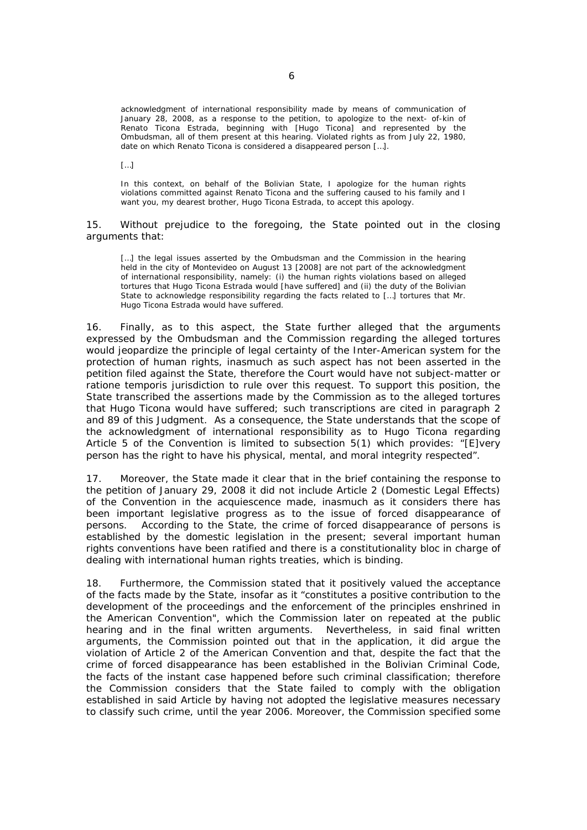acknowledgment of international responsibility made by means of communication of January 28, 2008, as a response to the petition, to apologize to the next- of-kin of Renato Ticona Estrada, beginning with [Hugo Ticona] and represented by the Ombudsman, all of them present at this hearing. Violated rights as from July 22, 1980, date on which Renato Ticona is considered a disappeared person […].

[…]

In this context, on behalf of the Bolivian State, I apologize for the human rights violations committed against Renato Ticona and the suffering caused to his family and I want you, my dearest brother, Hugo Ticona Estrada, to accept this apology.

15. Without prejudice to the foregoing, the State pointed out in the closing arguments that:

[...] the legal issues asserted by the Ombudsman and the Commission in the hearing held in the city of Montevideo on August 13 [2008] are not part of the acknowledgment of international responsibility, namely: (i) the human rights violations based on alleged tortures that Hugo Ticona Estrada would [have suffered] and (ii) the duty of the Bolivian State to acknowledge responsibility regarding the facts related to […] tortures that Mr. Hugo Ticona Estrada would have suffered.

16. Finally, as to this aspect, the State further alleged that the arguments expressed by the Ombudsman and the Commission regarding the alleged tortures would jeopardize the principle of legal certainty of the Inter-American system for the protection of human rights, inasmuch as such aspect has not been asserted in the petition filed against the State, therefore the Court would have not subject-matter or *ratione temporis* jurisdiction to rule over this request. To support this position, the State transcribed the assertions made by the Commission as to the alleged tortures that Hugo Ticona would have suffered; such transcriptions are cited in paragraph 2 and 89 of this Judgment. As a consequence, the State understands that the scope of the acknowledgment of international responsibility as to Hugo Ticona regarding Article 5 of the Convention is limited to subsection 5(1) which provides: "[E]very person has the right to have his physical, mental, and moral integrity respected".

17. Moreover, the State made it clear that in the brief containing the response to the petition of January 29, 2008 it did not include Article 2 (Domestic Legal Effects) of the Convention in the acquiescence made, inasmuch as it considers there has been important legislative progress as to the issue of forced disappearance of persons. According to the State, the crime of forced disappearance of persons is established by the domestic legislation in the present; several important human rights conventions have been ratified and there is a constitutionality bloc in charge of dealing with international human rights treaties, which is binding.

18. Furthermore, the Commission stated that it positively valued the acceptance of the facts made by the State, insofar as it "constitutes a positive contribution to the development of the proceedings and the enforcement of the principles enshrined in the American Convention", which the Commission later on repeated at the public hearing and in the final written arguments. Nevertheless, in said final written arguments, the Commission pointed out that in the application, it did argue the violation of Article 2 of the American Convention and that, despite the fact that the crime of forced disappearance has been established in the Bolivian Criminal Code, the facts of the instant case happened before such criminal classification; therefore the Commission considers that the State failed to comply with the obligation established in said Article by having not adopted the legislative measures necessary to classify such crime, until the year 2006. Moreover, the Commission specified some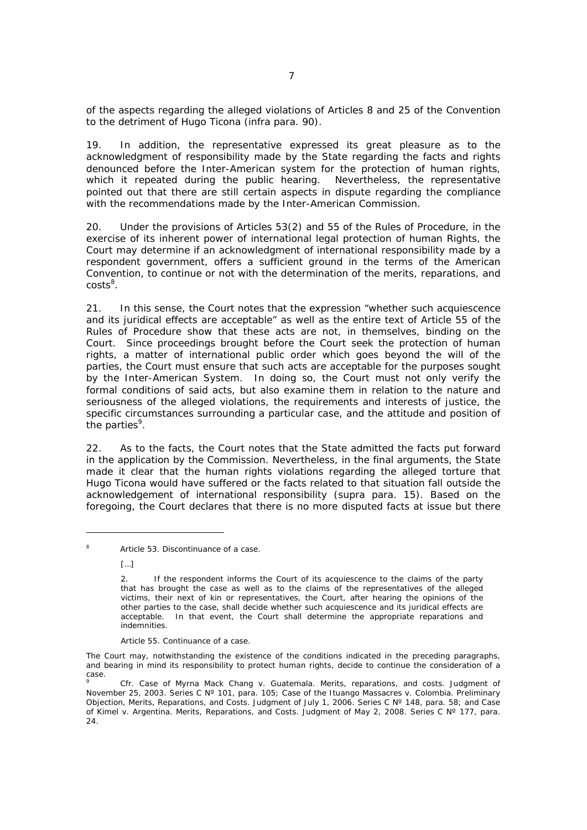of the aspects regarding the alleged violations of Articles 8 and 25 of the Convention to the detriment of Hugo Ticona (*infra* para. 90).

19. In addition, the representative expressed its great pleasure as to the acknowledgment of responsibility made by the State regarding the facts and rights denounced before the Inter-American system for the protection of human rights, which it repeated during the public hearing. Nevertheless, the representative pointed out that there are still certain aspects in dispute regarding the compliance with the recommendations made by the Inter-American Commission.

20. Under the provisions of Articles 53(2) and 55 of the Rules of Procedure, in the exercise of its inherent power of international legal protection of human Rights, the Court may determine if an acknowledgment of international responsibility made by a respondent government, offers a sufficient ground in the terms of the American Convention, to continue or not with the determination of the merits, reparations, and  $costs^8$ .

21. In this sense, the Court notes that the expression "whether such acquiescence and its juridical effects are acceptable" as well as the entire text of Article 55 of the Rules of Procedure show that these acts are not, in themselves, binding on the Court. Since proceedings brought before the Court seek the protection of human rights, a matter of international public order which goes beyond the will of the parties, the Court must ensure that such acts are acceptable for the purposes sought by the Inter-American System. In doing so, the Court must not only verify the formal conditions of said acts, but also examine them in relation to the nature and seriousness of the alleged violations, the requirements and interests of justice, the specific circumstances surrounding a particular case, and the attitude and position of the parties<sup>9</sup>.

22. As to the facts, the Court notes that the State admitted the facts put forward in the application by the Commission. Nevertheless, in the final arguments, the State made it clear that the human rights violations regarding the alleged torture that Hugo Ticona would have suffered or the facts related to that situation fall outside the acknowledgement of international responsibility (*supra* para. 15). Based on the foregoing, the Court declares that there is no more disputed facts at issue but there

Article 55. Continuance of a case.

<sup>8</sup> Article 53. Discontinuance of a case.

<sup>[…]</sup> 

<sup>2.</sup> If the respondent informs the Court of its acquiescence to the claims of the party that has brought the case as well as to the claims of the representatives of the alleged victims, their next of kin or representatives, the Court, after hearing the opinions of the other parties to the case, shall decide whether such acquiescence and its juridical effects are acceptable. In that event, the Court shall determine the appropriate reparations and indemnities.

The Court may, notwithstanding the existence of the conditions indicated in the preceding paragraphs, and bearing in mind its responsibility to protect human rights, decide to continue the consideration of a case.

<sup>9</sup> *Cfr. Case of Myrna Mack Chang v. Guatemala.* Merits, reparations, and costs. Judgment of November 25, 2003. Series C Nº 101, para. 105; *Case of the Ituango Massacres v. Colombia.* Preliminary Objection, Merits, Reparations, and Costs. Judgment of July 1, 2006. Series C Nº 148, para. 58; and *Case of Kimel v. Argentina.* Merits, Reparations, and Costs. Judgment of May 2, 2008. Series C Nº 177, para.  $24.$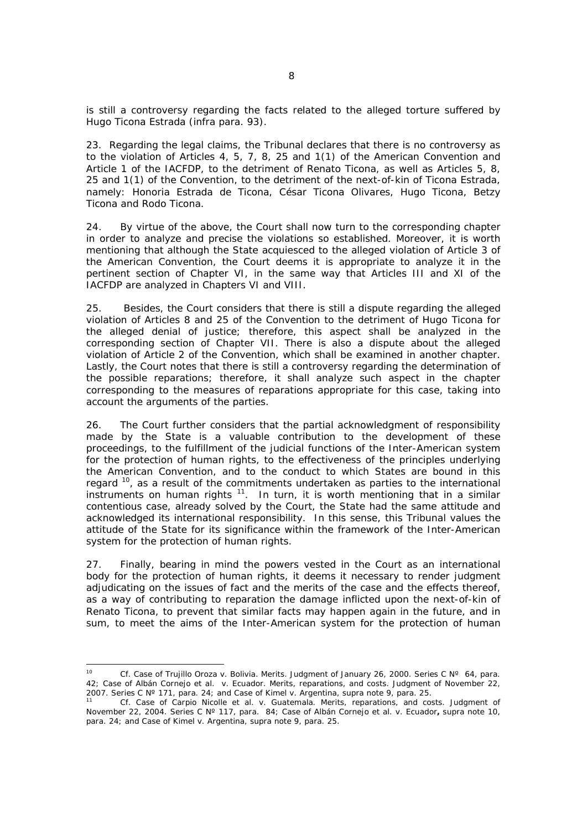is still a controversy regarding the facts related to the alleged torture suffered by Hugo Ticona Estrada (*infra* para. 93).

23. Regarding the legal claims, the Tribunal declares that there is no controversy as to the violation of Articles 4, 5, 7, 8, 25 and 1(1) of the American Convention and Article 1 of the IACFDP, to the detriment of Renato Ticona, as well as Articles 5, 8, 25 and 1(1) of the Convention, to the detriment of the next-of-kin of Ticona Estrada, namely: Honoria Estrada de Ticona, César Ticona Olivares, Hugo Ticona, Betzy Ticona and Rodo Ticona.

24. By virtue of the above, the Court shall now turn to the corresponding chapter in order to analyze and precise the violations so established. Moreover, it is worth mentioning that although the State acquiesced to the alleged violation of Article 3 of the American Convention, the Court deems it is appropriate to analyze it in the pertinent section of Chapter VI, in the same way that Articles III and XI of the IACFDP are analyzed in Chapters VI and VIII.

25. Besides, the Court considers that there is still a dispute regarding the alleged violation of Articles 8 and 25 of the Convention to the detriment of Hugo Ticona for the alleged denial of justice; therefore, this aspect shall be analyzed in the corresponding section of Chapter VII. There is also a dispute about the alleged violation of Article 2 of the Convention, which shall be examined in another chapter. Lastly, the Court notes that there is still a controversy regarding the determination of the possible reparations; therefore, it shall analyze such aspect in the chapter corresponding to the measures of reparations appropriate for this case, taking into account the arguments of the parties.

26. The Court further considers that the partial acknowledgment of responsibility made by the State is a valuable contribution to the development of these proceedings, to the fulfillment of the judicial functions of the Inter-American system for the protection of human rights, to the effectiveness of the principles underlying the American Convention, and to the conduct to which States are bound in this regard  $10$ , as a result of the commitments undertaken as parties to the international instruments on human rights  $11$ . In turn, it is worth mentioning that in a similar contentious case, already solved by the Court, the State had the same attitude and acknowledged its international responsibility. In this sense, this Tribunal values the attitude of the State for its significance within the framework of the Inter-American system for the protection of human rights.

27. Finally, bearing in mind the powers vested in the Court as an international body for the protection of human rights, it deems it necessary to render judgment adjudicating on the issues of fact and the merits of the case and the effects thereof, as a way of contributing to reparation the damage inflicted upon the next-of-kin of Renato Ticona, to prevent that similar facts may happen again in the future, and in sum, to meet the aims of the Inter-American system for the protection of human

 $10<sup>10</sup>$ 10 *Cf. Case of Trujillo Oroza v. Bolivia.* Merits. Judgment of January 26, 2000. Series C Nº 64, para. *42; Case of Albán Cornejo et al. v. Ecuador. Merits, reparations, and costs. Judgment of November 22, 2007. Series C Nº 171, para. 24; and Case of Kimel v. Argentina, supra note 9, para*. 25*.*

<sup>11</sup> *Cf. Case of Carpio Nicolle et al. v. Guatemala*. Merits, reparations, and costs. Judgment of November 22, 2004. Series C Nº 117, para. 84; *Case of Albán Cornejo et al. v. Ecuador***,** *supra* note 10, para. 24; and Case *of Kimel v. Argentina*, *supra* note 9, para. 25.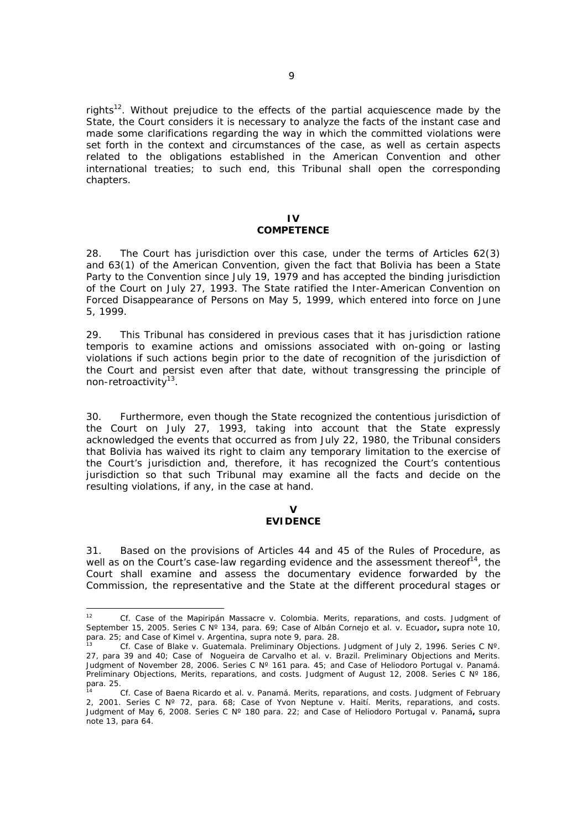rights<sup>12</sup>. Without prejudice to the effects of the partial acquiescence made by the State, the Court considers it is necessary to analyze the facts of the instant case and made some clarifications regarding the way in which the committed violations were set forth in the context and circumstances of the case, as well as certain aspects related to the obligations established in the American Convention and other international treaties; to such end, this Tribunal shall open the corresponding chapters.

#### **IV COMPETENCE**

28. The Court has jurisdiction over this case, under the terms of Articles 62(3) and 63(1) of the American Convention, given the fact that Bolivia has been a State Party to the Convention since July 19, 1979 and has accepted the binding jurisdiction of the Court on July 27, 1993. The State ratified the Inter-American Convention on Forced Disappearance of Persons on May 5, 1999, which entered into force on June 5, 1999.

29. This Tribunal has considered in previous cases that it has jurisdiction *ratione temporis* to examine actions and omissions associated with on-going or lasting violations if such actions begin prior to the date of recognition of the jurisdiction of the Court and persist even after that date, without transgressing the principle of non-retroactivity13.

30. Furthermore, even though the State recognized the contentious jurisdiction of the Court on July 27, 1993, taking into account that the State expressly acknowledged the events that occurred as from July 22, 1980, the Tribunal considers that Bolivia has waived its right to claim any temporary limitation to the exercise of the Court's jurisdiction and, therefore, it has recognized the Court's contentious jurisdiction so that such Tribunal may examine all the facts and decide on the resulting violations, if any, in the case at hand.

#### **V EVIDENCE**

31. Based on the provisions of Articles 44 and 45 of the Rules of Procedure, as well as on the Court's case-law regarding evidence and the assessment thereof<sup>14</sup>, the Court shall examine and assess the documentary evidence forwarded by the Commission, the representative and the State at the different procedural stages or

 $12<sup>12</sup>$ <sup>12</sup> *Cf. Case of the Mapiripán Massacre v. Colombia.* Merits, reparations, and costs. Judgment of September 15, 2005. Series C N° 134, para. 69; *Case of Albán Cornejo et al. v. Ecuador*, supra note 10, para. 25; and *Case of Kimel v. Argentina*, supra note 9, para. 28.

para. 25; and *Case of Kimel v. Argentina*, supra note 9, para. 28. 13 *Cf. Case of Blake v. Guatemala.* Preliminary Objections. Judgment of July 2, 1996. Series C Nº. 27, para 39 and 40; *Case of Nogueira de Carvalho et al. v. Brazil.* Preliminary Objections and Merits. Judgment of November 28, 2006. Series C Nº 161 para. 45; and *Case of Heliodoro Portugal v. Panamá.*  Preliminary Objections, Merits, reparations, and costs. Judgment of August 12, 2008. Series C N° 186, para. 25.

<sup>14</sup> *Cf. Case of Baena Ricardo et al. v. Panamá.* Merits, reparations, and costs. Judgment of February 2, 2001. Series C Nº 72, para. 68; *Case of Yvon Neptune v. Haití*. Merits, reparations, and costs. Judgment of May 6, 2008. Series C Nº 180 para. 22; and *Case of Heliodoro Portugal v. Panamá***,** *supra*  note 13, para 64.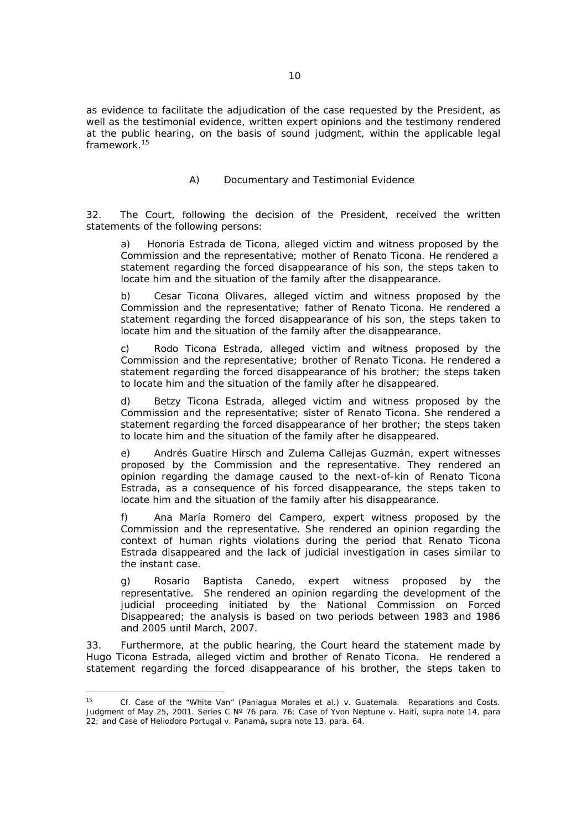as evidence to facilitate the adjudication of the case requested by the President, as well as the testimonial evidence, written expert opinions and the testimony rendered at the public hearing, on the basis of sound judgment, within the applicable legal framework<sup>15</sup>

## *A) Documentary and Testimonial Evidence*

32. The Court, following the decision of the President, received the written statements of the following persons:

a) *Honoria Estrada de Ticona*, alleged victim and witness proposed by the Commission and the representative; mother of Renato Ticona. He rendered a statement regarding the forced disappearance of his son, the steps taken to locate him and the situation of the family after the disappearance.

b) *Cesar Ticona Olivares*, alleged victim and witness proposed by the Commission and the representative; father of Renato Ticona. He rendered a statement regarding the forced disappearance of his son, the steps taken to locate him and the situation of the family after the disappearance.

c) *Rodo Ticona Estrada*, alleged victim and witness proposed by the Commission and the representative; brother of Renato Ticona. He rendered a statement regarding the forced disappearance of his brother; the steps taken to locate him and the situation of the family after he disappeared.

d) *Betzy Ticona Estrada*, alleged victim and witness proposed by the Commission and the representative; sister of Renato Ticona. She rendered a statement regarding the forced disappearance of her brother; the steps taken to locate him and the situation of the family after he disappeared.

e) *Andrés Guatire Hirsch and Zulema Callejas Guzmán*, expert witnesses proposed by the Commission and the representative. They rendered an opinion regarding the damage caused to the next-of-kin of Renato Ticona Estrada, as a consequence of his forced disappearance, the steps taken to locate him and the situation of the family after his disappearance.

f) *Ana María Romero del Campero*, expert witness proposed by the Commission and the representative. She rendered an opinion regarding the context of human rights violations during the period that Renato Ticona Estrada disappeared and the lack of judicial investigation in cases similar to the instant case.

g) *Rosario Baptista Canedo,* expert witness proposed by the representative. She rendered an opinion regarding the development of the judicial proceeding initiated by the National Commission on Forced Disappeared; the analysis is based on two periods between 1983 and 1986 and 2005 until March, 2007.

33. Furthermore, at the public hearing, the Court heard the statement made by Hugo Ticona Estrada, alleged victim and brother of Renato Ticona. He rendered a statement regarding the forced disappearance of his brother, the steps taken to

 $15<sup>15</sup>$ 15 *Cf. Case of the "White Van" (Paniagua Morales et al.) v. Guatemala*. Reparations and Costs. Judgment of May 25, 2001. Series C Nº 76 para. 76; *Case of Yvon Neptune v. Haití*, supra note 14, para 22; and *Case of Heliodoro Portugal v. Panamá***,** supra note 13, para. 64.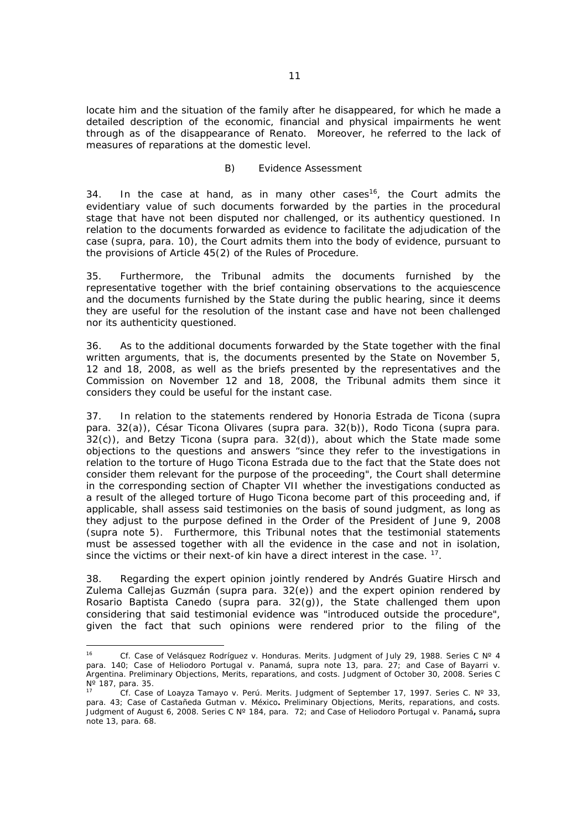locate him and the situation of the family after he disappeared, for which he made a detailed description of the economic, financial and physical impairments he went through as of the disappearance of Renato. Moreover, he referred to the lack of measures of reparations at the domestic level.

#### *B) Evidence Assessment*

34. In the case at hand, as in many other cases<sup>16</sup>, the Court admits the evidentiary value of such documents forwarded by the parties in the procedural stage that have not been disputed nor challenged, or its authenticy questioned. In relation to the documents forwarded as evidence to facilitate the adjudication of the case (*supra,* para. 10), the Court admits them into the body of evidence, pursuant to the provisions of Article 45(2) of the Rules of Procedure.

35. Furthermore, the Tribunal admits the documents furnished by the representative together with the brief containing observations to the acquiescence and the documents furnished by the State during the public hearing, since it deems they are useful for the resolution of the instant case and have not been challenged nor its authenticity questioned.

36. As to the additional documents forwarded by the State together with the final written arguments, that is, the documents presented by the State on November 5, 12 and 18, 2008, as well as the briefs presented by the representatives and the Commission on November 12 and 18, 2008, the Tribunal admits them since it considers they could be useful for the instant case.

37. In relation to the statements rendered by Honoria Estrada de Ticona (*supra* para. 32(a)), César Ticona Olivares (*supra* para. 32(b)), Rodo Ticona (*supra* para. 32(c)), and Betzy Ticona (*supra* para. 32(d)), about which the State made some objections to the questions and answers "since they refer to the investigations in relation to the torture of Hugo Ticona Estrada due to the fact that the State does not consider them relevant for the purpose of the proceeding", the Court shall determine in the corresponding section of Chapter VII whether the investigations conducted as a result of the alleged torture of Hugo Ticona become part of this proceeding and, if applicable, shall assess said testimonies on the basis of sound judgment, as long as they adjust to the purpose defined in the Order of the President of June 9, 2008 (*supra* note 5). Furthermore, this Tribunal notes that the testimonial statements must be assessed together with all the evidence in the case and not in isolation, since the victims or their next-of kin have a direct interest in the case. <sup>17</sup>.

38. Regarding the expert opinion jointly rendered by Andrés Guatire Hirsch and Zulema Callejas Guzmán (*supra* para. 32(e)) and the expert opinion rendered by Rosario Baptista Canedo (*supra* para. 32(g)), the State challenged them upon considering that said testimonial evidence was "introduced outside the procedure", given the fact that such opinions were rendered prior to the filing of the

 $16$ <sup>16</sup> *Cf. Case of Velásquez Rodríguez v. Honduras. Merits. Judgment of July 29, 1988. Series C Nº 4 para.* 140; *Case of Heliodoro Portugal v. Panamá, supra* note 13, para. 27; and *Case of Bayarri v. Argentina.* Preliminary Objections, Merits, reparations, and costs. Judgment of October 30, 2008. Series C Nº 187, para. 35.

<sup>17</sup> *Cf. Case of Loayza Tamayo v. Perú. Merits. Judgment of September 17, 1997. Series C. Nº 33, para.* 43; *Case of Castañeda Gutman v. México***.** Preliminary Objections, Merits, reparations, and costs. Judgment of August 6, 2008. Series C Nº 184, para. 72; and *Case of Heliodoro Portugal v. Panamá***,** *supra*  note 13, para. 68.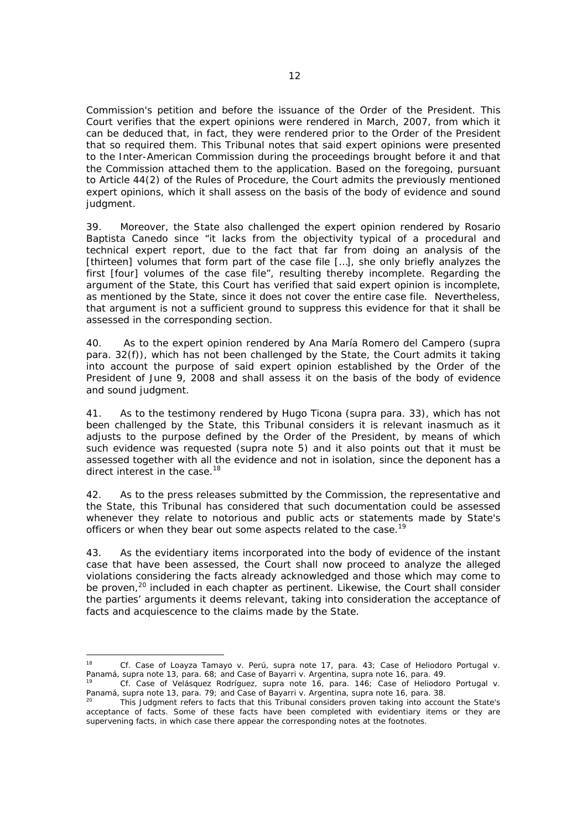Commission's petition and before the issuance of the Order of the President. This Court verifies that the expert opinions were rendered in March, 2007, from which it can be deduced that, in fact, they were rendered prior to the Order of the President that so required them. This Tribunal notes that said expert opinions were presented to the Inter-American Commission during the proceedings brought before it and that the Commission attached them to the application. Based on the foregoing, pursuant to Article 44(2) of the Rules of Procedure, the Court admits the previously mentioned expert opinions, which it shall assess on the basis of the body of evidence and sound judgment.

39. Moreover, the State also challenged the expert opinion rendered by Rosario Baptista Canedo since "it lacks from the objectivity typical of a procedural and technical expert report, due to the fact that far from doing an analysis of the [thirteen] volumes that form part of the case file [...], she only briefly analyzes the first [four] volumes of the case file", resulting thereby incomplete. Regarding the argument of the State, this Court has verified that said expert opinion is incomplete, as mentioned by the State, since it does not cover the entire case file. Nevertheless, that argument is not a sufficient ground to suppress this evidence for that it shall be assessed in the corresponding section.

40. As to the expert opinion rendered by Ana María Romero del Campero (*supra* para. 32(f)), which has not been challenged by the State, the Court admits it taking into account the purpose of said expert opinion established by the Order of the President of June 9, 2008 and shall assess it on the basis of the body of evidence and sound judgment.

41. As to the testimony rendered by Hugo Ticona (*supra* para. 33), which has not been challenged by the State, this Tribunal considers it is relevant inasmuch as it adjusts to the purpose defined by the Order of the President, by means of which such evidence was requested (*supra* note 5) and it also points out that it must be assessed together with all the evidence and not in isolation, since the deponent has a direct interest in the case.<sup>18</sup>

42. As to the press releases submitted by the Commission, the representative and the State, this Tribunal has considered that such documentation could be assessed whenever they relate to notorious and public acts or statements made by State's officers or when they bear out some aspects related to the case.<sup>19</sup>

43. As the evidentiary items incorporated into the body of evidence of the instant case that have been assessed, the Court shall now proceed to analyze the alleged violations considering the facts already acknowledged and those which may come to be proven,<sup>20</sup> included in each chapter as pertinent. Likewise, the Court shall consider the parties' arguments it deems relevant, taking into consideration the acceptance of facts and acquiescence to the claims made by the State.

 $18$ 18 *Cf. Case of Loayza Tamayo v. Perú*, supra note 17, para. 43; *Case of Heliodoro Portugal v.* 

Cf. Case of Velásquez Rodríguez, supra note 16, para. 146; Case of Heliodoro Portugal v. *Panamá, supra* note 13, para. 79; and *Case of Bayarri v. Argentina*, supra note 16, para. 38.<br><sup>20</sup> This Judgment refers to facts that this Tribunal considers proven taking into account the State's

acceptance of facts. Some of these facts have been completed with evidentiary items or they are supervening facts, in which case there appear the corresponding notes at the footnotes.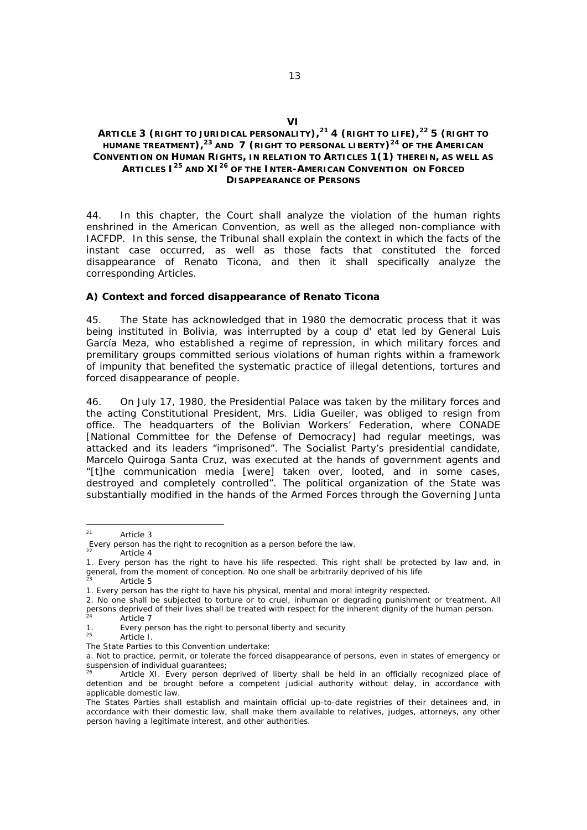## **ARTICLE 3 (RIGHT TO JURIDICAL PERSONALITY),<sup>21</sup> 4 (RIGHT TO LIFE),<sup>22</sup> 5 (RIGHT TO**  HUMANE TREATMENT),<sup>23</sup> AND 7 (RIGHT TO PERSONAL LIBERTY)<sup>24</sup> OF THE AMERICAN **CONVENTION ON HUMAN RIGHTS, IN RELATION TO ARTICLES 1(1) THEREIN, AS WELL AS ARTICLES I25 AND XI26 OF THE INTER-AMERICAN CONVENTION ON FORCED DISAPPEARANCE OF PERSONS**

44. In this chapter, the Court shall analyze the violation of the human rights enshrined in the American Convention, as well as the alleged non-compliance with IACFDP. In this sense, the Tribunal shall explain the context in which the facts of the instant case occurred, as well as those facts that constituted the forced disappearance of Renato Ticona, and then it shall specifically analyze the corresponding Articles.

#### *A) Context and forced disappearance of Renato Ticona*

45. The State has acknowledged that in 1980 the democratic process that it was being instituted in Bolivia, was interrupted by a coup d' etat led by General Luis García Meza, who established a regime of repression, in which military forces and premilitary groups committed serious violations of human rights within a framework of impunity that benefited the systematic practice of illegal detentions, tortures and forced disappearance of people.

46. On July 17, 1980, the Presidential Palace was taken by the military forces and the acting Constitutional President, Mrs. Lidia Gueiler, was obliged to resign from office. The headquarters of the Bolivian Workers' Federation, where CONADE [National Committee for the Defense of Democracy] had regular meetings, was attacked and its leaders "imprisoned". The Socialist Party's presidential candidate, Marcelo Quiroga Santa Cruz, was executed at the hands of government agents and "[t]he communication media [were] taken over, looted, and in some cases, destroyed and completely controlled". The political organization of the State was substantially modified in the hands of the Armed Forces through the Governing Junta

<sup>21</sup> Article 3

Every person has the right to recognition as a person before the law.

Article 4

<sup>1.</sup> Every person has the right to have his life respected. This right shall be protected by law and, in general, from the moment of conception. No one shall be arbitrarily deprived of his life Article 5

<sup>1.</sup> Every person has the right to have his physical, mental and moral integrity respected.

<sup>2.</sup> No one shall be subjected to torture or to cruel, inhuman or degrading punishment or treatment. All persons deprived of their lives shall be treated with respect for the inherent dignity of the human person.<br>24 Article 7

<sup>1.</sup> Every person has the right to personal liberty and security

Article I.

The State Parties to this Convention undertake:

a. Not to practice, permit, or tolerate the forced disappearance of persons, even in states of emergency or suspension of individual guarantees;

Article XI. Every person deprived of liberty shall be held in an officially recognized place of detention and be brought before a competent judicial authority without delay, in accordance with applicable domestic law.

The States Parties shall establish and maintain official up-to-date registries of their detainees and, in accordance with their domestic law, shall make them available to relatives, judges, attorneys, any other person having a legitimate interest, and other authorities.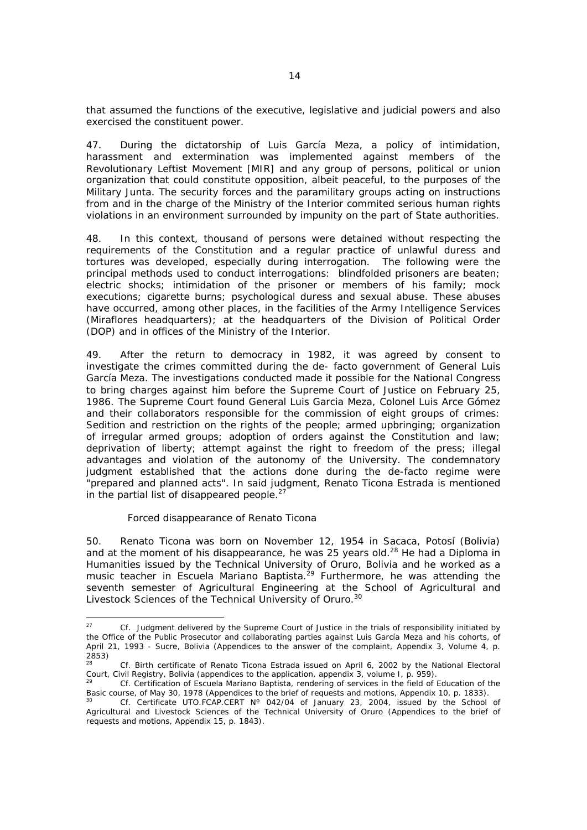that assumed the functions of the executive, legislative and judicial powers and also exercised the constituent power.

47. During the dictatorship of Luis García Meza, a policy of intimidation, harassment and extermination was implemented against members of the Revolutionary Leftist Movement [MIR] and any group of persons, political or union organization that could constitute opposition, albeit peaceful, to the purposes of the Military Junta. The security forces and the paramilitary groups acting on instructions from and in the charge of the Ministry of the Interior commited serious human rights violations in an environment surrounded by impunity on the part of State authorities.

48. In this context, thousand of persons were detained without respecting the requirements of the Constitution and a regular practice of unlawful duress and tortures was developed, especially during interrogation. The following were the principal methods used to conduct interrogations: blindfolded prisoners are beaten; electric shocks; intimidation of the prisoner or members of his family; mock executions; cigarette burns; psychological duress and sexual abuse. These abuses have occurred, among other places, in the facilities of the Army Intelligence Services (Miraflores headquarters); at the headquarters of the Division of Political Order (DOP) and in offices of the Ministry of the Interior.

49. After the return to democracy in 1982, it was agreed by consent to investigate the crimes committed during the *de- facto* government of General Luis García Meza. The investigations conducted made it possible for the National Congress to bring charges against him before the Supreme Court of Justice on February 25, 1986. The Supreme Court found General Luis Garcia Meza, Colonel Luis Arce Gómez and their collaborators responsible for the commission of eight groups of crimes: Sedition and restriction on the rights of the people; armed upbringing; organization of irregular armed groups; adoption of orders against the Constitution and law; deprivation of liberty; attempt against the right to freedom of the press; illegal advantages and violation of the autonomy of the University. The condemnatory judgment established that the actions done during the *de-facto* regime were "prepared and planned acts". In said judgment, Renato Ticona Estrada is mentioned in the partial list of disappeared people. $27$ 

#### *Forced disappearance of Renato Ticona*

50. Renato Ticona was born on November 12, 1954 in Sacaca, Potosí (Bolivia) and at the moment of his disappearance, he was 25 years old.<sup>28</sup> He had a Diploma in Humanities issued by the Technical University of Oruro, Bolivia and he worked as a music teacher in Escuela Mariano Baptista.<sup> $29$ </sup> Furthermore, he was attending the seventh semester of Agricultural Engineering at the School of Agricultural and Livestock Sciences of the Technical University of Oruro.<sup>30</sup>

 $27$ 27 *Cf.* Judgment delivered by the Supreme Court of Justice in the trials of responsibility initiated by the Office of the Public Prosecutor and collaborating parties against Luis García Meza and his cohorts, of April 21, 1993 - Sucre, Bolivia (Appendices to the answer of the complaint, Appendix 3, Volume 4, p. 2853)

<sup>&</sup>lt;sup>28</sup> *Cf.* Birth certificate of Renato Ticona Estrada issued on April 6, 2002 by the National Electoral Court, Civil Registry, Bolivia (appendices to the application, appendix 3, volume I, p. 959).

Cf. Certification of *Escuela Mariano Baptista*, rendering of services in the field of Education of the Basic course, of May 30, 1978 (Appendices to the brief of requests and motions, Appendix 10, p. 1833).

<sup>30</sup> *Cf.* Certificate UTO.FCAP.CERT Nº 042/04 of January 23, 2004, issued by the School of Agricultural and Livestock Sciences of the Technical University of Oruro (Appendices to the brief of requests and motions, Appendix 15, p. 1843).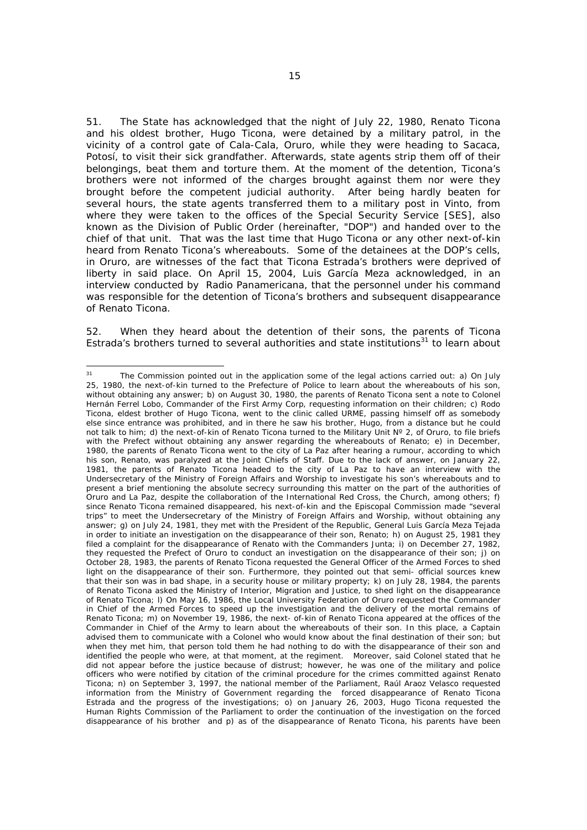51. The State has acknowledged that the night of July 22, 1980, Renato Ticona and his oldest brother, Hugo Ticona, were detained by a military patrol, in the vicinity of a control gate of Cala-Cala, Oruro, while they were heading to Sacaca, Potosí, to visit their sick grandfather. Afterwards, state agents strip them off of their belongings, beat them and torture them. At the moment of the detention, Ticona's brothers were not informed of the charges brought against them nor were they brought before the competent judicial authority. After being hardly beaten for several hours, the state agents transferred them to a military post in Vinto, from where they were taken to the offices of the Special Security Service [SES], also known as the Division of Public Order (hereinafter, "DOP") and handed over to the chief of that unit. That was the last time that Hugo Ticona or any other next-of-kin heard from Renato Ticona's whereabouts. Some of the detainees at the DOP's cells, in Oruro, are witnesses of the fact that Ticona Estrada's brothers were deprived of liberty in said place. On April 15, 2004, Luis García Meza acknowledged, in an interview conducted by Radio Panamericana, that the personnel under his command was responsible for the detention of Ticona's brothers and subsequent disappearance of Renato Ticona.

52. When they heard about the detention of their sons, the parents of Ticona Estrada's brothers turned to several authorities and state institutions $31$  to learn about

 $31$ The Commission pointed out in the application some of the legal actions carried out: a) On July 25, 1980, the next-of-kin turned to the Prefecture of Police to learn about the whereabouts of his son, without obtaining any answer; b) on August 30, 1980, the parents of Renato Ticona sent a note to Colonel Hernán Ferrel Lobo, Commander of the First Army Corp, requesting information on their children; c) Rodo Ticona, eldest brother of Hugo Ticona, went to the clinic called URME, passing himself off as somebody else since entrance was prohibited, and in there he saw his brother, Hugo, from a distance but he could not talk to him; d) the next-of-kin of Renato Ticona turned to the Military Unit Nº 2, of Oruro, to file briefs with the Prefect without obtaining any answer regarding the whereabouts of Renato; e) in December, 1980, the parents of Renato Ticona went to the city of La Paz after hearing a rumour, according to which his son, Renato, was paralyzed at the Joint Chiefs of Staff. Due to the lack of answer, on January 22, 1981, the parents of Renato Ticona headed to the city of La Paz to have an interview with the Undersecretary of the Ministry of Foreign Affairs and Worship to investigate his son's whereabouts and to present a brief mentioning the absolute secrecy surrounding this matter on the part of the authorities of Oruro and La Paz, despite the collaboration of the International Red Cross, the Church, among others; f) since Renato Ticona remained disappeared, his next-of-kin and the Episcopal Commission made "several trips" to meet the Undersecretary of the Ministry of Foreign Affairs and Worship, without obtaining any answer; g) on July 24, 1981, they met with the President of the Republic, General Luis García Meza Tejada in order to initiate an investigation on the disappearance of their son, Renato; h) on August 25, 1981 they filed a complaint for the disappearance of Renato with the Commanders Junta; i) on December 27, 1982, they requested the Prefect of Oruro to conduct an investigation on the disappearance of their son; j) on October 28, 1983, the parents of Renato Ticona requested the General Officer of the Armed Forces to shed light on the disappearance of their son. Furthermore, they pointed out that semi- official sources knew that their son was in bad shape, in a security house or military property; k) on July 28, 1984, the parents of Renato Ticona asked the Ministry of Interior, Migration and Justice, to shed light on the disappearance of Renato Ticona; l) On May 16, 1986, the Local University Federation of Oruro requested the Commander in Chief of the Armed Forces to speed up the investigation and the delivery of the mortal remains of Renato Ticona; m) on November 19, 1986, the next- of-kin of Renato Ticona appeared at the offices of the Commander in Chief of the Army to learn about the whereabouts of their son. In this place, a Captain advised them to communicate with a Colonel who would know about the final destination of their son; but when they met him, that person told them he had nothing to do with the disappearance of their son and identified the people who were, at that moment, at the regiment. Moreover, said Colonel stated that he did not appear before the justice because of distrust; however, he was one of the military and police officers who were notified by citation of the criminal procedure for the crimes committed against Renato Ticona; n) on September 3, 1997, the national member of the Parliament, Raúl Araoz Velasco requested information from the Ministry of Government regarding the forced disappearance of Renato Ticona Estrada and the progress of the investigations; o) on January 26, 2003, Hugo Ticona requested the Human Rights Commission of the Parliament to order the continuation of the investigation on the forced disappearance of his brother and p) as of the disappearance of Renato Ticona, his parents have been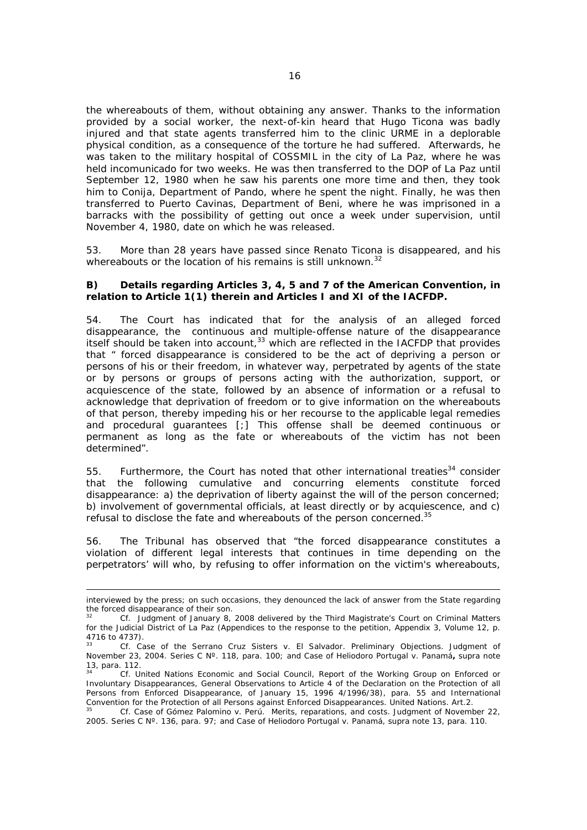the whereabouts of them, without obtaining any answer. Thanks to the information provided by a social worker, the next-of-kin heard that Hugo Ticona was badly injured and that state agents transferred him to the clinic URME in a deplorable physical condition, as a consequence of the torture he had suffered. Afterwards, he was taken to the military hospital of COSSMIL in the city of La Paz, where he was held incomunicado for two weeks. He was then transferred to the DOP of La Paz until September 12, 1980 when he saw his parents one more time and then, they took him to Conija, Department of Pando, where he spent the night. Finally, he was then transferred to Puerto Cavinas, Department of Beni, where he was imprisoned in a barracks with the possibility of getting out once a week under supervision, until November 4, 1980, date on which he was released.

53. More than 28 years have passed since Renato Ticona is disappeared, and his whereabouts or the location of his remains is still unknown.<sup>32</sup>

#### *B) Details regarding Articles 3, 4, 5 and 7 of the American Convention, in relation to Article 1(1) therein and Articles I and XI of the IACFDP.*

54. The Court has indicated that for the analysis of an alleged forced disappearance, the continuous and multiple-offense nature of the disappearance itself should be taken into account,33 which are reflected in the IACFDP that provides that " forced disappearance is considered to be the act of depriving a person or persons of his or their freedom, in whatever way, perpetrated by agents of the state or by persons or groups of persons acting with the authorization, support, or acquiescence of the state, followed by an absence of information or a refusal to acknowledge that deprivation of freedom or to give information on the whereabouts of that person, thereby impeding his or her recourse to the applicable legal remedies and procedural guarantees [;] This offense shall be deemed continuous or permanent as long as the fate or whereabouts of the victim has not been determined".

55. Furthermore, the Court has noted that other international treaties<sup>34</sup> consider that the following cumulative and concurring elements constitute forced disappearance: a) the deprivation of liberty against the will of the person concerned; b) involvement of governmental officials, at least directly or by acquiescence, and c) refusal to disclose the fate and whereabouts of the person concerned.<sup>35</sup>

56. The Tribunal has observed that "the forced disappearance constitutes a violation of different legal interests that continues in time depending on the perpetrators' will who, by refusing to offer information on the victim's whereabouts,

interviewed by the press; on such occasions, they denounced the lack of answer from the State regarding the forced disappearance of their son.

<sup>32</sup> *Cf.* Judgment of January 8, 2008 delivered by the Third Magistrate's Court on Criminal Matters for the Judicial District of La Paz (Appendices to the response to the petition, Appendix 3, Volume 12, p. 4716 to 4737).

<sup>33</sup> *Cf. Case of the Serrano Cruz Sisters v. El Salvador.* Preliminary Objections. Judgment of November 23, 2004. Series C Nº. 118, para. 100; and *Case of Heliodoro Portugal v. Panamá***,** *supra* note 13, para. 112.

<sup>34</sup> *Cf.* United Nations Economic and Social Council, Report of the Working Group on Enforced or Involuntary Disappearances, General Observations to Article 4 of the Declaration on the Protection of all Persons from Enforced Disappearance, of January 15, 1996 4/1996/38), para. 55 and International Convention for the Protection of all Persons against Enforced Disappearances. United Nations. Art.2. 35 *Cf. Case of Gómez Palomino v. Perú*. Merits, reparations, and costs. Judgment of November 22,

<sup>2005.</sup> Series C Nº. 136, para. 97; and *Case of Heliodoro Portugal v. Panamá*, *supra* note 13, para. 110.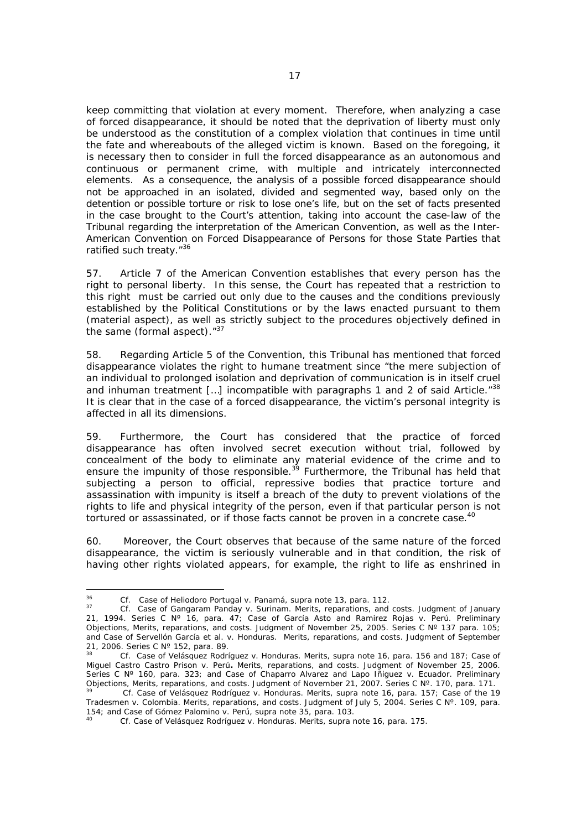keep committing that violation at every moment. Therefore, when analyzing a case of forced disappearance, it should be noted that the deprivation of liberty must only be understood as the constitution of a complex violation that continues in time until the fate and whereabouts of the alleged victim is known. Based on the foregoing, it is necessary then to consider in full the forced disappearance as an autonomous and continuous or permanent crime, with multiple and intricately interconnected elements. As a consequence, the analysis of a possible forced disappearance should not be approached in an isolated, divided and segmented way, based only on the detention or possible torture or risk to lose one's life, but on the set of facts presented in the case brought to the Court's attention, taking into account the case-law of the Tribunal regarding the interpretation of the American Convention, as well as the Inter-American Convention on Forced Disappearance of Persons for those State Parties that ratified such treaty."<sup>36</sup>

57. Article 7 of the American Convention establishes that every person has the right to personal liberty. In this sense, the Court has repeated that a restriction to this right must be carried out only due to the causes and the conditions previously established by the Political Constitutions or by the laws enacted pursuant to them (material aspect), as well as strictly subject to the procedures objectively defined in the same (formal aspect)."<sup>37</sup>

58. Regarding Article 5 of the Convention, this Tribunal has mentioned that forced disappearance violates the right to humane treatment since "the mere subjection of an individual to prolonged isolation and deprivation of communication is in itself cruel and inhuman treatment [...] incompatible with paragraphs 1 and 2 of said Article. $138$ It is clear that in the case of a forced disappearance, the victim's personal integrity is affected in all its dimensions.

59. Furthermore, the Court has considered that the practice of forced disappearance has often involved secret execution without trial, followed by concealment of the body to eliminate any material evidence of the crime and to ensure the impunity of those responsible.<sup>39</sup> Furthermore, the Tribunal has held that subjecting a person to official, repressive bodies that practice torture and assassination with impunity is itself a breach of the duty to prevent violations of the rights to life and physical integrity of the person, even if that particular person is not tortured or assassinated, or if those facts cannot be proven in a concrete case.<sup>40</sup>

60. Moreover, the Court observes that because of the same nature of the forced disappearance, the victim is seriously vulnerable and in that condition, the risk of having other rights violated appears, for example, the right to life as enshrined in

<sup>36</sup> 

<sup>36</sup> *Cf. Case of Heliodoro Portugal v. Panamá*, *supra* note 13, para. 112. 37 *Cf. Case of Gangaram Panday v. Surinam*. Merits, reparations, and costs. Judgment of January 21, 1994. Series C Nº 16, para. 47; *Case of García Asto and Ramirez Rojas v. Perú*. Preliminary Objections, Merits, reparations, and costs. Judgment of November 25, 2005. Series C Nº 137 para. 105; and *Case of Servellón García et al. v. Honduras*. Merits, reparations, and costs. Judgment of September 21, 2006. Series C Nº 152, para. 89.

<sup>38</sup> *Cf. Case of Velásquez Rodríguez v. Honduras.* Merits, supra note 16, para. 156 and 187; *Case of Miguel Castro Castro Prison v. Perú***.** Merits, reparations, and costs. Judgment of November 25, 2006. Series C Nº 160, para. 323; and *Case of Chaparro Alvarez and Lapo Iñiguez v. Ecuador*. Preliminary Objections, Merits, reparations, and costs. Judgment of November 21, 2007. Series C Nº. 170, para. 171.

<sup>39</sup> *Cf. Case of Velásquez Rodríguez v. Honduras.* Merits, supra note 16, para. 157; *Case of the 19 Tradesmen v. Colombia.* Merits, reparations, and costs. Judgment of July 5, 2004. Series C Nº. 109, para. 154; and *Case of Gómez Palomino v. Perú*, *supra* note 35, para. 103. 40 *Cf. Case of Velásquez Rodríguez v. Honduras.* Merits, supra note 16, para. 175.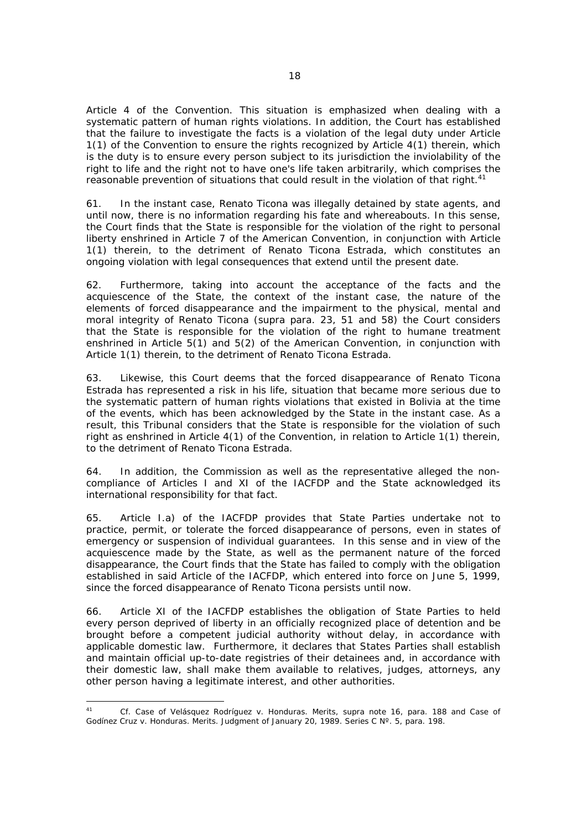Article 4 of the Convention. This situation is emphasized when dealing with a systematic pattern of human rights violations. In addition, the Court has established that the failure to investigate the facts is a violation of the legal duty under Article 1(1) of the Convention to ensure the rights recognized by Article 4(1) therein, which is the duty is to ensure every person subject to its jurisdiction the inviolability of the right to life and the right not to have one's life taken arbitrarily, which comprises the reasonable prevention of situations that could result in the violation of that right.<sup>41</sup>

61. In the instant case, Renato Ticona was illegally detained by state agents, and until now, there is no information regarding his fate and whereabouts. In this sense, the Court finds that the State is responsible for the violation of the right to personal liberty enshrined in Article 7 of the American Convention, in conjunction with Article 1(1) therein, to the detriment of Renato Ticona Estrada, which constitutes an ongoing violation with legal consequences that extend until the present date.

62. Furthermore, taking into account the acceptance of the facts and the acquiescence of the State, the context of the instant case, the nature of the elements of forced disappearance and the impairment to the physical, mental and moral integrity of Renato Ticona (*supra* para. 23, 51 and 58) the Court considers that the State is responsible for the violation of the right to humane treatment enshrined in Article 5(1) and 5(2) of the American Convention, in conjunction with Article 1(1) therein, to the detriment of Renato Ticona Estrada.

63. Likewise, this Court deems that the forced disappearance of Renato Ticona Estrada has represented a risk in his life, situation that became more serious due to the systematic pattern of human rights violations that existed in Bolivia at the time of the events, which has been acknowledged by the State in the instant case. As a result, this Tribunal considers that the State is responsible for the violation of such right as enshrined in Article 4(1) of the Convention, in relation to Article 1(1) therein, to the detriment of Renato Ticona Estrada.

64. In addition, the Commission as well as the representative alleged the noncompliance of Articles I and XI of the IACFDP and the State acknowledged its international responsibility for that fact.

65. Article I.a) of the IACFDP provides that State Parties undertake not to practice, permit, or tolerate the forced disappearance of persons, even in states of emergency or suspension of individual guarantees. In this sense and in view of the acquiescence made by the State, as well as the permanent nature of the forced disappearance, the Court finds that the State has failed to comply with the obligation established in said Article of the IACFDP, which entered into force on June 5, 1999, since the forced disappearance of Renato Ticona persists until now.

66. Article XI of the IACFDP establishes the obligation of State Parties to held every person deprived of liberty in an officially recognized place of detention and be brought before a competent judicial authority without delay, in accordance with applicable domestic law. Furthermore, it declares that States Parties shall establish and maintain official up-to-date registries of their detainees and, in accordance with their domestic law, shall make them available to relatives, judges, attorneys, any other person having a legitimate interest, and other authorities.

 $\overline{41}$ <sup>41</sup> *Cf. Case of Velásquez Rodríguez v. Honduras.* Merits, supra note 16, para. *188 and Case of Godínez Cruz v. Honduras.* Merits. Judgment of January 20, 1989. Series C Nº. 5, para. 198.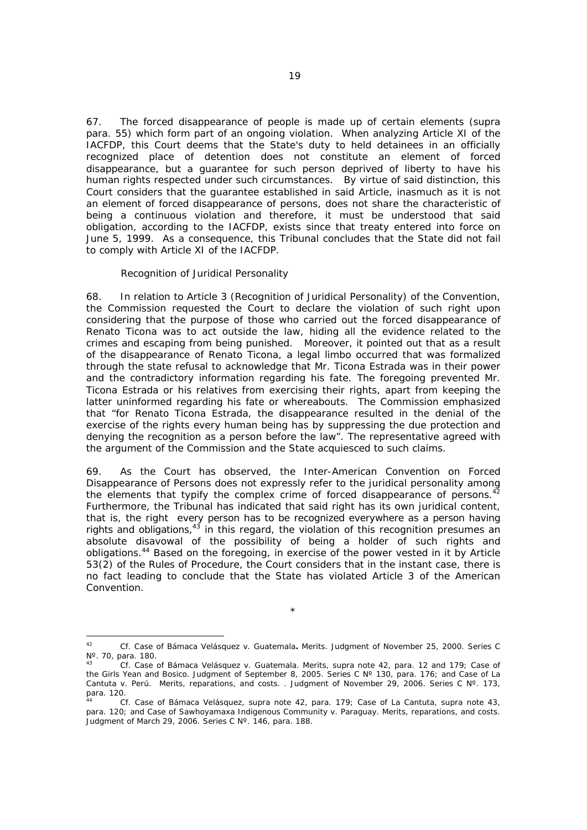67. The forced disappearance of people is made up of certain elements (*supra* para. 55) which form part of an ongoing violation. When analyzing Article XI of the IACFDP, this Court deems that the State's duty to held detainees in an officially recognized place of detention does not constitute an element of forced disappearance, but a guarantee for such person deprived of liberty to have his human rights respected under such circumstances. By virtue of said distinction, this Court considers that the guarantee established in said Article, inasmuch as it is not an element of forced disappearance of persons, does not share the characteristic of being a continuous violation and therefore, it must be understood that said obligation, according to the IACFDP, exists since that treaty entered into force on June 5, 1999. As a consequence, this Tribunal concludes that the State did not fail to comply with Article XI of the IACFDP.

#### *Recognition of Juridical Personality*

l

68. In relation to Article 3 (Recognition of Juridical Personality) of the Convention, the Commission requested the Court to declare the violation of such right upon considering that the purpose of those who carried out the forced disappearance of Renato Ticona was to act outside the law, hiding all the evidence related to the crimes and escaping from being punished. Moreover, it pointed out that as a result of the disappearance of Renato Ticona, a legal limbo occurred that was formalized through the state refusal to acknowledge that Mr. Ticona Estrada was in their power and the contradictory information regarding his fate. The foregoing prevented Mr. Ticona Estrada or his relatives from exercising their rights, apart from keeping the latter uninformed regarding his fate or whereabouts. The Commission emphasized that "for Renato Ticona Estrada, the disappearance resulted in the denial of the exercise of the rights every human being has by suppressing the due protection and denying the recognition as a person before the law". The representative agreed with the argument of the Commission and the State acquiesced to such claims.

69. As the Court has observed, the Inter-American Convention on Forced Disappearance of Persons does not expressly refer to the juridical personality among the elements that typify the complex crime of forced disappearance of persons. $42$ Furthermore, the Tribunal has indicated that said right has its own juridical content. that is, the right every person has to be recognized everywhere as a person having rights and obligations,  $43$  in this regard, the violation of this recognition presumes an absolute disavowal of the possibility of being a holder of such rights and obligations.44 Based on the foregoing, in exercise of the power vested in it by Article 53(2) of the Rules of Procedure, the Court considers that in the instant case, there is no fact leading to conclude that the State has violated Article 3 of the American Convention.

<sup>\*</sup> 

<sup>42</sup> *Cf. Case of Bámaca Velásquez v. Guatemala.* Merits. Judgment of November 25, 2000. Series C Nº. 70, para. 180.

<sup>43</sup> *Cf. Case of Bámaca Velásquez v. Guatemala.* Merits, supra note 42, para. 12 and 179; *Case of the Girls Yean and Bosico*. Judgment of September 8, 2005. Series C Nº 130, para. 176; and *Case of La Cantuta v. Perú*. Merits, reparations, and costs. . Judgment of November 29, 2006. Series C Nº. 173, para. 120.

<sup>44</sup> *Cf. Case of Bámaca Velásquez, supra* note 42, para. 179; *Case of La Cantuta*, supra note 43, *para.* 120; and *Case of Sawhoyamaxa Indigenous Community v. Paraguay.* Merits, reparations, and costs. Judgment of March 29, 2006. Series C Nº. 146, para. 188.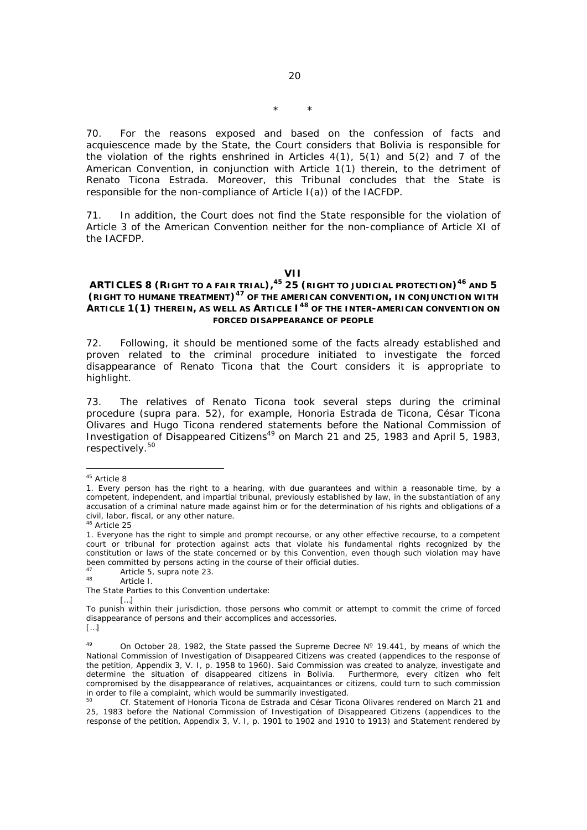20

70. For the reasons exposed and based on the confession of facts and acquiescence made by the State, the Court considers that Bolivia is responsible for the violation of the rights enshrined in Articles 4(1), 5(1) and 5(2) and 7 of the American Convention, in conjunction with Article 1(1) therein, to the detriment of Renato Ticona Estrada. Moreover, this Tribunal concludes that the State is responsible for the non-compliance of Article I(a)) of the IACFDP.

71. In addition, the Court does not find the State responsible for the violation of Article 3 of the American Convention neither for the non-compliance of Article XI of the IACFDP.

**VII** 

## **ARTICLES 8 (RIGHT TO A FAIR TRIAL),<sup>45</sup> 25 (RIGHT TO JUDICIAL PROTECTION)46 AND 5 (RIGHT TO HUMANE TREATMENT)47 OF THE AMERICAN CONVENTION, IN CONJUNCTION WITH ARTICLE 1(1) THEREIN, AS WELL AS ARTICLE I48 OF THE INTER-AMERICAN CONVENTION ON FORCED DISAPPEARANCE OF PEOPLE**

72. Following, it should be mentioned some of the facts already established and proven related to the criminal procedure initiated to investigate the forced disappearance of Renato Ticona that the Court considers it is appropriate to highlight.

73. The relatives of Renato Ticona took several steps during the criminal procedure (*supra* para. 52), for example, Honoria Estrada de Ticona, César Ticona Olivares and Hugo Ticona rendered statements before the National Commission of Investigation of Disappeared Citizens<sup>49</sup> on March 21 and 25, 1983 and April 5, 1983, respectively.<sup>50</sup>

 $\overline{a}$ 

[…]

<sup>&</sup>lt;sup>45</sup> Article 8

<sup>1.</sup> Every person has the right to a hearing, with due guarantees and within a reasonable time, by a competent, independent, and impartial tribunal, previously established by law, in the substantiation of any accusation of a criminal nature made against him or for the determination of his rights and obligations of a civil, labor, fiscal, or any other nature.

<sup>46</sup> Article 25

<sup>1.</sup> Everyone has the right to simple and prompt recourse, or any other effective recourse, to a competent court or tribunal for protection against acts that violate his fundamental rights recognized by the constitution or laws of the state concerned or by this Convention, even though such violation may have been committed by persons acting in the course of their official duties.

 $^{47}$  Article 5, supra note 23.<br> $^{48}$  Article I.

The State Parties to this Convention undertake: […]

To punish within their jurisdiction, those persons who commit or attempt to commit the crime of forced disappearance of persons and their accomplices and accessories.

<sup>&</sup>lt;sup>49</sup> On October 28, 1982, the State passed the Supreme Decree N° 19.441, by means of which the National Commission of Investigation of Disappeared Citizens was created (appendices to the response of the petition, Appendix 3, V. I, p. 1958 to 1960). Said Commission was created to analyze, investigate and determine the situation of disappeared citizens in Bolivia. Furthermore, every citizen who felt compromised by the disappearance of relatives, acquaintances or citizens, could turn to such commission in order to file a complaint, which would be summarily investigated.

Cf. Statement of Honoria Ticona de Estrada and César Ticona Olivares rendered on March 21 and 25, 1983 before the National Commission of Investigation of Disappeared Citizens (appendices to the response of the petition, Appendix 3, V. I, p. 1901 to 1902 and 1910 to 1913) and Statement rendered by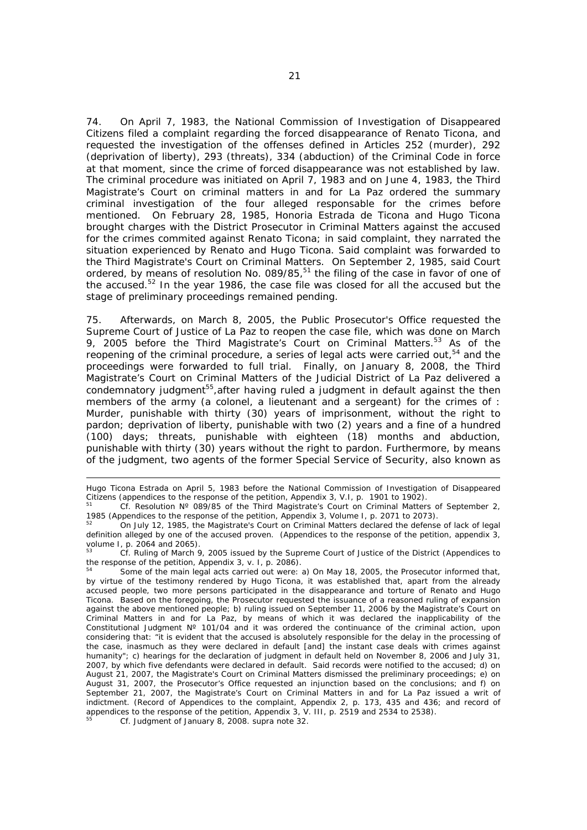74. On April 7, 1983, the National Commission of Investigation of Disappeared Citizens filed a complaint regarding the forced disappearance of Renato Ticona, and requested the investigation of the offenses defined in Articles 252 (murder), 292 (deprivation of liberty), 293 (threats), 334 (abduction) of the Criminal Code in force at that moment, since the crime of forced disappearance was not established by law. The criminal procedure was initiated on April 7, 1983 and on June 4, 1983, the Third Magistrate's Court on criminal matters in and for La Paz ordered the summary criminal investigation of the four alleged responsable for the crimes before mentioned. On February 28, 1985, Honoria Estrada de Ticona and Hugo Ticona brought charges with the District Prosecutor in Criminal Matters against the accused for the crimes commited against Renato Ticona; in said complaint, they narrated the situation experienced by Renato and Hugo Ticona. Said complaint was forwarded to the Third Magistrate's Court on Criminal Matters. On September 2, 1985, said Court ordered, by means of resolution No.  $0.089/85$ ,<sup>51</sup> the filing of the case in favor of one of the accused.<sup>52</sup> In the year 1986, the case file was closed for all the accused but the stage of preliminary proceedings remained pending.

75. Afterwards, on March 8, 2005, the Public Prosecutor's Office requested the Supreme Court of Justice of La Paz to reopen the case file, which was done on March 9, 2005 before the Third Magistrate's Court on Criminal Matters.<sup>53</sup> As of the reopening of the criminal procedure, a series of legal acts were carried out,<sup>54</sup> and the proceedings were forwarded to full trial. Finally, on January 8, 2008, the Third Magistrate's Court on Criminal Matters of the Judicial District of La Paz delivered a condemnatory judgment $55$ , after having ruled a judgment in default against the then members of the army (a colonel, a lieutenant and a sergeant) for the crimes of : Murder, punishable with thirty (30) years of imprisonment, without the right to pardon; deprivation of liberty, punishable with two (2) years and a fine of a hundred (100) days; threats, punishable with eighteen (18) months and abduction, punishable with thirty (30) years without the right to pardon. Furthermore, by means of the judgment, two agents of the former Special Service of Security, also known as

Hugo Ticona Estrada on April 5, 1983 before the National Commission of Investigation of Disappeared

Citizens (appendices to the response of the petition, Appendix 3, V.I, p. 1901 to 1902).<br>
<sup>51</sup> *Cf.* Resolution N° 089/85 of the Third Magistrate's Court on Criminal Matters of September 2,<br>
1985 (Appendices to the respons

On July 12, 1985, the Magistrate's Court on Criminal Matters declared the defense of lack of legal definition alleged by one of the accused proven. (Appendices to the response of the petition, appendix 3, volume I, p. 2064 and 2065).

<sup>53</sup> *Cf.* Ruling of March 9, 2005 issued by the Supreme Court of Justice of the District (Appendices to the response of the petition, Appendix 3, v. I, p. 2086).

Some of the main legal acts carried out were: a) On May 18, 2005, the Prosecutor informed that, by virtue of the testimony rendered by Hugo Ticona, it was established that, apart from the already accused people, two more persons participated in the disappearance and torture of Renato and Hugo Ticona. Based on the foregoing, the Prosecutor requested the issuance of a reasoned ruling of expansion against the above mentioned people; b) ruling issued on September 11, 2006 by the Magistrate's Court on Criminal Matters in and for La Paz, by means of which it was declared the inapplicability of the Constitutional Judgment  $N^{\circ}$  101/04 and it was ordered the continuance of the criminal action, upon considering that: "it is evident that the accused is absolutely responsible for the delay in the processing of the case, inasmuch as they were declared in default [and] the instant case deals with crimes against humanity"; c) hearings for the declaration of judgment in default held on November 8, 2006 and July 31, 2007, by which five defendants were declared in default. Said records were notified to the accused; d) on August 21, 2007, the Magistrate's Court on Criminal Matters dismissed the preliminary proceedings; e) on August 31, 2007, the Prosecutor's Office requested an injunction based on the conclusions; and f) on September 21, 2007, the Magistrate's Court on Criminal Matters in and for La Paz issued a writ of indictment. (Record of Appendices to the complaint, Appendix 2, p. 173, 435 and 436; and record of appendices to the response of the petition, Appendix 3, V. III, p. 2519 and 2534 to 2538).

<sup>55</sup> *Cf.* Judgment of January 8, 2008. *supra* note 32.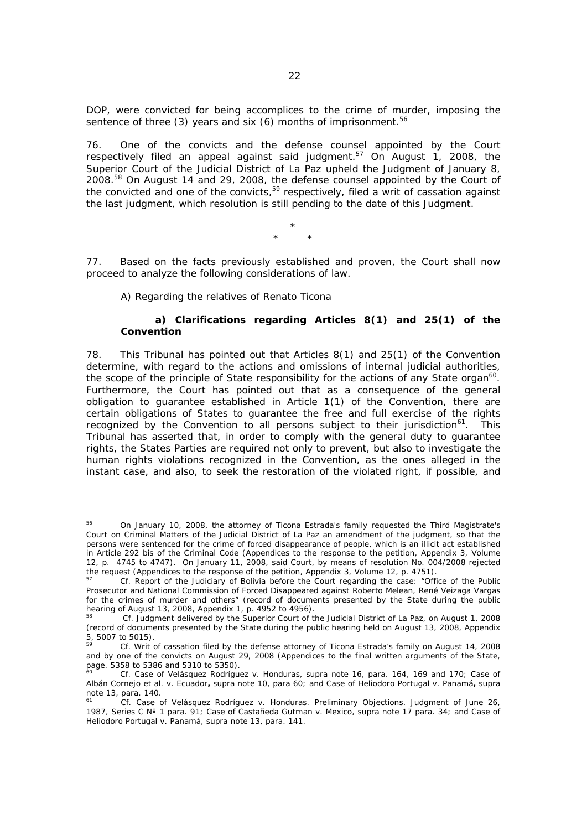DOP, were convicted for being accomplices to the crime of murder, imposing the sentence of three (3) years and six (6) months of imprisonment.<sup>56</sup>

76. One of the convicts and the defense counsel appointed by the Court respectively filed an appeal against said judgment.<sup>57</sup> On August 1, 2008, the Superior Court of the Judicial District of La Paz upheld the Judgment of January 8, 2008.58 On August 14 and 29, 2008, the defense counsel appointed by the Court of the convicted and one of the convicts,<sup>59</sup> respectively, filed a writ of cassation against the last judgment, which resolution is still pending to the date of this Judgment.

> \* \* \*

77. Based on the facts previously established and proven, the Court shall now proceed to analyze the following considerations of law.

A) Regarding the relatives of Renato Ticona

## *a) Clarifications regarding Articles 8(1) and 25(1) of the Convention*

78. This Tribunal has pointed out that Articles 8(1) and 25(1) of the Convention determine, with regard to the actions and omissions of internal judicial authorities, the scope of the principle of State responsibility for the actions of any State organ $^{60}$ . Furthermore, the Court has pointed out that as a consequence of the general obligation to guarantee established in Article 1(1) of the Convention, there are certain obligations of States to guarantee the free and full exercise of the rights recognized by the Convention to all persons subject to their jurisdiction<sup>61</sup>. This Tribunal has asserted that, in order to comply with the general duty to guarantee rights, the States Parties are required not only to prevent, but also to investigate the human rights violations recognized in the Convention, as the ones alleged in the instant case, and also, to seek the restoration of the violated right, if possible, and

<sup>56</sup> 56 On January 10, 2008, the attorney of Ticona Estrada's family requested the Third Magistrate's Court on Criminal Matters of the Judicial District of La Paz an amendment of the judgment, so that the persons were sentenced for the crime of forced disappearance of people, which is an illicit act established in Article 292 bis of the Criminal Code (Appendices to the response to the petition, Appendix 3, Volume 12, p. 4745 to 4747). On January 11, 2008, said Court, by means of resolution No. 004/2008 rejected the request (Appendices to the response of the petition, Appendix 3, Volume 12, p. 4751).

<sup>57</sup> *Cf.* Report of the Judiciary of Bolivia before the Court regarding the case: "Office of the Public Prosecutor and National Commission of Forced Disappeared against Roberto Melean, René Veizaga Vargas for the crimes of murder and others" (record of documents presented by the State during the public hearing of August 13, 2008, Appendix 1, p. 4952 to 4956).

<sup>58</sup> *Cf.* Judgment delivered by the Superior Court of the Judicial District of La Paz, on August 1, 2008 (record of documents presented by the State during the public hearing held on August 13, 2008, Appendix  $5, 5007$  to 5015).

<sup>59</sup> *Cf.* Writ of cassation filed by the defense attorney of Ticona Estrada's family on August 14, 2008 and by one of the convicts on August 29, 2008 (Appendices to the final written arguments of the State, page. 5358 to 5386 and 5310 to 5350).

<sup>60</sup> *Cf. Case of Velásquez Rodríguez v. Honduras,* supra note 16, para. 164, 169 and 170; *Case of Albán Cornejo et al. v. Ecuador***,** *supra* note 10, para 60; and *Case of Heliodoro Portugal v. Panamá***,** supra note 13, para. 140.

<sup>61</sup> *Cf. Case of Velásquez Rodríguez v. Honduras. Preliminary Objections. Judgment of June 26, 1987, Series C Nº 1 para*. 91; *Case of Castañeda Gutman v. Mexico, supra* note 17 para. 34; and *Case of Heliodoro Portugal v. Panamá,* supra note 13, para. 141.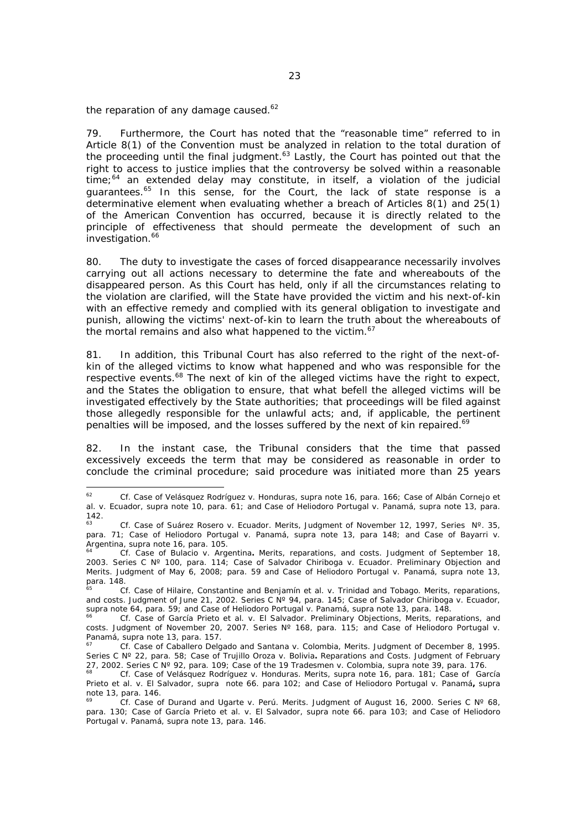the reparation of any damage caused. $62$ 

79. Furthermore, the Court has noted that the "reasonable time" referred to in Article 8(1) of the Convention must be analyzed in relation to the total duration of the proceeding until the final judgment. $63$  Lastly, the Court has pointed out that the right to access to justice implies that the controversy be solved within a reasonable time; $64$  an extended delay may constitute, in itself, a violation of the judicial guarantees.<sup>65</sup> In this sense, for the Court, the lack of state response is a determinative element when evaluating whether a breach of Articles 8(1) and 25(1) of the American Convention has occurred, because it is directly related to the principle of effectiveness that should permeate the development of such an investigation.<sup>66</sup>

80. The duty to investigate the cases of forced disappearance necessarily involves carrying out all actions necessary to determine the fate and whereabouts of the disappeared person. As this Court has held, only if all the circumstances relating to the violation are clarified, will the State have provided the victim and his next-of-kin with an effective remedy and complied with its general obligation to investigate and punish, allowing the victims' next-of-kin to learn the truth about the whereabouts of the mortal remains and also what happened to the victim.<sup>67</sup>

81. In addition, this Tribunal Court has also referred to the right of the next-ofkin of the alleged victims to know what happened and who was responsible for the respective events.<sup>68</sup> The next of kin of the alleged victims have the right to expect, and the States the obligation to ensure, that what befell the alleged victims will be investigated effectively by the State authorities; that proceedings will be filed against those allegedly responsible for the unlawful acts; and, if applicable, the pertinent penalties will be imposed, and the losses suffered by the next of kin repaired.<sup>69</sup>

82. In the instant case, the Tribunal considers that the time that passed excessively exceeds the term that may be considered as reasonable in order to conclude the criminal procedure; said procedure was initiated more than 25 years

 $62$ <sup>62</sup> *Cf. Case of Velásquez Rodríguez v. Honduras*, supra note 16, para. 166; *Case of Albán Cornejo et al. v. Ecuador*, supra note 10, para. 61; and *Case of Heliodoro Portugal v. Panamá*, supra note 13, para.  $142.$ 

<sup>63</sup> *Cf. Case of Suárez Rosero v. Ecuador*. Merits, Judgment of November 12, 1997, Series Nº. 35, para. 71; *Case of Heliodoro Portugal v. Panamá, supra* note 13, para 148; and *Case of Bayarri v.* 

*Cf. Case of Bulacio v. Argentina*. Merits, reparations, and costs. Judgment of September 18, 2003. Series C Nº 100, para. 114; *Case of Salvador Chiriboga v. Ecuador.* Preliminary Objection and Merits. Judgment of May 6, 2008; para. 59 and *Case of Heliodoro Portugal v. Panamá*, supra note 13, para. 148.

<sup>65</sup> *Cf. Case of Hilaire, Constantine and Benjamín et al. v. Trinidad and Tobago*. Merits, reparations, and costs. Judgment of June 21, 2002. Series C N° 94, para. 145; *Case of Salvador Chiriboga v. Ecuador*, supra note 64, para. 59; and *Case of Heliodoro Portugal v. Panamá*, supra note 13, para. 148.

Cf. Case of García Prieto et al. v. El Salvador. Preliminary Objections, Merits, reparations, and costs. Judgment of November 20, 2007. Series N° 168, para. 115; and *Case of Heliodoro Portugal v. Panamá, supra* note 13, para. 157.

*Panamá*, *supra* note 13, para. 157. 67 *Cf. Case of Caballero Delgado and Santana v. Colombia,* Merits. Judgment of December 8, 1995. Series C N° 22, para. *58; Case of Trujillo Oroza v. Bolivia*. Reparations and Costs. Judgment of February 27, 2002. Series C N° 92, para. 109; Case of the 19 Tradesmen v. Colombia, supra note 39, para. 176.

Cf. Case of Velásquez Rodríquez v. Honduras. Merits, supra note 16, para. 181; Case of García *Prieto et al. v. El Salvador, supra* note 66. para 102; and *Case of Heliodoro Portugal v. Panamá***,** supra note 13, para. 146.

<sup>69</sup> *Cf. Case of Durand and Ugarte v. Perú*. Merits. Judgment of August 16, 2000. Series C Nº 68, para. 130; *Case of García Prieto et al. v. El Salvador, supra* note 66. para 103; and *Case of Heliodoro Portugal v. Panamá*, supra note 13, para. 146.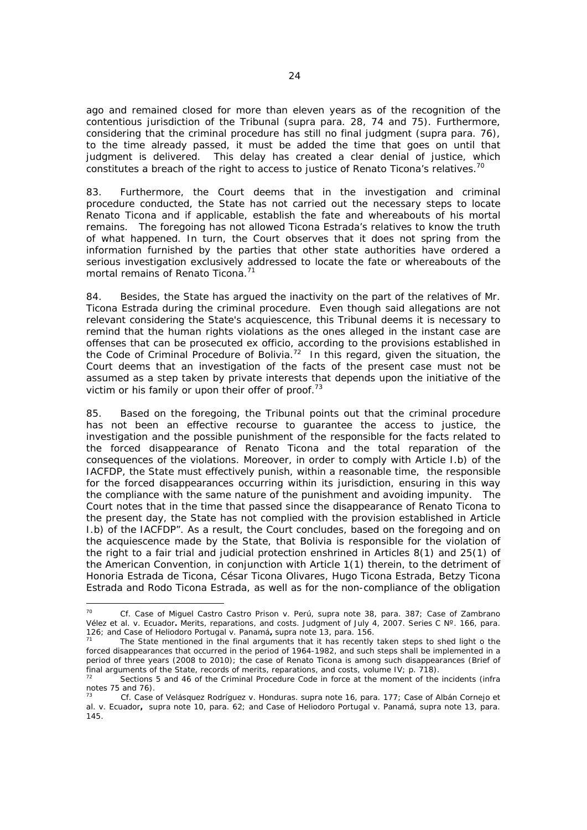ago and remained closed for more than eleven years as of the recognition of the contentious jurisdiction of the Tribunal (*supra* para. 28, 74 and 75). Furthermore, considering that the criminal procedure has still no final judgment (*supra* para. 76), to the time already passed, it must be added the time that goes on until that judgment is delivered. This delay has created a clear denial of justice, which constitutes a breach of the right to access to justice of Renato Ticona's relatives.<sup>70</sup>

83. Furthermore, the Court deems that in the investigation and criminal procedure conducted, the State has not carried out the necessary steps to locate Renato Ticona and if applicable, establish the fate and whereabouts of his mortal remains. The foregoing has not allowed Ticona Estrada's relatives to know the truth of what happened. In turn, the Court observes that it does not spring from the information furnished by the parties that other state authorities have ordered a serious investigation exclusively addressed to locate the fate or whereabouts of the mortal remains of Renato Ticona.<sup>71</sup>

84. Besides, the State has argued the inactivity on the part of the relatives of Mr. Ticona Estrada during the criminal procedure. Even though said allegations are not relevant considering the State's acquiescence, this Tribunal deems it is necessary to remind that the human rights violations as the ones alleged in the instant case are offenses that can be prosecuted *ex officio,* according to the provisions established in the Code of Criminal Procedure of Bolivia.<sup>72</sup> In this regard, given the situation, the Court deems that an investigation of the facts of the present case must not be assumed as a step taken by private interests that depends upon the initiative of the victim or his family or upon their offer of proof.<sup>73</sup>

85. Based on the foregoing, the Tribunal points out that the criminal procedure has not been an effective recourse to guarantee the access to justice, the investigation and the possible punishment of the responsible for the facts related to the forced disappearance of Renato Ticona and the total reparation of the consequences of the violations. Moreover, in order to comply with Article I.b) of the IACFDP, the State must effectively punish, within a reasonable time, the responsible for the forced disappearances occurring within its jurisdiction, ensuring in this way the compliance with the same nature of the punishment and avoiding impunity. The Court notes that in the time that passed since the disappearance of Renato Ticona to the present day, the State has not complied with the provision established in Article I.b) of the IACFDP". As a result, the Court concludes, based on the foregoing and on the acquiescence made by the State, that Bolivia is responsible for the violation of the right to a fair trial and judicial protection enshrined in Articles 8(1) and 25(1) of the American Convention, in conjunction with Article 1(1) therein, to the detriment of Honoria Estrada de Ticona, César Ticona Olivares, Hugo Ticona Estrada, Betzy Ticona Estrada and Rodo Ticona Estrada, as well as for the non-compliance of the obligation

<sup>70</sup> 70 *Cf. Case of Miguel Castro Castro Prison v. Perú*, supra note 38, para. 387; *Case of Zambrano Vélez et al. v. Ecuador***.** Merits, reparations, and costs. Judgment of July 4, 2007. Series C N°. 166, para.<br>126; and Case of Heliodoro Portugal v. Panamá, supra note 13, para. 156.

The State mentioned in the final arguments that it has recently taken steps to shed light o the forced disappearances that occurred in the period of 1964-1982, and such steps shall be implemented in a period of three years (2008 to 2010); the case of Renato Ticona is among such disappearances (Brief of final arguments of the State, records of merits, reparations, and costs, volume IV; p. 718).

<sup>72</sup> Sections 5 and 46 of the Criminal Procedure Code in force at the moment of the incidents (*infra* notes 75 and 76).

<sup>73</sup> *Cf. Case of Velásquez Rodríguez v. Honduras.* supra note 16, para. 177; *Case of Albán Cornejo et al. v. Ecuador***,** *supra* note 10, para. 62; and *Case of Heliodoro Portugal v. Panamá, supra* note 13, para. 145.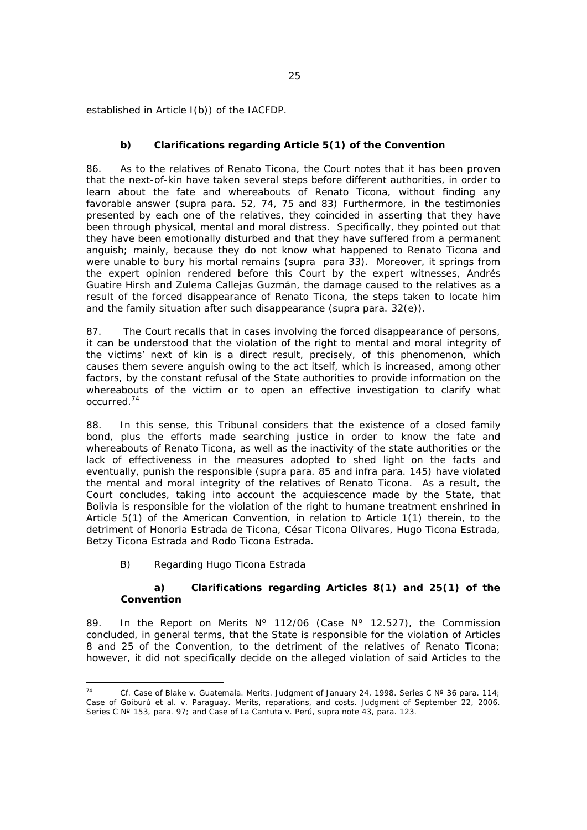established in Article I(b)) of the IACFDP.

## *b) Clarifications regarding Article 5(1) of the Convention*

86. As to the relatives of Renato Ticona, the Court notes that it has been proven that the next-of-kin have taken several steps before different authorities, in order to learn about the fate and whereabouts of Renato Ticona, without finding any favorable answer (*supra* para. 52, 74, 75 and 83) Furthermore, in the testimonies presented by each one of the relatives, they coincided in asserting that they have been through physical, mental and moral distress. Specifically, they pointed out that they have been emotionally disturbed and that they have suffered from a permanent anguish; mainly, because they do not know what happened to Renato Ticona and were unable to bury his mortal remains (*supra* para 33). Moreover, it springs from the expert opinion rendered before this Court by the expert witnesses, Andrés Guatire Hirsh and Zulema Callejas Guzmán, the damage caused to the relatives as a result of the forced disappearance of Renato Ticona, the steps taken to locate him and the family situation after such disappearance (*supra* para. 32(e)).

87. The Court recalls that in cases involving the forced disappearance of persons, it can be understood that the violation of the right to mental and moral integrity of the victims' next of kin is a direct result, precisely, of this phenomenon, which causes them severe anguish owing to the act itself, which is increased, among other factors, by the constant refusal of the State authorities to provide information on the whereabouts of the victim or to open an effective investigation to clarify what occurred.74

88. In this sense, this Tribunal considers that the existence of a closed family bond, plus the efforts made searching justice in order to know the fate and whereabouts of Renato Ticona, as well as the inactivity of the state authorities or the lack of effectiveness in the measures adopted to shed light on the facts and eventually, punish the responsible (*supra* para. 85 and *infra* para. 145) have violated the mental and moral integrity of the relatives of Renato Ticona. As a result, the Court concludes, taking into account the acquiescence made by the State, that Bolivia is responsible for the violation of the right to humane treatment enshrined in Article 5(1) of the American Convention, in relation to Article 1(1) therein, to the detriment of Honoria Estrada de Ticona, César Ticona Olivares, Hugo Ticona Estrada, Betzy Ticona Estrada and Rodo Ticona Estrada.

## B) Regarding Hugo Ticona Estrada

#### *a) Clarifications regarding Articles 8(1) and 25(1) of the Convention*

89. In the Report on Merits N° 112/06 (Case N° 12.527), the Commission concluded, in general terms, that the State is responsible for the violation of Articles 8 and 25 of the Convention, to the detriment of the relatives of Renato Ticona; however, it did not specifically decide on the alleged violation of said Articles to the

 $\overline{a}$ 74 *Cf. Case of Blake v. Guatemala.* Merits. Judgment of January 24, 1998. Series C Nº 36 para. 114; *Case of Goiburú et al. v. Paraguay.* Merits, reparations, and costs. Judgment of September 22, 2006. Series C Nº 153, para. 97; and *Case of La Cantuta v. Perú*, supra note 43, *para.* 123.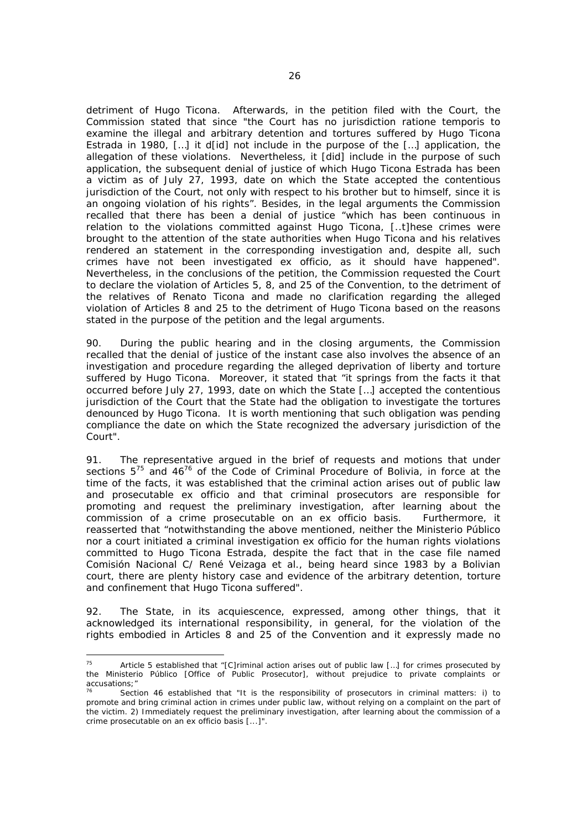detriment of Hugo Ticona. Afterwards, in the petition filed with the Court, the Commission stated that since "the Court has no jurisdiction *ratione temporis* to examine the illegal and arbitrary detention and tortures suffered by Hugo Ticona Estrada in 1980, […] it d[id] not include in the purpose of the […] application, the allegation of these violations. Nevertheless, it [did] include in the purpose of such application, the subsequent denial of justice of which Hugo Ticona Estrada has been a victim as of July 27, 1993, date on which the State accepted the contentious jurisdiction of the Court, not only with respect to his brother but to himself, since it is an ongoing violation of his rights". Besides, in the legal arguments the Commission recalled that there has been a denial of justice "which has been continuous in relation to the violations committed against Hugo Ticona, [..t]hese crimes were brought to the attention of the state authorities when Hugo Ticona and his relatives rendered an statement in the corresponding investigation and, despite all, such crimes have not been investigated *ex officio,* as it should have happened". Nevertheless, in the conclusions of the petition, the Commission requested the Court to declare the violation of Articles 5, 8, and 25 of the Convention, to the detriment of the relatives of Renato Ticona and made no clarification regarding the alleged violation of Articles 8 and 25 to the detriment of Hugo Ticona based on the reasons stated in the purpose of the petition and the legal arguments.

90. During the public hearing and in the closing arguments, the Commission recalled that the denial of justice of the instant case also involves the absence of an investigation and procedure regarding the alleged deprivation of liberty and torture suffered by Hugo Ticona. Moreover, it stated that "it springs from the facts it that occurred before July 27, 1993, date on which the State […] accepted the contentious jurisdiction of the Court that the State had the obligation to investigate the tortures denounced by Hugo Ticona. It is worth mentioning that such obligation was pending compliance the date on which the State recognized the adversary jurisdiction of the Court".

91. The representative argued in the brief of requests and motions that under sections  $5^{75}$  and  $46^{76}$  of the Code of Criminal Procedure of Bolivia, in force at the time of the facts, it was established that the criminal action arises out of public law and prosecutable *ex* officio and that criminal prosecutors are responsible for promoting and request the preliminary investigation, after learning about the commission of a crime prosecutable on an *ex* officio basis. Furthermore, it reasserted that "notwithstanding the above mentioned, neither the *Ministerio Público* nor a court initiated a criminal investigation *ex officio* for the human rights violations committed to Hugo Ticona Estrada, despite the fact that in the case file named *Comisión Nacional C/ René Veizaga et al.*, being heard since 1983 by a Bolivian court, there are plenty history case and evidence of the arbitrary detention, torture and confinement that Hugo Ticona suffered".

92. The State, in its acquiescence, expressed, among other things, that it acknowledged its international responsibility, in general, for the violation of the rights embodied in Articles 8 and 25 of the Convention and it expressly made no

 $75$ Article 5 established that "[C]riminal action arises out of public law [...] for crimes prosecuted by the *Ministerio Público [Office of Public Prosecutor]*, without prejudice to private complaints or accusations;"

Section 46 established that "It is the responsibility of prosecutors in criminal matters: i) to promote and bring criminal action in crimes under public law, without relying on a complaint on the part of the victim. 2) Immediately request the preliminary investigation, after learning about the commission of a crime prosecutable on an *ex officio* basis [...]".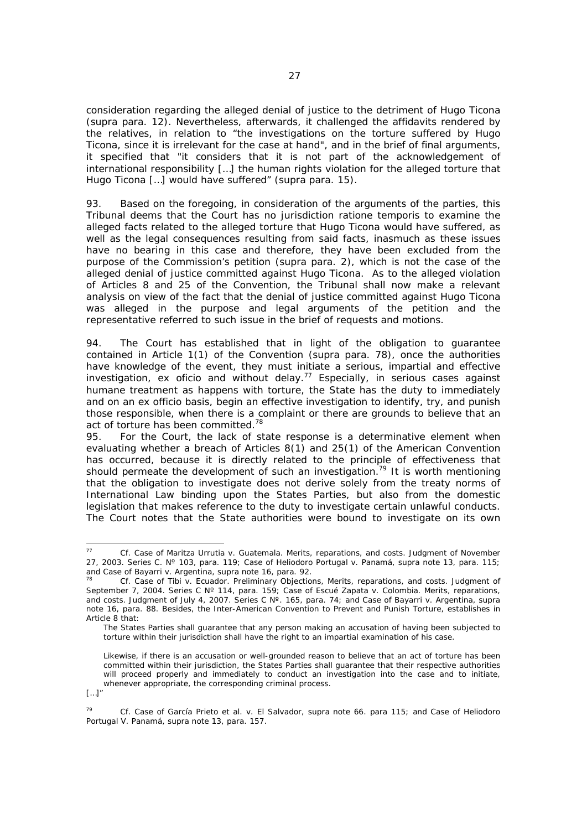consideration regarding the alleged denial of justice to the detriment of Hugo Ticona (*supra* para. 12). Nevertheless, afterwards, it challenged the affidavits rendered by the relatives, in relation to "the investigations on the torture suffered by Hugo Ticona, since it is irrelevant for the case at hand", and in the brief of final arguments, it specified that "it considers that it is not part of the acknowledgement of international responsibility […] the human rights violation for the alleged torture that Hugo Ticona […] would have suffered" (*supra* para. 15).

93. Based on the foregoing, in consideration of the arguments of the parties, this Tribunal deems that the Court has no jurisdiction *ratione temporis* to examine the alleged facts related to the alleged torture that Hugo Ticona would have suffered, as well as the legal consequences resulting from said facts, inasmuch as these issues have no bearing in this case and therefore, they have been excluded from the purpose of the Commission's petition (*supra* para. 2), which is not the case of the alleged denial of justice committed against Hugo Ticona. As to the alleged violation of Articles 8 and 25 of the Convention, the Tribunal shall now make a relevant analysis on view of the fact that the denial of justice committed against Hugo Ticona was alleged in the purpose and legal arguments of the petition and the representative referred to such issue in the brief of requests and motions.

94. The Court has established that in light of the obligation to guarantee contained in Article 1(1) of the Convention (*supra* para. 78), once the authorities have knowledge of the event, they must initiate a serious, impartial and effective investigation, *ex oficio* and without delay.77 Especially, in serious cases against humane treatment as happens with torture, the State has the duty to immediately and on an *ex officio* basis, begin an effective investigation to identify, try, and punish those responsible, when there is a complaint or there are grounds to believe that an act of torture has been committed.<sup>78</sup>

95. For the Court, the lack of state response is a determinative element when evaluating whether a breach of Articles 8(1) and 25(1) of the American Convention has occurred, because it is directly related to the principle of effectiveness that should permeate the development of such an investigation.<sup>79</sup> It is worth mentioning that the obligation to investigate does not derive solely from the treaty norms of International Law binding upon the States Parties, but also from the domestic legislation that makes reference to the duty to investigate certain unlawful conducts. The Court notes that the State authorities were bound to investigate on its own

[…]"

<sup>77</sup> *Cf. Case of Maritza Urrutia v. Guatemala.* Merits, reparations, and costs. Judgment of November 27, 2003. Series C. Nº 103, para. 119; *Case of Heliodoro Portugal v. Panamá, supra* note 13, para. 115; and *Case of Bayarri v. Argentina*, supra note 16, para. 92.<br><sup>78</sup> *Cf. Case of Tibi v. Ecuador*. Preliminary Objections, Merits, reparations, and costs. Judgment of

September 7, 2004. Series C Nº 114, para. 159; *Case of Escué Zapata v. Colombia.* Merits, reparations, and costs. Judgment of July 4, 2007. Series C Nº. 165, para. 74; and *Case of Bayarri v. Argentina*, supra note 16, para. 88. Besides, the Inter-American Convention to Prevent and Punish Torture, establishes in Article 8 that:

The States Parties shall guarantee that any person making an accusation of having been subjected to torture within their jurisdiction shall have the right to an impartial examination of his case.

Likewise, if there is an accusation or well-grounded reason to believe that an act of torture has been committed within their jurisdiction, the States Parties shall guarantee that their respective authorities will proceed properly and immediately to conduct an investigation into the case and to initiate, whenever appropriate, the corresponding criminal process.

<sup>79</sup> *Cf. Case of García Prieto et al. v. El Salvador, supra* note 66. para 115; and *Case of Heliodoro Portugal V. Panamá*, supra note 13, para. 157.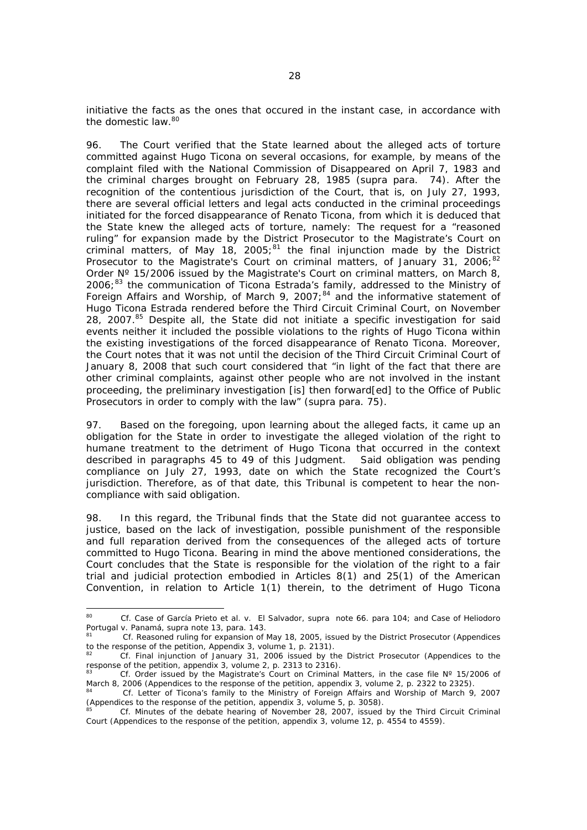initiative the facts as the ones that occured in the instant case, in accordance with the domestic law.<sup>80</sup>

96. The Court verified that the State learned about the alleged acts of torture committed against Hugo Ticona on several occasions, for example, by means of the complaint filed with the National Commission of Disappeared on April 7, 1983 and the criminal charges brought on February 28, 1985 (*supra* para. 74). After the recognition of the contentious jurisdiction of the Court, that is, on July 27, 1993, there are several official letters and legal acts conducted in the criminal proceedings initiated for the forced disappearance of Renato Ticona, from which it is deduced that the State knew the alleged acts of torture, namely: The request for a "reasoned ruling" for expansion made by the District Prosecutor to the Magistrate's Court on criminal matters, of May 18, 2005;<sup>81</sup> the final injunction made by the District Prosecutor to the Magistrate's Court on criminal matters, of January 31, 2006; $^{82}$ Order  $N^{\circ}$  15/2006 issued by the Magistrate's Court on criminal matters, on March 8, 2006;<sup>83</sup> the communication of Ticona Estrada's family, addressed to the Ministry of Foreign Affairs and Worship, of March 9, 2007;<sup>84</sup> and the informative statement of Hugo Ticona Estrada rendered before the Third Circuit Criminal Court, on November 28, 2007.<sup>85</sup> Despite all, the State did not initiate a specific investigation for said events neither it included the possible violations to the rights of Hugo Ticona within the existing investigations of the forced disappearance of Renato Ticona. Moreover, the Court notes that it was not until the decision of the Third Circuit Criminal Court of January 8, 2008 that such court considered that "in light of the fact that there are other criminal complaints, against other people who are not involved in the instant proceeding, the preliminary investigation [is] then forward[ed] to the Office of Public Prosecutors in order to comply with the law" (*supra* para. 75).

97. Based on the foregoing, upon learning about the alleged facts, it came up an obligation for the State in order to investigate the alleged violation of the right to humane treatment to the detriment of Hugo Ticona that occurred in the context described in paragraphs 45 to 49 of this Judgment. Said obligation was pending compliance on July 27, 1993, date on which the State recognized the Court's jurisdiction. Therefore, as of that date, this Tribunal is competent to hear the noncompliance with said obligation.

98. In this regard, the Tribunal finds that the State did not guarantee access to justice, based on the lack of investigation, possible punishment of the responsible and full reparation derived from the consequences of the alleged acts of torture committed to Hugo Ticona. Bearing in mind the above mentioned considerations, the Court concludes that the State is responsible for the violation of the right to a fair trial and judicial protection embodied in Articles 8(1) and 25(1) of the American Convention, in relation to Article 1(1) therein, to the detriment of Hugo Ticona

 $80<sub>0</sub>$ 80 *Cf. Case of García Prieto et al. v. El Salvador, supra* note 66. para 104; and *Case of Heliodoro Portugal v. Panamá*, supra note 13, para. 143.<br><sup>81</sup> *Cf.* Reasoned ruling for expansion of May 18, 2005, issued by the District Prosecutor (Appendices

to the response of the petition, Appendix 3, volume 1, p. 2131).

<sup>82</sup> *Cf.* Final injunction of January 31, 2006 issued by the District Prosecutor (Appendices to the response of the petition, appendix 3, volume 2, p. 2313 to 2316).

<sup>83</sup> *Cf.* Order issued by the Magistrate's Court on Criminal Matters, in the case file N° 15/2006 of March 8, 2006 (Appendices to the response of the petition, appendix 3, volume 2, p. 2322 to 2325).

<sup>84</sup> *Cf.* Letter of Ticona's family to the Ministry of Foreign Affairs and Worship of March 9, 2007 (Appendices to the response of the petition, appendix 3, volume 5, p. 3058).

<sup>85</sup> *Cf.* Minutes of the debate hearing of November 28, 2007, issued by the Third Circuit Criminal Court (Appendices to the response of the petition, appendix 3, volume 12, p. 4554 to 4559).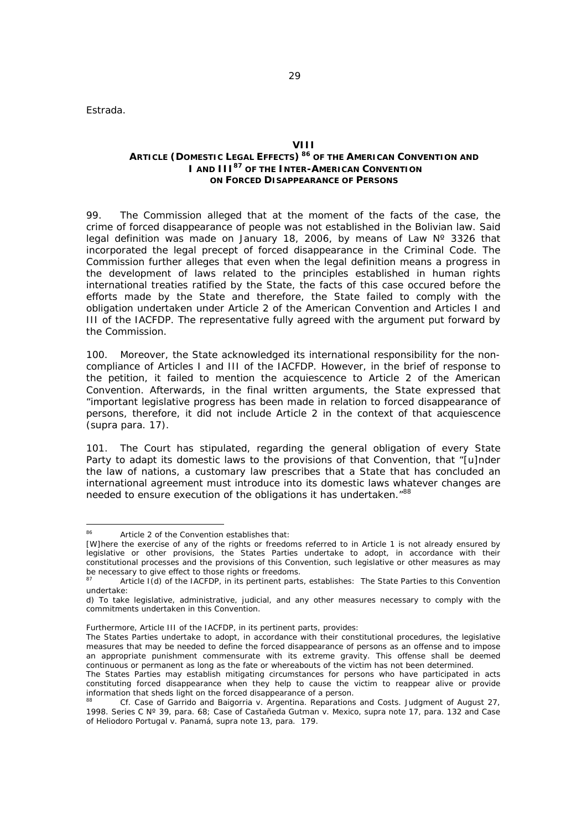Estrada.

## **ARTICLE (DOMESTIC LEGAL EFFECTS) 86 OF THE AMERICAN CONVENTION AND I AND III87 OF THE INTER-AMERICAN CONVENTION ON FORCED DISAPPEARANCE OF PERSONS**

99. The Commission alleged that at the moment of the facts of the case, the crime of forced disappearance of people was not established in the Bolivian law. Said legal definition was made on January 18, 2006, by means of Law N° 3326 that incorporated the legal precept of forced disappearance in the Criminal Code. The Commission further alleges that even when the legal definition means a progress in the development of laws related to the principles established in human rights international treaties ratified by the State, the facts of this case occured before the efforts made by the State and therefore, the State failed to comply with the obligation undertaken under Article 2 of the American Convention and Articles I and III of the IACFDP. The representative fully agreed with the argument put forward by the Commission.

100. Moreover, the State acknowledged its international responsibility for the noncompliance of Articles I and III of the IACFDP. However, in the brief of response to the petition, it failed to mention the acquiescence to Article 2 of the American Convention. Afterwards, in the final written arguments, the State expressed that "important legislative progress has been made in relation to forced disappearance of persons, therefore, it did not include Article 2 in the context of that acquiescence (*supra* para. 17).

101. The Court has stipulated, regarding the general obligation of every State Party to adapt its domestic laws to the provisions of that Convention, that "[u]nder the law of nations, a customary law prescribes that a State that has concluded an international agreement must introduce into its domestic laws whatever changes are needed to ensure execution of the obligations it has undertaken."<sup>88</sup>

Furthermore, Article III of the IACFDP, in its pertinent parts, provides:

<sup>86</sup> Article 2 of the Convention establishes that:

<sup>[</sup>W]here the exercise of any of the rights or freedoms referred to in Article 1 is not already ensured by legislative or other provisions, the States Parties undertake to adopt, in accordance with their constitutional processes and the provisions of this Convention, such legislative or other measures as may be necessary to give effect to those rights or freedoms.

Article I(d) of the IACFDP, in its pertinent parts, establishes: The State Parties to this Convention undertake:

d) To take legislative, administrative, judicial, and any other measures necessary to comply with the commitments undertaken in this Convention.

The States Parties undertake to adopt, in accordance with their constitutional procedures, the legislative measures that may be needed to define the forced disappearance of persons as an offense and to impose an appropriate punishment commensurate with its extreme gravity. This offense shall be deemed continuous or permanent as long as the fate or whereabouts of the victim has not been determined.

The States Parties may establish mitigating circumstances for persons who have participated in acts constituting forced disappearance when they help to cause the victim to reappear alive or provide information that sheds light on the forced disappearance of a person.

<sup>88</sup> *Cf. Case of Garrido and Baigorria v. Argentina*. Reparations and Costs. Judgment of August 27, 1998. Series C Nº 39, para. 68; *Case of Castañeda Gutman v. Mexico*, supra note 17, para. 132 and *Case of Heliodoro Portugal v. Panamá*, *supra* note 13, para. 179.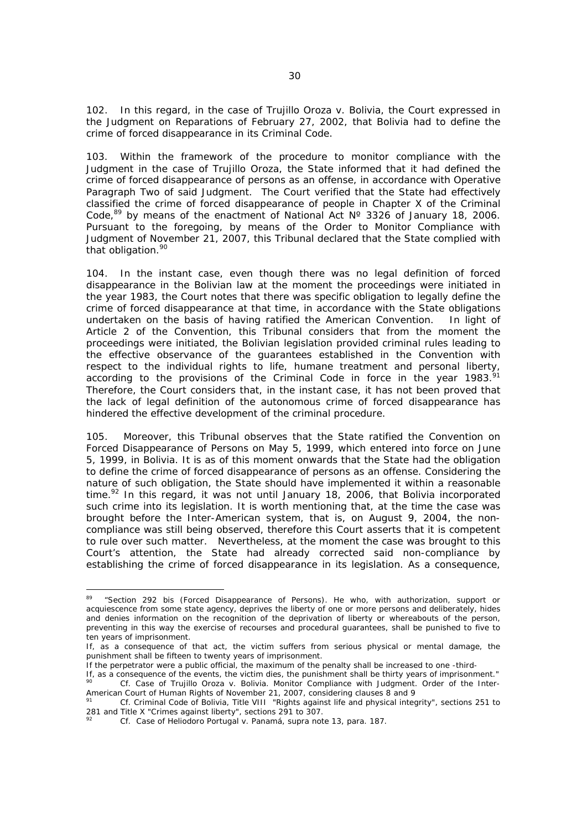102. In this regard, in the case of *Trujillo Oroza v. Bolivia*, the Court expressed in the Judgment on Reparations of February 27, 2002, that Bolivia had to define the crime of forced disappearance in its Criminal Code.

103. Within the framework of the procedure to monitor compliance with the Judgment in the case of *Trujillo Oroza*, the State informed that it had defined the crime of forced disappearance of persons as an offense, in accordance with Operative Paragraph Two of said Judgment. The Court verified that the State had effectively classified the crime of forced disappearance of people in Chapter X of the Criminal Code,  $89$  by means of the enactment of National Act  $N^{\circ}$  3326 of January 18, 2006. Pursuant to the foregoing, by means of the Order to Monitor Compliance with Judgment of November 21, 2007, this Tribunal declared that the State complied with that obligation.<sup>90</sup>

104. In the instant case, even though there was no legal definition of forced disappearance in the Bolivian law at the moment the proceedings were initiated in the year 1983, the Court notes that there was specific obligation to legally define the crime of forced disappearance at that time, in accordance with the State obligations undertaken on the basis of having ratified the American Convention. In light of Article 2 of the Convention, this Tribunal considers that from the moment the proceedings were initiated, the Bolivian legislation provided criminal rules leading to the effective observance of the guarantees established in the Convention with respect to the individual rights to life, humane treatment and personal liberty, according to the provisions of the Criminal Code in force in the year  $1983$ .<sup>9</sup> Therefore, the Court considers that, in the instant case, it has not been proved that the lack of legal definition of the autonomous crime of forced disappearance has hindered the effective development of the criminal procedure.

105. Moreover, this Tribunal observes that the State ratified the Convention on Forced Disappearance of Persons on May 5, 1999, which entered into force on June 5, 1999, in Bolivia. It is as of this moment onwards that the State had the obligation to define the crime of forced disappearance of persons as an offense. Considering the nature of such obligation, the State should have implemented it within a reasonable time.<sup>92</sup> In this regard, it was not until January 18, 2006, that Bolivia incorporated such crime into its legislation. It is worth mentioning that, at the time the case was brought before the Inter-American system, that is, on August 9, 2004, the noncompliance was still being observed, therefore this Court asserts that it is competent to rule over such matter. Nevertheless, at the moment the case was brought to this Court's attention, the State had already corrected said non-compliance by establishing the crime of forced disappearance in its legislation. As a consequence,

<sup>89 &</sup>quot;Section 292 bis (Forced Disappearance of Persons). He who, with authorization, support or acquiescence from some state agency, deprives the liberty of one or more persons and deliberately, hides and denies information on the recognition of the deprivation of liberty or whereabouts of the person, preventing in this way the exercise of recourses and procedural guarantees, shall be punished to five to ten years of imprisonment.

If, as a consequence of that act, the victim suffers from serious physical or mental damage, the punishment shall be fifteen to twenty years of imprisonment.

If the perpetrator were a public official, the maximum of the penalty shall be increased to one -third-

If the events were a position of the entries, the maximum of the perialty shall be increased to one -third-<br>If, as a consequence of the events, the victim dies, the punishment shall be thirty years of imprisonment." 90 *Cf. Case of Trujillo Oroza v. Bolivia*. Monitor Compliance with Judgment. Order of the Inter-American Court of Human Rights of November 21, 2007, considering clauses 8 and 9

<sup>&</sup>lt;sup>91</sup> *Cf.* Criminal Code of Bolivia, Title VIII "Rights against life and physical integrity", sections 251 to 281 and Title X "Crimes against liberty", sections 291 to 307.

<sup>92</sup> *Cf. Case of Heliodoro Portugal v. Panamá*, *supra* note 13, para. 187.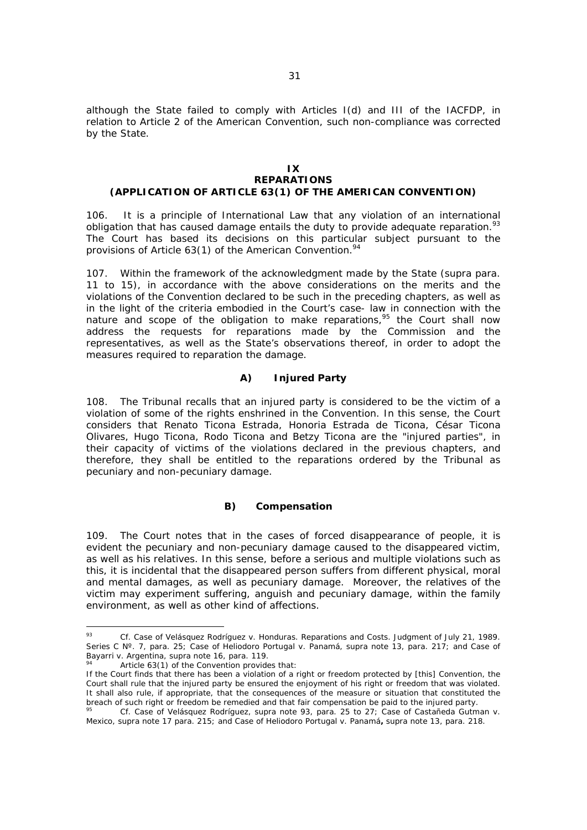although the State failed to comply with Articles I(d) and III of the IACFDP, in relation to Article 2 of the American Convention, such non-compliance was corrected by the State.

#### **IX REPARATIONS (APPLICATION OF ARTICLE 63(1) OF THE AMERICAN CONVENTION)**

106. It is a principle of International Law that any violation of an international obligation that has caused damage entails the duty to provide adequate reparation.<sup>93</sup> The Court has based its decisions on this particular subject pursuant to the provisions of Article  $63(1)$  of the American Convention.<sup>94</sup>

107. Within the framework of the acknowledgment made by the State (*supra* para. 11 to 15), in accordance with the above considerations on the merits and the violations of the Convention declared to be such in the preceding chapters, as well as in the light of the criteria embodied in the Court's case- law in connection with the nature and scope of the obligation to make reparations,  $95$  the Court shall now address the requests for reparations made by the Commission and the representatives, as well as the State's observations thereof, in order to adopt the measures required to reparation the damage.

## *A) Injured Party*

108. The Tribunal recalls that an injured party is considered to be the victim of a violation of some of the rights enshrined in the Convention. In this sense, the Court considers that Renato Ticona Estrada, Honoria Estrada de Ticona, César Ticona Olivares, Hugo Ticona, Rodo Ticona and Betzy Ticona are the "injured parties", in their capacity of victims of the violations declared in the previous chapters, and therefore, they shall be entitled to the reparations ordered by the Tribunal as pecuniary and non-pecuniary damage.

## *B) Compensation*

109. The Court notes that in the cases of forced disappearance of people, it is evident the pecuniary and non-pecuniary damage caused to the disappeared victim, as well as his relatives. In this sense, before a serious and multiple violations such as this, it is incidental that the disappeared person suffers from different physical, moral and mental damages, as well as pecuniary damage. Moreover, the relatives of the victim may experiment suffering, anguish and pecuniary damage, within the family environment, as well as other kind of affections.

 $0<sup>2</sup>$ <sup>93</sup> *Cf. Case of Velásquez Rodríguez v. Honduras*. Reparations and Costs. Judgment of July 21, 1989. Series C Nº. 7, para. 25; *Case of Heliodoro Portugal v. Panamá*, supra note 13, para. 217; and *Case of* 

*Article 63(1) of the Convention provides that:* 

If the Court finds that there has been a violation of a right or freedom protected by [this] Convention, the Court shall rule that the injured party be ensured the enjoyment of his right or freedom that was violated. It shall also rule, if appropriate, that the consequences of the measure or situation that constituted the breach of such right or freedom be remedied and that fair compensation be paid to the injured party.

<sup>95</sup> *Cf. Case of Velásquez Rodríguez, supra* note 93, para. 25 to 27; Case of *Castañeda Gutman v. Mexico, supra* note 17 para. 215; and *Case of Heliodoro Portugal v. Panamá***,** supra note 13, para. 218.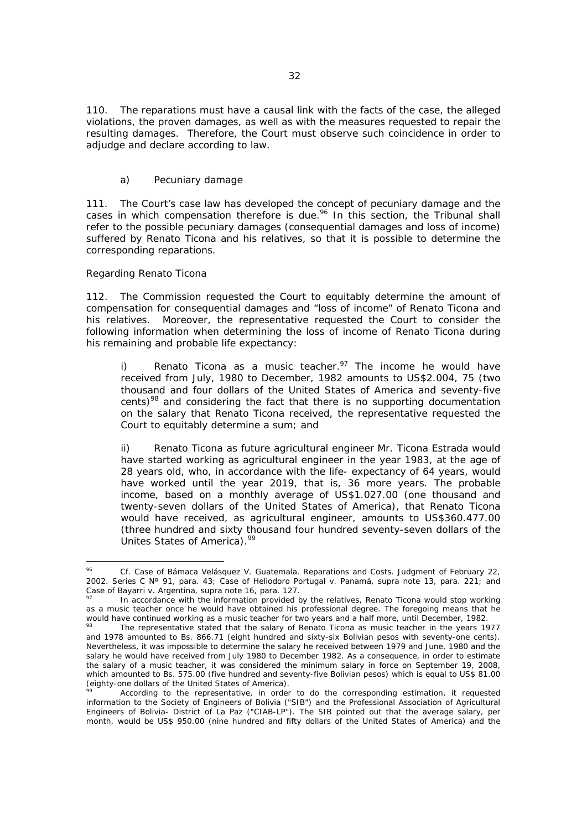110. The reparations must have a causal link with the facts of the case, the alleged violations, the proven damages, as well as with the measures requested to repair the resulting damages. Therefore, the Court must observe such coincidence in order to adjudge and declare according to law.

#### *a) Pecuniary damage*

111. The Court's case law has developed the concept of pecuniary damage and the cases in which compensation therefore is due.<sup>96</sup> In this section, the Tribunal shall refer to the possible pecuniary damages (consequential damages and loss of income) suffered by Renato Ticona and his relatives, so that it is possible to determine the corresponding reparations.

#### *Regarding Renato Ticona*

 $\overline{a}$ 

112. The Commission requested the Court to equitably determine the amount of compensation for consequential damages and "loss of income" of Renato Ticona and his relatives. Moreover, the representative requested the Court to consider the following information when determining the loss of income of Renato Ticona during his remaining and probable life expectancy:

i) *Renato Ticona as a music teacher.<sup>97</sup>* The income he would have received from July, 1980 to December, 1982 amounts to US\$2.004, 75 (two thousand and four dollars of the United States of America and seventy-five cents)<sup>98</sup> and considering the fact that there is no supporting documentation on the salary that Renato Ticona received, the representative requested the Court to equitably determine a sum; and

ii) *Renato Ticona as future agricultural engineer* Mr. Ticona Estrada would have started working as agricultural engineer in the year 1983, at the age of 28 years old, who, in accordance with the life- expectancy of 64 years, would have worked until the year 2019, that is, 36 more years. The probable income, based on a monthly average of US\$1.027.00 (one thousand and twenty-seven dollars of the United States of America), that Renato Ticona would have received, as agricultural engineer, amounts to US\$360.477.00 (three hundred and sixty thousand four hundred seventy-seven dollars of the Unites States of America).<sup>99</sup>

<sup>96</sup> *Cf. Case of Bámaca Velásquez V. Guatemala. Reparations and Costs*. Judgment of February 22, 2002. Series C Nº 91, para. 43; *Case of Heliodoro Portugal v. Panamá*, *supra* note 13, para. 221; and

In accordance with the information provided by the relatives, Renato Ticona would stop working as a music teacher once he would have obtained his professional degree. The foregoing means that he would have continued working as a music teacher for two years and a half more, until December, 1982.

The representative stated that the salary of Renato Ticona as music teacher in the years 1977 and 1978 amounted to Bs. 866.71 (eight hundred and sixty-six Bolivian pesos with seventy-one cents). Nevertheless, it was impossible to determine the salary he received between 1979 and June, 1980 and the salary he would have received from July 1980 to December 1982. As a consequence, in order to estimate the salary of a music teacher, it was considered the minimum salary in force on September 19, 2008, which amounted to Bs. 575.00 (five hundred and seventy-five Bolivian pesos) which is equal to US\$ 81.00 (eighty-one dollars of the United States of America).

<sup>&</sup>lt;sup>99</sup> According to the representative, in order to do the corresponding estimation, it requested information to the Society of Engineers of Bolivia ("SIB") and the Professional Association of Agricultural Engineers of Bolivia- District of La Paz ("CIAB-LP"). The SIB pointed out that the average salary, per month, would be US\$ 950.00 (nine hundred and fifty dollars of the United States of America) and the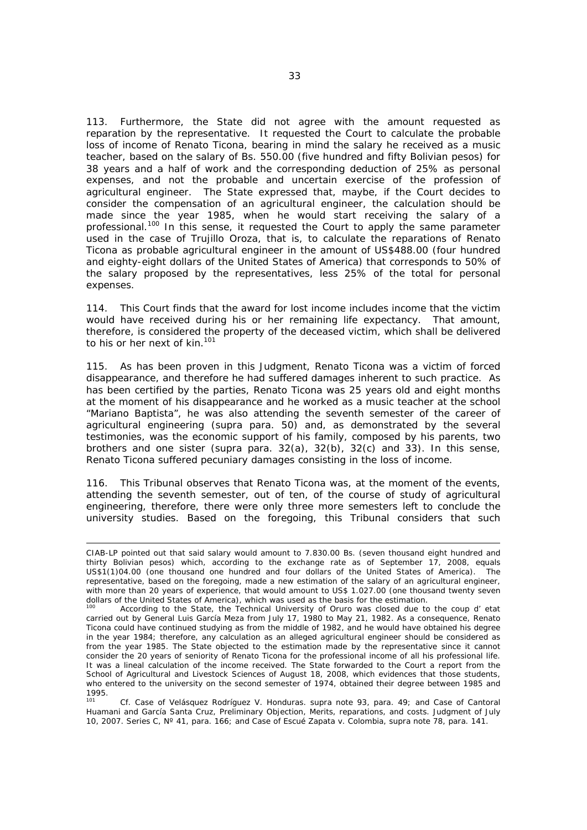113. Furthermore, the State did not agree with the amount requested as reparation by the representative. It requested the Court to calculate the probable loss of income of Renato Ticona, bearing in mind the salary he received as a music teacher, based on the salary of Bs. 550.00 (five hundred and fifty Bolivian pesos) for 38 years and a half of work and the corresponding deduction of 25% as personal expenses, and not the probable and uncertain exercise of the profession of agricultural engineer. The State expressed that, maybe, if the Court decides to consider the compensation of an agricultural engineer, the calculation should be made since the year 1985, when he would start receiving the salary of a professional.100 In this sense, it requested the Court to apply the same parameter used in the case of *Trujillo Oroza*, that is, to calculate the reparations of Renato Ticona as probable agricultural engineer in the amount of US\$488.00 (four hundred and eighty-eight dollars of the United States of America) that corresponds to 50% of the salary proposed by the representatives, less 25% of the total for personal expenses.

114. This Court finds that the award for lost income includes income that the victim would have received during his or her remaining life expectancy. That amount, therefore, is considered the property of the deceased victim, which shall be delivered to his or her next of kin.<sup>101</sup>

115. As has been proven in this Judgment, Renato Ticona was a victim of forced disappearance, and therefore he had suffered damages inherent to such practice. As has been certified by the parties, Renato Ticona was 25 years old and eight months at the moment of his disappearance and he worked as a music teacher at the school "Mariano Baptista", he was also attending the seventh semester of the career of agricultural engineering (*supra* para. 50) and, as demonstrated by the several testimonies, was the economic support of his family, composed by his parents, two brothers and one sister (*supra* para. 32(a), 32(b), 32(c) and 33). In this sense, Renato Ticona suffered pecuniary damages consisting in the loss of income.

116. This Tribunal observes that Renato Ticona was, at the moment of the events, attending the seventh semester, out of ten, of the course of study of agricultural engineering, therefore, there were only three more semesters left to conclude the university studies. Based on the foregoing, this Tribunal considers that such

CIAB-LP pointed out that said salary would amount to 7.830.00 Bs. (seven thousand eight hundred and thirty Bolivian pesos) which, according to the exchange rate as of September 17, 2008, equals US\$1(1)04.00 (one thousand one hundred and four dollars of the United States of America). The representative, based on the foregoing, made a new estimation of the salary of an agricultural engineer, with more than 20 years of experience, that would amount to US\$ 1.027.00 (one thousand twenty seven dollars of the United States of America), which was used as the basis for the estimation.

<sup>100</sup> According to the State, the Technical University of Oruro was closed due to the *coup d' etat* carried out by General Luis García Meza from July 17, 1980 to May 21, 1982. As a consequence, Renato Ticona could have continued studying as from the middle of 1982, and he would have obtained his degree in the year 1984; therefore, any calculation as an alleged agricultural engineer should be considered as from the year 1985. The State objected to the estimation made by the representative since it cannot consider the 20 years of seniority of Renato Ticona for the professional income of all his professional life. It was a lineal calculation of the income received. The State forwarded to the Court a report from the School of Agricultural and Livestock Sciences of August 18, 2008, which evidences that those students, who entered to the university on the second semester of 1974, obtained their degree between 1985 and 1995.

<sup>101</sup> *Cf. Case of Velásquez Rodríguez V. Honduras.* supra note 93, para. 49; and *Case of Cantoral Huamani and García Santa Cruz*, Preliminary Objection, Merits, reparations, and costs. Judgment of July 10, 2007. Series C, Nº 41, para. 166; and *Case of Escué Zapata v. Colombia*, supra note 78, para. 141.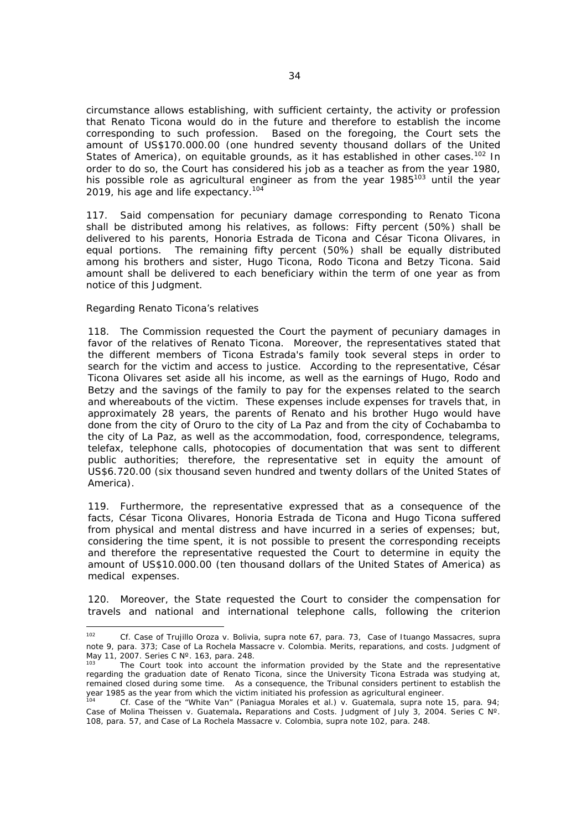circumstance allows establishing, with sufficient certainty, the activity or profession that Renato Ticona would do in the future and therefore to establish the income corresponding to such profession. Based on the foregoing, the Court sets the amount of US\$170.000.00 (one hundred seventy thousand dollars of the United States of America), on equitable grounds, as it has established in other cases.<sup>102</sup> In order to do so, the Court has considered his job as a teacher as from the year 1980, his possible role as agricultural engineer as from the year  $1985^{103}$  until the year 2019, his age and life expectancy.<sup>104</sup>

117. Said compensation for pecuniary damage corresponding to Renato Ticona shall be distributed among his relatives, as follows: Fifty percent (50%) shall be delivered to his parents, Honoria Estrada de Ticona and César Ticona Olivares, in equal portions. The remaining fifty percent (50%) shall be equally distributed among his brothers and sister, Hugo Ticona, Rodo Ticona and Betzy Ticona. Said amount shall be delivered to each beneficiary within the term of one year as from notice of this Judgment.

#### *Regarding Renato Ticona's relatives*

118. The Commission requested the Court the payment of pecuniary damages in favor of the relatives of Renato Ticona. Moreover, the representatives stated that the different members of Ticona Estrada's family took several steps in order to search for the victim and access to justice. According to the representative, César Ticona Olivares set aside all his income, as well as the earnings of Hugo, Rodo and Betzy and the savings of the family to pay for the expenses related to the search and whereabouts of the victim. These expenses include expenses for travels that, in approximately 28 years, the parents of Renato and his brother Hugo would have done from the city of Oruro to the city of La Paz and from the city of Cochabamba to the city of La Paz, as well as the accommodation, food, correspondence, telegrams, telefax, telephone calls, photocopies of documentation that was sent to different public authorities; therefore, the representative set in equity the amount of US\$6.720.00 (six thousand seven hundred and twenty dollars of the United States of America).

119. Furthermore, the representative expressed that as a consequence of the facts, César Ticona Olivares, Honoria Estrada de Ticona and Hugo Ticona suffered from physical and mental distress and have incurred in a series of expenses; but, considering the time spent, it is not possible to present the corresponding receipts and therefore the representative requested the Court to determine in equity the amount of US\$10.000.00 (ten thousand dollars of the United States of America) as medical expenses.

120. Moreover, the State requested the Court to consider the compensation for travels and national and international telephone calls, following the criterion

 $102$ <sup>102</sup> *Cf. Case of Trujillo Oroza v. Bolivia*, *supra* note 67, para. 73, *Case of Ituango Massacres, supra*  note 9, para. 373; *Case of La Rochela Massacre v. Colombia*. Merits, reparations, and costs. Judgment of May 11, 2007. Series C Nº. 163, para. 248.

The Court took into account the information provided by the State and the representative regarding the graduation date of Renato Ticona, since the University Ticona Estrada was studying at, remained closed during some time. As a consequence, the Tribunal considers pertinent to establish the year 1985 as the year from which the victim initiated his profession as agricultural engineer.

<sup>104</sup> *Cf. Case of the "White Van" (Paniagua Morales et al.) v. Guatemala*, supra note 15, para. *94; Case of Molina Theissen v. Guatemala. Reparations and Costs.* Judgment of July 3, 2004. Series C Nº. 108, para. 57, and *Case of La Rochela Massacre v. Colombia*, supra note 102, para. 248.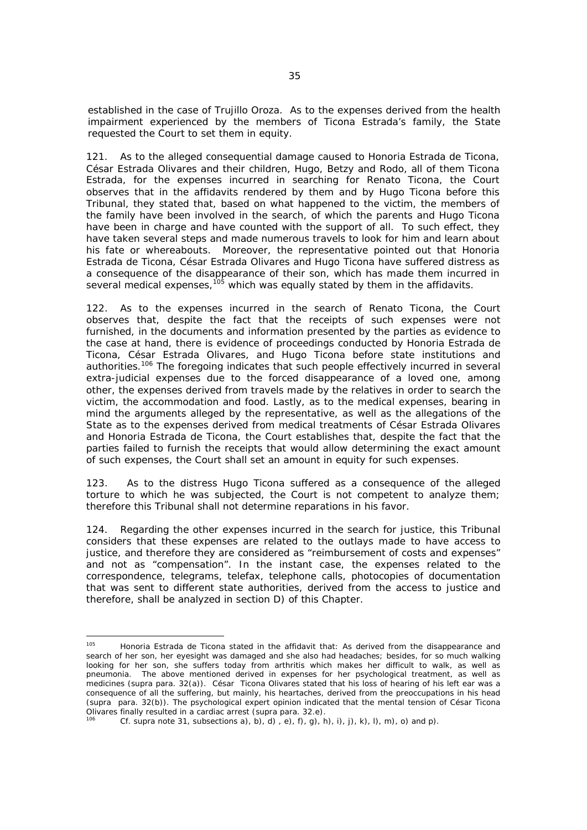established in the case of Trujillo Oroza. As to the expenses derived from the health impairment experienced by the members of Ticona Estrada's family, the State requested the Court to set them in equity.

121. As to the alleged consequential damage caused to Honoria Estrada de Ticona, César Estrada Olivares and their children, Hugo, Betzy and Rodo, all of them Ticona Estrada, for the expenses incurred in searching for Renato Ticona, the Court observes that in the affidavits rendered by them and by Hugo Ticona before this Tribunal, they stated that, based on what happened to the victim, the members of the family have been involved in the search, of which the parents and Hugo Ticona have been in charge and have counted with the support of all. To such effect, they have taken several steps and made numerous travels to look for him and learn about his fate or whereabouts. Moreover, the representative pointed out that Honoria Estrada de Ticona, César Estrada Olivares and Hugo Ticona have suffered distress as a consequence of the disappearance of their son, which has made them incurred in several medical expenses,  $105$  which was equally stated by them in the affidavits.

122. As to the expenses incurred in the search of Renato Ticona, the Court observes that, despite the fact that the receipts of such expenses were not furnished, in the documents and information presented by the parties as evidence to the case at hand, there is evidence of proceedings conducted by Honoria Estrada de Ticona, César Estrada Olivares, and Hugo Ticona before state institutions and authorities.<sup>106</sup> The foregoing indicates that such people effectively incurred in several extra-judicial expenses due to the forced disappearance of a loved one, among other, the expenses derived from travels made by the relatives in order to search the victim, the accommodation and food. Lastly, as to the medical expenses, bearing in mind the arguments alleged by the representative, as well as the allegations of the State as to the expenses derived from medical treatments of César Estrada Olivares and Honoria Estrada de Ticona, the Court establishes that, despite the fact that the parties failed to furnish the receipts that would allow determining the exact amount of such expenses, the Court shall set an amount in equity for such expenses.

123. As to the distress Hugo Ticona suffered as a consequence of the alleged torture to which he was subjected, the Court is not competent to analyze them; therefore this Tribunal shall not determine reparations in his favor.

124. Regarding the other expenses incurred in the search for justice, this Tribunal considers that these expenses are related to the outlays made to have access to justice, and therefore they are considered as "reimbursement of costs and expenses" and not as "compensation". In the instant case, the expenses related to the correspondence, telegrams, telefax, telephone calls, photocopies of documentation that was sent to different state authorities, derived from the access to justice and therefore, shall be analyzed in section D) of this Chapter.

<sup>105</sup> Honoria Estrada de Ticona stated in the affidavit that: As derived from the disappearance and search of her son, her eyesight was damaged and she also had headaches; besides, for so much walking looking for her son, she suffers today from arthritis which makes her difficult to walk, as well as pneumonia. The above mentioned derived in expenses for her psychological treatment, as well as medicines (*supra* para. 32(a)). César Ticona Olivares stated that his loss of hearing of his left ear was a consequence of all the suffering, but mainly, his heartaches, derived from the preoccupations in his head (*supra* para. 32(b)). The psychological expert opinion indicated that the mental tension of César Ticona Olivares finally resulted in a cardiac arrest (supra para. 32.e).

*Cf. supra* note 31, subsections a), b), d), e), f), g), h), i), i), k), l), m), o) and p).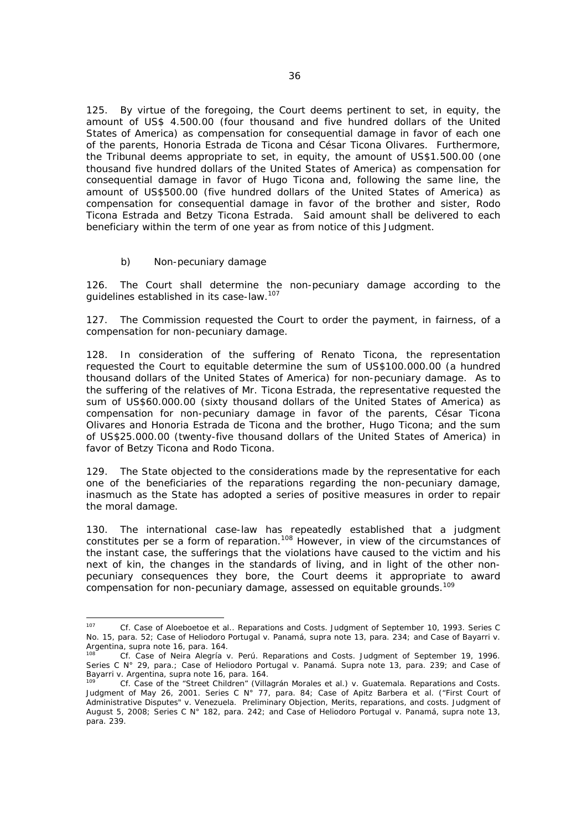125. By virtue of the foregoing, the Court deems pertinent to set, in equity, the amount of US\$ 4.500.00 (four thousand and five hundred dollars of the United States of America) as compensation for consequential damage in favor of each one of the parents, Honoria Estrada de Ticona and César Ticona Olivares. Furthermore, the Tribunal deems appropriate to set, in equity, the amount of US\$1.500.00 (one thousand five hundred dollars of the United States of America) as compensation for consequential damage in favor of Hugo Ticona and, following the same line, the amount of US\$500.00 (five hundred dollars of the United States of America) as compensation for consequential damage in favor of the brother and sister, Rodo Ticona Estrada and Betzy Ticona Estrada. Said amount shall be delivered to each beneficiary within the term of one year as from notice of this Judgment.

#### *b) Non-pecuniary damage*

126. The Court shall determine the non-pecuniary damage according to the guidelines established in its case-law.107

127. The Commission requested the Court to order the payment, in fairness, of a compensation for non-pecuniary damage.

128. In consideration of the suffering of Renato Ticona, the representation requested the Court to equitable determine the sum of US\$100.000.00 (a hundred thousand dollars of the United States of America) for non-pecuniary damage. As to the suffering of the relatives of Mr. Ticona Estrada, the representative requested the sum of US\$60.000.00 (sixty thousand dollars of the United States of America) as compensation for non-pecuniary damage in favor of the parents, César Ticona Olivares and Honoria Estrada de Ticona and the brother, Hugo Ticona; and the sum of US\$25.000.00 (twenty-five thousand dollars of the United States of America) in favor of Betzy Ticona and Rodo Ticona.

129. The State objected to the considerations made by the representative for each one of the beneficiaries of the reparations regarding the non-pecuniary damage, inasmuch as the State has adopted a series of positive measures in order to repair the moral damage.

130. The international case-law has repeatedly established that a judgment constitutes *per se* a form of reparation.108 However, in view of the circumstances of the instant case, the sufferings that the violations have caused to the victim and his next of kin, the changes in the standards of living, and in light of the other nonpecuniary consequences they bore, the Court deems it appropriate to award compensation for non-pecuniary damage, assessed on equitable grounds.<sup>109</sup>

<sup>107</sup> 107 *Cf. Case of Aloeboetoe et al.. Reparations and Costs.* Judgment of September 10, 1993. Series C No. 15, para. 52; *Case of Heliodoro Portugal v. Panamá*, *supra* note 13, para. 234; and *Case of Bayarri v. Argentina*, supra note 16, para. 164.<br><sup>108</sup> *Cf. Case of Neira Alegría v. Perú. Reparations and Costs.* Judgment of September 19, 1996.

Series C N° 29, para.; *Case of Heliodoro Portugal v. Panamá. Supra* note 13, para. 239; and *Case of Bayarri v. Argentina*, supra note 16, para. 164.

*Cf.* Case of the "Street Children" (Villagrán Morales et al.) v. Guatemala. Reparations and Costs. Judgment of May 26, 2001. Series C N° 77, para. 84; *Case of Apitz Barbera et al. ("First Court of Administrative Disputes" v. Venezuela*. Preliminary Objection, Merits, reparations, and costs. Judgment of August 5, 2008; Series C N° 182, para. 242; and *Case of Heliodoro Portugal v. Panamá,* supra note 13, para. 239.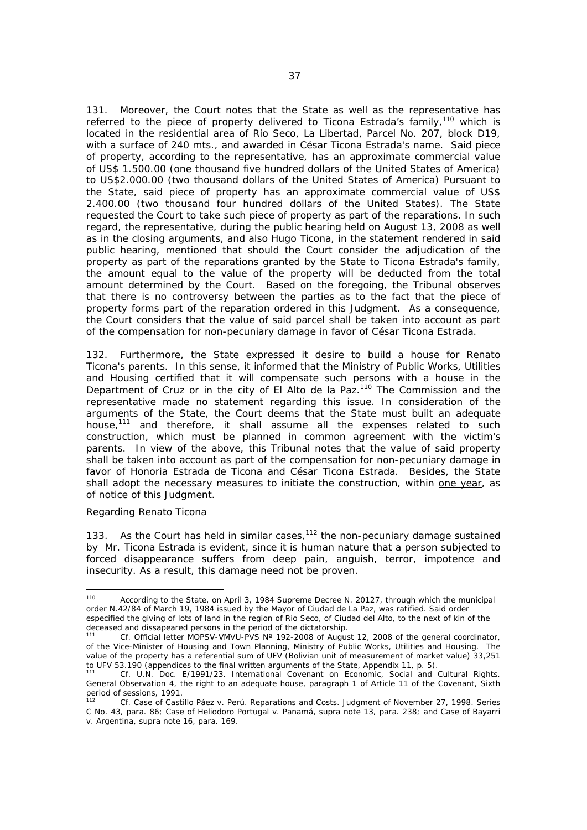131. Moreover, the Court notes that the State as well as the representative has referred to the piece of property delivered to Ticona Estrada's family,<sup>110</sup> which is located in the residential area of Río Seco, La Libertad, Parcel No. 207, block D19, with a surface of 240 mts., and awarded in César Ticona Estrada's name. Said piece of property, according to the representative, has an approximate commercial value of US\$ 1.500.00 (one thousand five hundred dollars of the United States of America) to US\$2.000.00 (two thousand dollars of the United States of America) Pursuant to the State, said piece of property has an approximate commercial value of US\$ 2.400.00 (two thousand four hundred dollars of the United States). The State requested the Court to take such piece of property as part of the reparations. In such regard, the representative, during the public hearing held on August 13, 2008 as well as in the closing arguments, and also Hugo Ticona, in the statement rendered in said public hearing, mentioned that should the Court consider the adjudication of the property as part of the reparations granted by the State to Ticona Estrada's family, the amount equal to the value of the property will be deducted from the total amount determined by the Court. Based on the foregoing, the Tribunal observes that there is no controversy between the parties as to the fact that the piece of property forms part of the reparation ordered in this Judgment. As a consequence, the Court considers that the value of said parcel shall be taken into account as part of the compensation for non-pecuniary damage in favor of César Ticona Estrada.

132. Furthermore, the State expressed it desire to build a house for Renato Ticona's parents. In this sense, it informed that the Ministry of Public Works, Utilities and Housing certified that it will compensate such persons with a house in the Department of Cruz or in the city of El Alto de la Paz.<sup>110</sup> The Commission and the representative made no statement regarding this issue. In consideration of the arguments of the State, the Court deems that the State must built an adequate house,<sup>111</sup> and therefore, it shall assume all the expenses related to such construction, which must be planned in common agreement with the victim's parents. In view of the above, this Tribunal notes that the value of said property shall be taken into account as part of the compensation for non-pecuniary damage in favor of Honoria Estrada de Ticona and César Ticona Estrada. Besides, the State shall adopt the necessary measures to initiate the construction, within one year, as of notice of this Judgment.

#### *Regarding Renato Ticona*

133. As the Court has held in similar cases, $112$  the non-pecuniary damage sustained by Mr. Ticona Estrada is evident, since it is human nature that a person subjected to forced disappearance suffers from deep pain, anguish, terror, impotence and insecurity. As a result, this damage need not be proven.

<sup>110</sup> 110 According to the State, on April 3, 1984 Supreme Decree N. 20127, through which the municipal order N.42/84 of March 19, 1984 issued by the Mayor of Ciudad de La Paz, was ratified. Said order especified the giving of lots of land in the region of Rio Seco, of Ciudad del Alto, to the next of kin of the deceased and dissapeared persons in the period of the dictatorship.

Cf. Official letter MOPSV-VMVU-PVS N° 192-2008 of August 12, 2008 of the general coordinator, of the Vice-Minister of Housing and Town Planning, Ministry of Public Works, Utilities and Housing. The value of the property has a referential sum of UFV (Bolivian unit of measurement of market value) 33,251 to UFV 53.190 (appendices to the final written arguments of the State, Appendix 11, p. 5).

<sup>111</sup> *Cf.* U.N. Doc. E/1991/23. International Covenant on Economic, Social and Cultural Rights. General Observation 4, the right to an adequate house, paragraph 1 of Article 11 of the Covenant, Sixth period of sessions, 1991.

<sup>112</sup> *Cf. Case of Castillo Páez v. Perú.* Reparations and Costs. Judgment of November 27, 1998. Series C No. 43, para. 86; *Case of Heliodoro Portugal v. Panamá, supra* note 13, para. 238; and *Case of Bayarri v. Argentina*, supra note 16, para. 169.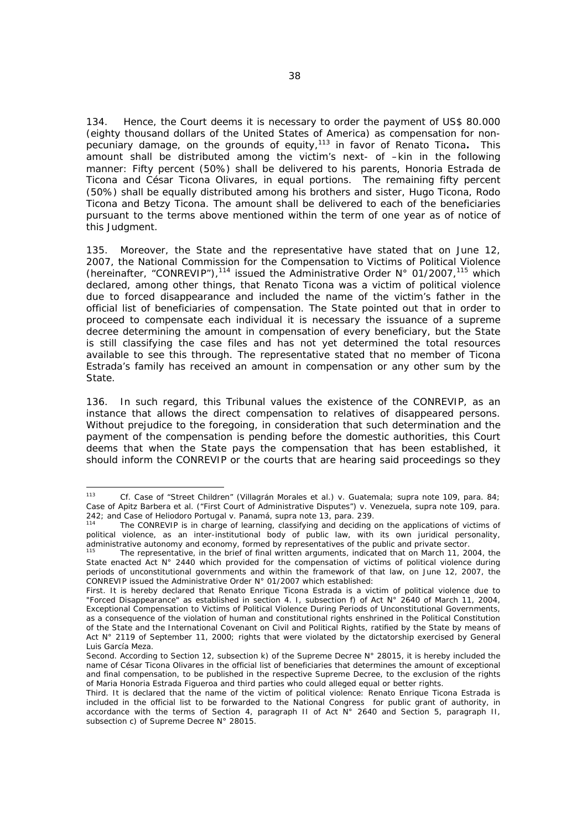134. Hence, the Court deems it is necessary to order the payment of US\$ 80.000 (eighty thousand dollars of the United States of America) as compensation for nonpecuniary damage, on the grounds of equity,113 in favor of Renato Ticona**.** This amount shall be distributed among the victim's next- of –kin in the following manner: Fifty percent (50%) shall be delivered to his parents, Honoria Estrada de Ticona and César Ticona Olivares, in equal portions. The remaining fifty percent (50%) shall be equally distributed among his brothers and sister, Hugo Ticona, Rodo Ticona and Betzy Ticona. The amount shall be delivered to each of the beneficiaries pursuant to the terms above mentioned within the term of one year as of notice of this Judgment.

135. Moreover, the State and the representative have stated that on June 12, 2007, the National Commission for the Compensation to Victims of Political Violence (hereinafter, "CONREVIP"),<sup>114</sup> issued the Administrative Order N° 01/2007,<sup>115</sup> which declared, among other things, that Renato Ticona was a victim of political violence due to forced disappearance and included the name of the victim's father in the official list of beneficiaries of compensation. The State pointed out that in order to proceed to compensate each individual it is necessary the issuance of a supreme decree determining the amount in compensation of every beneficiary, but the State is still classifying the case files and has not yet determined the total resources available to see this through. The representative stated that no member of Ticona Estrada's family has received an amount in compensation or any other sum by the State.

136. In such regard, this Tribunal values the existence of the CONREVIP, as an instance that allows the direct compensation to relatives of disappeared persons. Without prejudice to the foregoing, in consideration that such determination and the payment of the compensation is pending before the domestic authorities, this Court deems that when the State pays the compensation that has been established, it should inform the CONREVIP or the courts that are hearing said proceedings so they

 $112$ <sup>113</sup> *Cf.* Case of "Street Children" (*Villagrán Morales et al.) v. Guatemala*; supra note 109, para. 84; *Case of Apitz Barbera et al. ("First Court of Administrative Disputes") v. Venezuela, supra note 109, para.* 242; and *Case of Heliodoro Portugal v. Panamá,* supra note 13, para. 239.<br><sup>114</sup> The CONREVIP is in charge of learning, classifying and deciding on the applications of victims of

political violence, as an inter-institutional body of public law, with its own juridical personality, administrative autonomy and economy, formed by representatives of the public and private sector.<br><sup>115</sup> The representative, in the brief of final written arguments, indicated that on March 11, 2004, the

State enacted Act N° 2440 which provided for the compensation of victims of political violence during periods of unconstitutional governments and within the framework of that law, on June 12, 2007, the CONREVIP issued the Administrative Order N° 01/2007 which established:

First. It is hereby declared that Renato Enrique Ticona Estrada is a victim of political violence due to "Forced Disappearance" as established in section 4. I, subsection f) of Act N° 2640 of March 11, 2004, Exceptional Compensation to Victims of Political Violence During Periods of Unconstitutional Governments, as a consequence of the violation of human and constitutional rights enshrined in the Political Constitution of the State and the International Covenant on Civil and Political Rights, ratified by the State by means of Act N° 2119 of September 11, 2000; rights that were violated by the dictatorship exercised by General Luis García Meza.

Second. According to Section 12, subsection k) of the Supreme Decree N° 28015, it is hereby included the name of César Ticona Olivares in the official list of beneficiaries that determines the amount of exceptional and final compensation, to be published in the respective Supreme Decree, to the exclusion of the rights of Maria Honoria Estrada Figueroa and third parties who could alleged equal or better rights.

Third. It is declared that the name of the victim of political violence: Renato Enrique Ticona Estrada is included in the official list to be forwarded to the National Congress for public grant of authority, in accordance with the terms of Section 4, paragraph II of Act N° 2640 and Section 5, paragraph II, subsection c) of Supreme Decree N° 28015.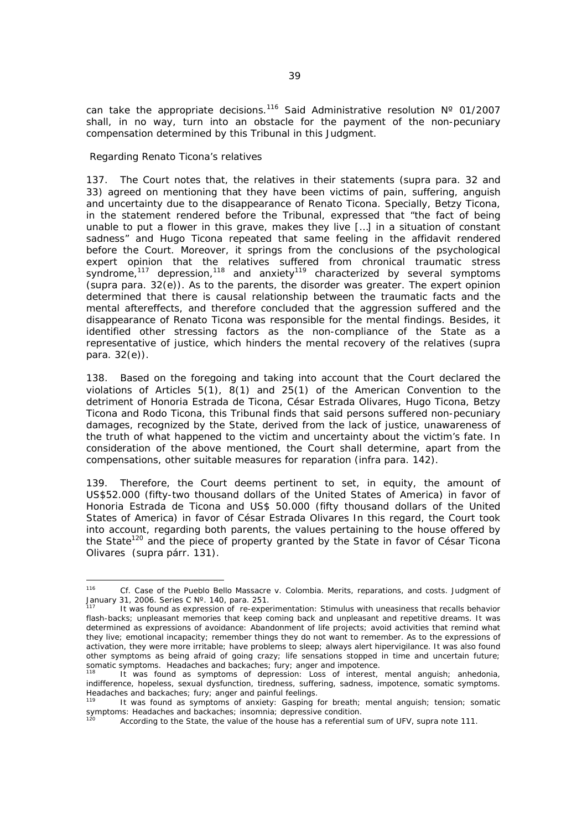can take the appropriate decisions.<sup>116</sup> Said Administrative resolution  $N^{\circ}$  01/2007 shall, in no way, turn into an obstacle for the payment of the non-pecuniary compensation determined by this Tribunal in this Judgment.

#### *Regarding Renato Ticona's relatives*

137. The Court notes that, the relatives in their statements (*supra* para. 32 and 33) agreed on mentioning that they have been victims of pain, suffering, anguish and uncertainty due to the disappearance of Renato Ticona. Specially, Betzy Ticona, in the statement rendered before the Tribunal, expressed that "the fact of being unable to put a flower in this grave, makes they live […] in a situation of constant sadness" and Hugo Ticona repeated that same feeling in the affidavit rendered before the Court. Moreover, it springs from the conclusions of the psychological expert opinion that the relatives suffered from chronical traumatic stress syndrome, $117$  depression, $118$  and anxiety $119$  characterized by several symptoms (*supra* para. 32(e)). As to the parents, the disorder was greater. The expert opinion determined that there is causal relationship between the traumatic facts and the mental aftereffects, and therefore concluded that the aggression suffered and the disappearance of Renato Ticona was responsible for the mental findings. Besides, it identified other stressing factors as the non-compliance of the State as a representative of justice, which hinders the mental recovery of the relatives (*supra* para. 32(e)).

138. Based on the foregoing and taking into account that the Court declared the violations of Articles 5(1), 8(1) and 25(1) of the American Convention to the detriment of Honoria Estrada de Ticona, César Estrada Olivares, Hugo Ticona, Betzy Ticona and Rodo Ticona, this Tribunal finds that said persons suffered non-pecuniary damages, recognized by the State, derived from the lack of justice, unawareness of the truth of what happened to the victim and uncertainty about the victim's fate. In consideration of the above mentioned, the Court shall determine, apart from the compensations, other suitable measures for reparation (*infra para.* 142).

139. Therefore, the Court deems pertinent to set, in equity, the amount of US\$52.000 (fifty-two thousand dollars of the United States of America) in favor of Honoria Estrada de Ticona and US\$ 50.000 (fifty thousand dollars of the United States of America) in favor of César Estrada Olivares In this regard, the Court took into account, regarding both parents, the values pertaining to the house offered by the State<sup>120</sup> and the piece of property granted by the State in favor of César Ticona Olivares (*supra* párr. 131).

<sup>116</sup> 116 *Cf. Case of the Pueblo Bello Massacre v. Colombia*. Merits, reparations, and costs. Judgment of January 31, 2006. Series C Nº. 140, para. 251.

It was found as expression of re-experimentation: Stimulus with uneasiness that recalls behavior flash-backs; unpleasant memories that keep coming back and unpleasant and repetitive dreams. It was determined as expressions of avoidance: Abandonment of life projects; avoid activities that remind what they live; emotional incapacity; remember things they do not want to remember. As to the expressions of activation, they were more irritable; have problems to sleep; always alert hipervigilance. It was also found other symptoms as being afraid of going crazy; life sensations stopped in time and uncertain future; somatic symptoms. Headaches and backaches; fury; anger and impotence.

<sup>&</sup>lt;sup>118</sup> It was found as symptoms of depression: Loss of interest, mental anguish; anhedonia, indifference, hopeless, sexual dysfunction, tiredness, suffering, sadness, impotence, somatic symptoms. Headaches and backaches; fury; and backaches; fury; anger and painful feelings.<br><sup>119</sup> H. West found and paint and painful feelings.

It was found as symptoms of anxiety: Gasping for breath; mental anguish; tension; somatic symptoms: Headaches and backaches; insomnia; depressive condition.

According to the State, the value of the house has a referential sum of UFV, *supra* note 111.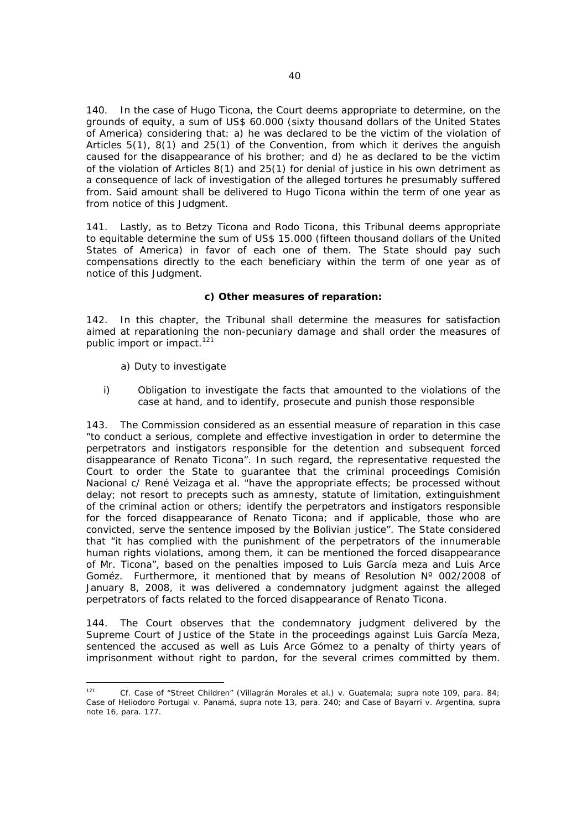140. In the case of Hugo Ticona, the Court deems appropriate to determine, on the grounds of equity, a sum of US\$ 60.000 (sixty thousand dollars of the United States of America) considering that: a) he was declared to be the victim of the violation of Articles 5(1), 8(1) and 25(1) of the Convention, from which it derives the anguish caused for the disappearance of his brother; and d) he as declared to be the victim of the violation of Articles 8(1) and 25(1) for denial of justice in his own detriment as a consequence of lack of investigation of the alleged tortures he presumably suffered from. Said amount shall be delivered to Hugo Ticona within the term of one year as from notice of this Judgment.

141. Lastly, as to Betzy Ticona and Rodo Ticona, this Tribunal deems appropriate to equitable determine the sum of US\$ 15.000 (fifteen thousand dollars of the United States of America) in favor of each one of them. The State should pay such compensations directly to the each beneficiary within the term of one year as of notice of this Judgment.

## **c) Other measures of reparation:**

142. In this chapter, the Tribunal shall determine the measures for satisfaction aimed at reparationing the non-pecuniary damage and shall order the measures of public import or impact.<sup>121</sup>

#### *a) Duty to investigate*

*i) Obligation to investigate the facts that amounted to the violations of the case at hand, and to identify, prosecute and punish those responsible* 

143. The Commission considered as an essential measure of reparation in this case "to conduct a serious, complete and effective investigation in order to determine the perpetrators and instigators responsible for the detention and subsequent forced disappearance of Renato Ticona". In such regard, the representative requested the Court to order the State to guarantee that the criminal proceedings *Comisión Nacional c/ René Veizaga et al.* "have the appropriate effects; be processed without delay; not resort to precepts such as amnesty, statute of limitation, extinguishment of the criminal action or others; identify the perpetrators and instigators responsible for the forced disappearance of Renato Ticona; and if applicable, those who are convicted, serve the sentence imposed by the Bolivian justice". The State considered that "it has complied with the punishment of the perpetrators of the innumerable human rights violations, among them, it can be mentioned the forced disappearance of Mr. Ticona", based on the penalties imposed to Luis García meza and Luis Arce Goméz. Furthermore, it mentioned that by means of Resolution Nº 002/2008 of January 8, 2008, it was delivered a condemnatory judgment against the alleged perpetrators of facts related to the forced disappearance of Renato Ticona.

144. The Court observes that the condemnatory judgment delivered by the Supreme Court of Justice of the State in the proceedings against Luis García Meza, sentenced the accused as well as Luis Arce Gómez to a penalty of thirty years of imprisonment without right to pardon, for the several crimes committed by them.

 $121$ 121 *Cf. Case of "Street Children" (Villagrán Morales et al.) v. Guatemala*; supra note 109, para. 84; *Case of Heliodoro Portugal v. Panamá*, *supra* note 13, para. 240; and *Case of Bayarri v. Argentina*, supra note 16, para. 177.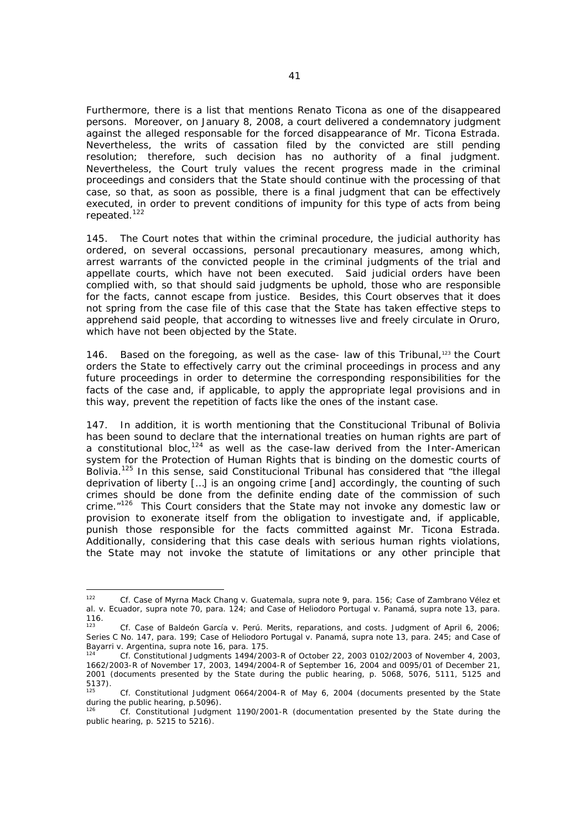Furthermore, there is a list that mentions Renato Ticona as one of the disappeared persons. Moreover, on January 8, 2008, a court delivered a condemnatory judgment against the alleged responsable for the forced disappearance of Mr. Ticona Estrada. Nevertheless, the writs of cassation filed by the convicted are still pending resolution; therefore, such decision has no authority of a final judgment. Nevertheless, the Court truly values the recent progress made in the criminal proceedings and considers that the State should continue with the processing of that case, so that, as soon as possible, there is a final judgment that can be effectively executed, in order to prevent conditions of impunity for this type of acts from being repeated.122

145. The Court notes that within the criminal procedure, the judicial authority has ordered, on several occassions, personal precautionary measures, among which, arrest warrants of the convicted people in the criminal judgments of the trial and appellate courts, which have not been executed. Said judicial orders have been complied with, so that should said judgments be uphold, those who are responsible for the facts, cannot escape from justice. Besides, this Court observes that it does not spring from the case file of this case that the State has taken effective steps to apprehend said people, that according to witnesses live and freely circulate in Oruro, which have not been objected by the State.

146. Based on the foregoing, as well as the case- law of this Tribunal, $123$  the Court orders the State to effectively carry out the criminal proceedings in process and any future proceedings in order to determine the corresponding responsibilities for the facts of the case and, if applicable, to apply the appropriate legal provisions and in this way, prevent the repetition of facts like the ones of the instant case.

147. In addition, it is worth mentioning that the Constitucional Tribunal of Bolivia has been sound to declare that the international treaties on human rights are part of a constitutional bloc, $124$  as well as the case-law derived from the Inter-American system for the Protection of Human Rights that is binding on the domestic courts of Bolivia.125 In this sense, said Constitucional Tribunal has considered that "the illegal deprivation of liberty […] is an ongoing crime [and] accordingly, the counting of such crimes should be done from the definite ending date of the commission of such crime."126This Court considers that the State may not invoke any domestic law or provision to exonerate itself from the obligation to investigate and, if applicable, punish those responsible for the facts committed against Mr. Ticona Estrada. Additionally, considering that this case deals with serious human rights violations, the State may not invoke the statute of limitations or any other principle that

 $122$ 122 *Cf. Case of Myrna Mack Chang v. Guatemala, supra* note 9, *para.* 156*; Case of Zambrano Vélez et al. v. Ecuador, supra* note 70*,* para. 124; and *Case of Heliodoro Portugal v. Panamá,* supra note 13, para.  $116.$ <sub>123</sub>

<sup>123</sup> *Cf. Case of Baldeón García v. Perú.* Merits, reparations, and costs. Judgment of April 6, 2006; Series C No. 147, para. 199; *Case of Heliodoro Portugal v. Panamá*, *supra* note 13, para. 245; and *Case of* 

*Bayarri v. Argentina*, supra note 16, para. 175.<br><sup>124</sup> *Cf.* Constitutional Judgments 1494/2003-R of October 22, 2003 0102/2003 of November 4, 2003, 1662/2003-R of November 17, 2003, 1494/2004-R of September 16, 2004 and 0095/01 of December 21, 2001 (documents presented by the State during the public hearing, p. 5068, 5076, 5111, 5125 and 5137).

Cf. Constitutional Judgment 0664/2004-R of May 6, 2004 (documents presented by the State during the public hearing, p.5096).

<sup>126</sup> *Cf.* Constitutional Judgment 1190/2001-R (documentation presented by the State during the public hearing, p. 5215 to 5216).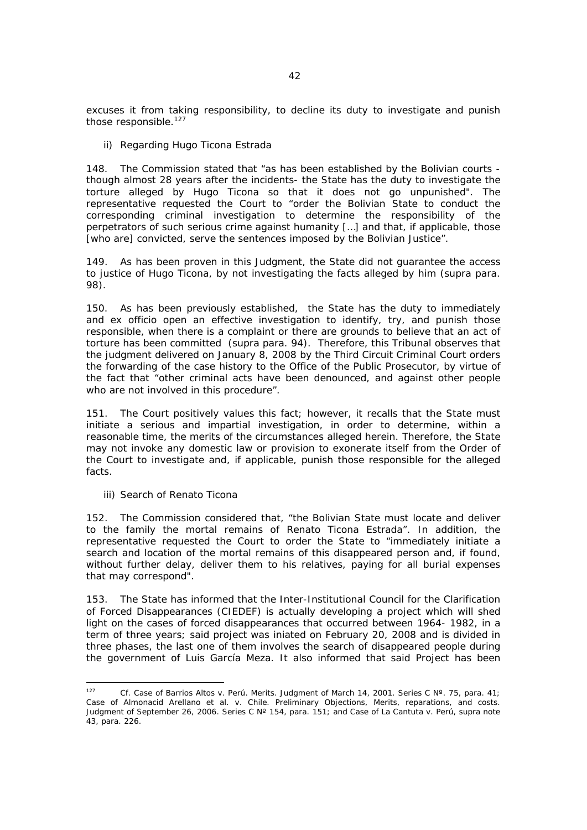excuses it from taking responsibility, to decline its duty to investigate and punish those responsible. $127$ 

#### *ii) Regarding Hugo Ticona Estrada*

148. The Commission stated that "as has been established by the Bolivian courts though almost 28 years after the incidents- the State has the duty to investigate the torture alleged by Hugo Ticona so that it does not go unpunished". The representative requested the Court to "order the Bolivian State to conduct the corresponding criminal investigation to determine the responsibility of the perpetrators of such serious crime against humanity […] and that, if applicable, those [who are] convicted, serve the sentences imposed by the Bolivian Justice".

149. As has been proven in this Judgment, the State did not guarantee the access to justice of Hugo Ticona, by not investigating the facts alleged by him (*supra* para. 98).

150. As has been previously established, the State has the duty to immediately and *ex officio* open an effective investigation to identify, try, and punish those responsible, when there is a complaint or there are grounds to believe that an act of torture has been committed (*supra* para. 94). Therefore, this Tribunal observes that the judgment delivered on January 8, 2008 by the Third Circuit Criminal Court orders the forwarding of the case history to the Office of the Public Prosecutor, by virtue of the fact that "other criminal acts have been denounced, and against other people who are not involved in this procedure".

151. The Court positively values this fact; however, it recalls that the State must initiate a serious and impartial investigation, in order to determine, within a reasonable time, the merits of the circumstances alleged herein. Therefore, the State may not invoke any domestic law or provision to exonerate itself from the Order of the Court to investigate and, if applicable, punish those responsible for the alleged facts.

#### *iii) Search of Renato Ticona*

152. The Commission considered that, "the Bolivian State must locate and deliver to the family the mortal remains of Renato Ticona Estrada". In addition, the representative requested the Court to order the State to "immediately initiate a search and location of the mortal remains of this disappeared person and, if found, without further delay, deliver them to his relatives, paying for all burial expenses that may correspond".

153. The State has informed that the Inter-Institutional Council for the Clarification of Forced Disappearances (CIEDEF) is actually developing a project which will shed light on the cases of forced disappearances that occurred between 1964- 1982, in a term of three years; said project was iniated on February 20, 2008 and is divided in three phases, the last one of them involves the search of disappeared people during the government of Luis García Meza. It also informed that said Project has been

 $127$ 127 *Cf. Case of Barrios Altos v. Perú.* Merits. Judgment of March 14, 2001. Series C Nº. 75, para. 41; *Case of Almonacid Arellano et al. v. Chile*. Preliminary Objections, Merits, reparations, and costs. Judgment of September 26, 2006. Series C Nº 154, para. 151; and *Case of La Cantuta v. Perú*, supra note 43, *para.* 226.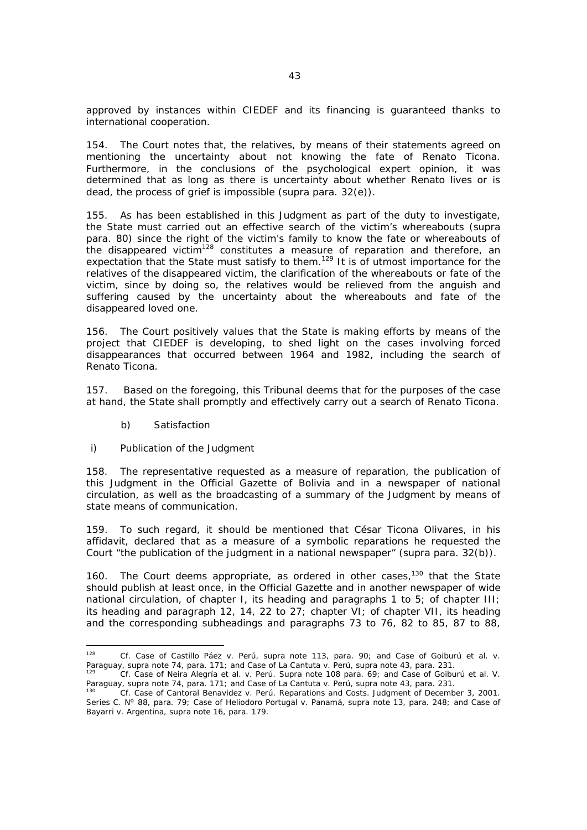approved by instances within CIEDEF and its financing is guaranteed thanks to international cooperation.

154. The Court notes that, the relatives, by means of their statements agreed on mentioning the uncertainty about not knowing the fate of Renato Ticona. Furthermore, in the conclusions of the psychological expert opinion, it was determined that as long as there is uncertainty about whether Renato lives or is dead, the process of grief is impossible (*supra* para. 32(e)).

155. As has been established in this Judgment as part of the duty to investigate, the State must carried out an effective search of the victim's whereabouts (*supra* para. 80) since the right of the victim's family to know the fate or whereabouts of the disappeared victim<sup>128</sup> constitutes a measure of reparation and therefore, an expectation that the State must satisfy to them.<sup>129</sup> It is of utmost importance for the relatives of the disappeared victim, the clarification of the whereabouts or fate of the victim, since by doing so, the relatives would be relieved from the anguish and suffering caused by the uncertainty about the whereabouts and fate of the disappeared loved one.

156. The Court positively values that the State is making efforts by means of the project that CIEDEF is developing, to shed light on the cases involving forced disappearances that occurred between 1964 and 1982, including the search of Renato Ticona.

157. Based on the foregoing, this Tribunal deems that for the purposes of the case at hand, the State shall promptly and effectively carry out a search of Renato Ticona.

#### *b) Satisfaction*

#### *i) Publication of the Judgment*

158. The representative requested as a measure of reparation, the publication of this Judgment in the Official Gazette of Bolivia and in a newspaper of national circulation, as well as the broadcasting of a summary of the Judgment by means of state means of communication.

159. To such regard, it should be mentioned that César Ticona Olivares, in his affidavit, declared that as a measure of a symbolic reparations he requested the Court "the publication of the judgment in a national newspaper" (*supra* para. 32(b)).

160. The Court deems appropriate, as ordered in other cases,  $130$  that the State should publish at least once, in the Official Gazette and in another newspaper of wide national circulation, of chapter I, its heading and paragraphs 1 to 5; of chapter III; its heading and paragraph 12, 14, 22 to 27; chapter VI; of chapter VII, its heading and the corresponding subheadings and paragraphs 73 to 76, 82 to 85, 87 to 88,

<sup>128</sup> 128 *Cf. Case of Castillo Páez v. Perú*, supra note 113, para. 90; and *Case of Goiburú et al. v.* 

*Paraguay,* supra note 74, para. 171; and *Case of La Cantuta v. Perú*, supra note 43, *para.* 231.<br>
1<sup>29</sup> *Cf. Case of Neira Alegría et al. v. Perú. Supra* note 108 para. 69; and Case of Goiburú et al. V.<br>
Paraguay, supra

Paraguay, supra note 74, para. 171; and Case of *La Cantuta v. Perú*, supra note 43, *para.* 231. 130 *Cf. Case of Cantoral Benavidez v. Perú. Reparations and Costs.* Judgment of December 3, 2001. Series C. Nº 88, para. 79; *Case of Heliodoro Portugal v. Panamá*, *supra* note 13, para. 248; and *Case of Bayarri v. Argentina*, supra note 16, para. 179.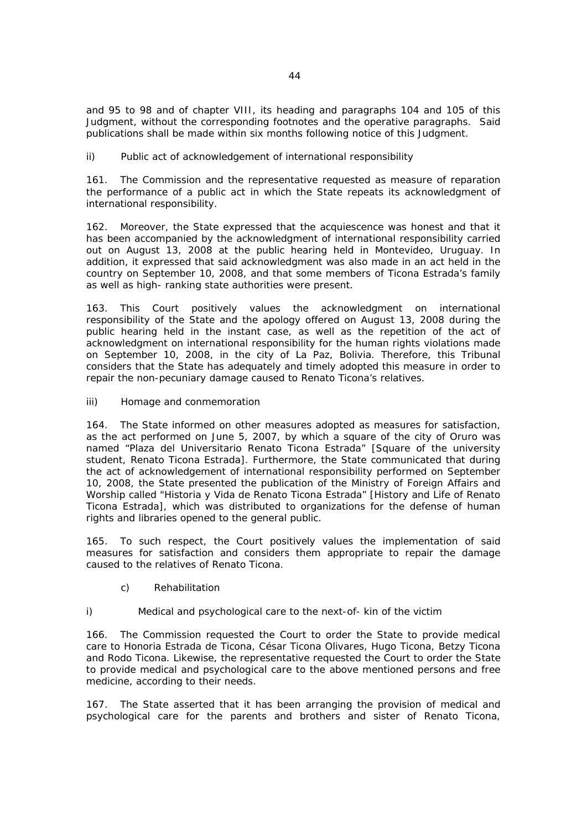and 95 to 98 and of chapter VIII, its heading and paragraphs 104 and 105 of this Judgment, without the corresponding footnotes and the operative paragraphs. Said publications shall be made within six months following notice of this Judgment.

## *ii) Public act of acknowledgement of international responsibility*

161. The Commission and the representative requested as measure of reparation the performance of a public act in which the State repeats its acknowledgment of international responsibility.

162. Moreover, the State expressed that the acquiescence was honest and that it has been accompanied by the acknowledgment of international responsibility carried out on August 13, 2008 at the public hearing held in Montevideo, Uruguay. In addition, it expressed that said acknowledgment was also made in an act held in the country on September 10, 2008, and that some members of Ticona Estrada's family as well as high- ranking state authorities were present.

163. This Court positively values the acknowledgment on international responsibility of the State and the apology offered on August 13, 2008 during the public hearing held in the instant case, as well as the repetition of the act of acknowledgment on international responsibility for the human rights violations made on September 10, 2008, in the city of La Paz, Bolivia. Therefore, this Tribunal considers that the State has adequately and timely adopted this measure in order to repair the non-pecuniary damage caused to Renato Ticona's relatives.

## *iii) Homage and conmemoration*

164. The State informed on other measures adopted as measures for satisfaction, as the act performed on June 5, 2007, by which a square of the city of Oruro was named "Plaza del Universitario Renato Ticona Estrada" [*Square of the university student, Renato Ticona Estrada].* Furthermore, the State communicated that during the act of acknowledgement of international responsibility performed on September 10, 2008, the State presented the publication of the Ministry of Foreign Affairs and Worship called "Historia y Vida de Renato Ticona Estrada" [*History and Life of Renato Ticona Estrada*], which was distributed to organizations for the defense of human rights and libraries opened to the general public.

165. To such respect, the Court positively values the implementation of said measures for satisfaction and considers them appropriate to repair the damage caused to the relatives of Renato Ticona.

## *c) Rehabilitation*

## *i) Medical and psychological care to the next-of- kin of the victim*

166. The Commission requested the Court to order the State to provide medical care to Honoria Estrada de Ticona, César Ticona Olivares, Hugo Ticona, Betzy Ticona and Rodo Ticona. Likewise, the representative requested the Court to order the State to provide medical and psychological care to the above mentioned persons and free medicine, according to their needs.

167. The State asserted that it has been arranging the provision of medical and psychological care for the parents and brothers and sister of Renato Ticona,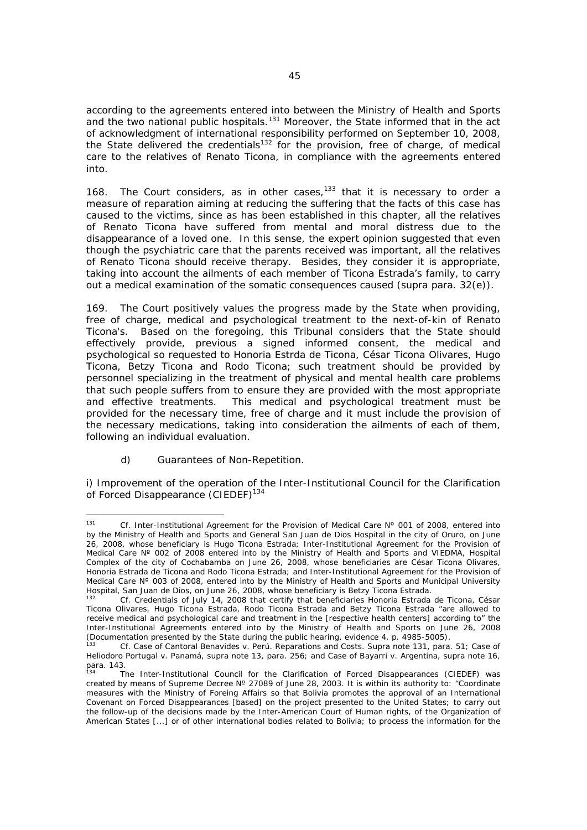according to the agreements entered into between the Ministry of Health and Sports and the two national public hospitals.<sup>131</sup> Moreover, the State informed that in the act of acknowledgment of international responsibility performed on September 10, 2008, the State delivered the credentials<sup>132</sup> for the provision, free of charge, of medical care to the relatives of Renato Ticona, in compliance with the agreements entered into.

168. The Court considers, as in other cases, $133$  that it is necessary to order a measure of reparation aiming at reducing the suffering that the facts of this case has caused to the victims, since as has been established in this chapter, all the relatives of Renato Ticona have suffered from mental and moral distress due to the disappearance of a loved one. In this sense, the expert opinion suggested that even though the psychiatric care that the parents received was important, all the relatives of Renato Ticona should receive therapy. Besides, they consider it is appropriate, taking into account the ailments of each member of Ticona Estrada's family, to carry out a medical examination of the somatic consequences caused (*supra* para. 32(e)).

169. The Court positively values the progress made by the State when providing, free of charge, medical and psychological treatment to the next-of-kin of Renato Ticona's. Based on the foregoing, this Tribunal considers that the State should effectively provide, previous a signed informed consent, the medical and psychological so requested to Honoria Estrda de Ticona, César Ticona Olivares, Hugo Ticona, Betzy Ticona and Rodo Ticona; such treatment should be provided by personnel specializing in the treatment of physical and mental health care problems that such people suffers from to ensure they are provided with the most appropriate and effective treatments. This medical and psychological treatment must be provided for the necessary time, free of charge and it must include the provision of the necessary medications, taking into consideration the ailments of each of them, following an individual evaluation.

## *d) Guarantees of Non-Repetition.*

i) *Improvement of the operation of the Inter-Institutional Council for the Clarification of Forced Disappearance* (CIEDEF)134

 $131$ Cf. Inter-Institutional Agreement for the Provision of Medical Care N° 001 of 2008, entered into by the Ministry of Health and Sports and *General San Juan de Dios* Hospital in the city of Oruro, on June 26, 2008, whose beneficiary is Hugo Ticona Estrada; Inter-Institutional Agreement for the Provision of Medical Care N° 002 of 2008 entered into by the Ministry of Health and Sports and VIEDMA, Hospital Complex of the city of Cochabamba on June 26, 2008, whose beneficiaries are César Ticona Olivares, Honoria Estrada de Ticona and Rodo Ticona Estrada; and Inter-Institutional Agreement for the Provision of Medical Care N° 003 of 2008, entered into by the Ministry of Health and Sports and Municipal University<br>Hospital, San Juan de Dios, on June 26, 2008, whose beneficiary is Betzy Ticona Estrada.

Cf. Credentials of July 14, 2008 that certify that beneficiaries Honoria Estrada de Ticona, César Ticona Olivares, Hugo Ticona Estrada, Rodo Ticona Estrada and Betzy Ticona Estrada "are allowed to receive medical and psychological care and treatment in the [respective health centers] according to" the Inter-Institutional Agreements entered into by the Ministry of Health and Sports on June 26, 2008 (Documentation presented by the State during the public hearing, evidence 4. p. 4985-5005).

<sup>133</sup> *Cf. Case of Cantoral Benavides v. Perú. Reparations and Costs. Supra* note 131, para. 51; *Case of Heliodoro Portugal v. Panamá*, *supra* note 13, para. 256; and *Case of Bayarri v. Argentina*, supra note 16, para. 143.

<sup>134</sup> The Inter-Institutional Council for the Clarification of Forced Disappearances (CIEDEF) was created by means of Supreme Decree N° 27089 of June 28, 2003. It is within its authority to: "Coordinate measures with the Ministry of Foreing Affairs so that Bolivia promotes the approval of an International Covenant on Forced Disappearances [based] on the project presented to the United States; to carry out the follow-up of the decisions made by the Inter-American Court of Human rights, of the Organization of American States [...] or of other international bodies related to Bolivia; to process the information for the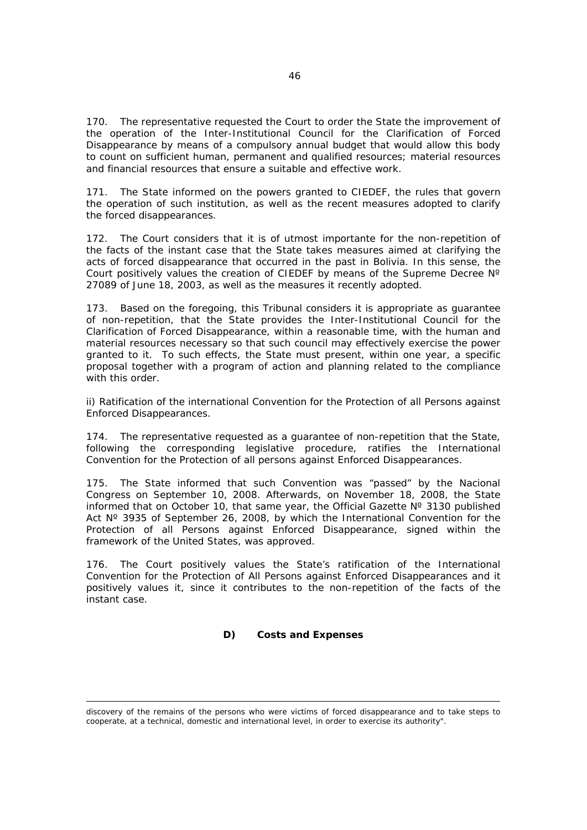170. The representative requested the Court to order the State the improvement of the operation of the Inter-Institutional Council for the Clarification of Forced Disappearance by means of a compulsory annual budget that would allow this body to count on sufficient human, permanent and qualified resources; material resources and financial resources that ensure a suitable and effective work.

171. The State informed on the powers granted to CIEDEF, the rules that govern the operation of such institution, as well as the recent measures adopted to clarify the forced disappearances.

172. The Court considers that it is of utmost importante for the non-repetition of the facts of the instant case that the State takes measures aimed at clarifying the acts of forced disappearance that occurred in the past in Bolivia. In this sense, the Court positively values the creation of CIEDEF by means of the Supreme Decree  $N^{\circ}$ 27089 of June 18, 2003, as well as the measures it recently adopted.

173. Based on the foregoing, this Tribunal considers it is appropriate as guarantee of non-repetition, that the State provides the Inter-Institutional Council for the Clarification of Forced Disappearance, within a reasonable time, with the human and material resources necessary so that such council may effectively exercise the power granted to it. To such effects, the State must present, within one year, a specific proposal together with a program of action and planning related to the compliance with this order.

*ii) Ratification of the international Convention for the Protection of all Persons against Enforced Disappearances.* 

174. The representative requested as a guarantee of non-repetition that the State, following the corresponding legislative procedure, ratifies the International Convention for the Protection of all persons against Enforced Disappearances.

175. The State informed that such Convention was "passed" by the Nacional Congress on September 10, 2008. Afterwards, on November 18, 2008, the State informed that on October 10, that same year, the Official Gazette  $N^{\circ}$  3130 published Act Nº 3935 of September 26, 2008, by which the International Convention for the Protection of all Persons against Enforced Disappearance, signed within the framework of the United States, was approved.

176. The Court positively values the State's ratification of the International Convention for the Protection of All Persons against Enforced Disappearances and it positively values it, since it contributes to the non-repetition of the facts of the instant case.

#### *D) Costs and Expenses*

discovery of the remains of the persons who were victims of forced disappearance and to take steps to cooperate, at a technical, domestic and international level, in order to exercise its authority".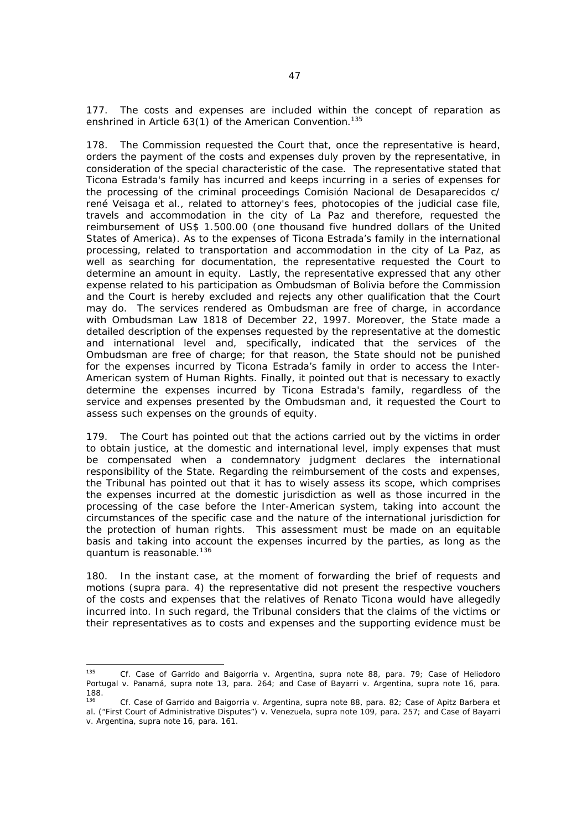177. The costs and expenses are included within the concept of reparation as enshrined in Article 63(1) of the American Convention.<sup>135</sup>

178. The Commission requested the Court that, once the representative is heard, orders the payment of the costs and expenses duly proven by the representative, in consideration of the special characteristic of the case. The representative stated that Ticona Estrada's family has incurred and keeps incurring in a series of expenses for the processing of the criminal proceedings *Comisión Nacional de Desaparecidos c/ rené Veisaga et al.*, related to attorney's fees, photocopies of the judicial case file, travels and accommodation in the city of La Paz and therefore, requested the reimbursement of US\$ 1.500.00 (one thousand five hundred dollars of the United States of America). As to the expenses of Ticona Estrada's family in the international processing, related to transportation and accommodation in the city of La Paz, as well as searching for documentation, the representative requested the Court to determine an amount in equity. Lastly, the representative expressed that any other expense related to his participation as Ombudsman of Bolivia before the Commission and the Court is hereby excluded and rejects any other qualification that the Court may do. The services rendered as Ombudsman are free of charge, in accordance with Ombudsman Law 1818 of December 22, 1997. Moreover, the State made a detailed description of the expenses requested by the representative at the domestic and international level and, specifically, indicated that the services of the Ombudsman are free of charge; for that reason, the State should not be punished for the expenses incurred by Ticona Estrada's family in order to access the Inter-American system of Human Rights. Finally, it pointed out that is necessary to exactly determine the expenses incurred by Ticona Estrada's family, regardless of the service and expenses presented by the Ombudsman and, it requested the Court to assess such expenses on the grounds of equity.

179. The Court has pointed out that the actions carried out by the victims in order to obtain justice, at the domestic and international level, imply expenses that must be compensated when a condemnatory judgment declares the international responsibility of the State. Regarding the reimbursement of the costs and expenses, the Tribunal has pointed out that it has to wisely assess its scope, which comprises the expenses incurred at the domestic jurisdiction as well as those incurred in the processing of the case before the Inter-American system, taking into account the circumstances of the specific case and the nature of the international jurisdiction for the protection of human rights. This assessment must be made on an equitable basis and taking into account the expenses incurred by the parties, as long as the *quantum* is reasonable.<sup>136</sup>

180. In the instant case, at the moment of forwarding the brief of requests and motions (*supra* para. 4) the representative did not present the respective vouchers of the costs and expenses that the relatives of Renato Ticona would have allegedly incurred into. In such regard, the Tribunal considers that the claims of the victims or their representatives as to costs and expenses and the supporting evidence must be

<sup>135</sup> <sup>135</sup> *Cf. Case of Garrido and Baigorria v. Argentina*, supra note 88, para. 79; *Case of Heliodoro Portugal v. Panamá*, *supra* note 13, para. 264; and *Case of Bayarri v. Argentina*, supra note 16, para. 188.

<sup>136</sup> *Cf. Case of Garrido and Baigorria v. Argentina*, supra note 88, para. 82; *Case of Apitz Barbera et al. ("First Court of Administrative Disputes") v. Venezuela, supra note 109, para.* 257; and *Case of Bayarri v. Argentina*, supra note 16, para. 161.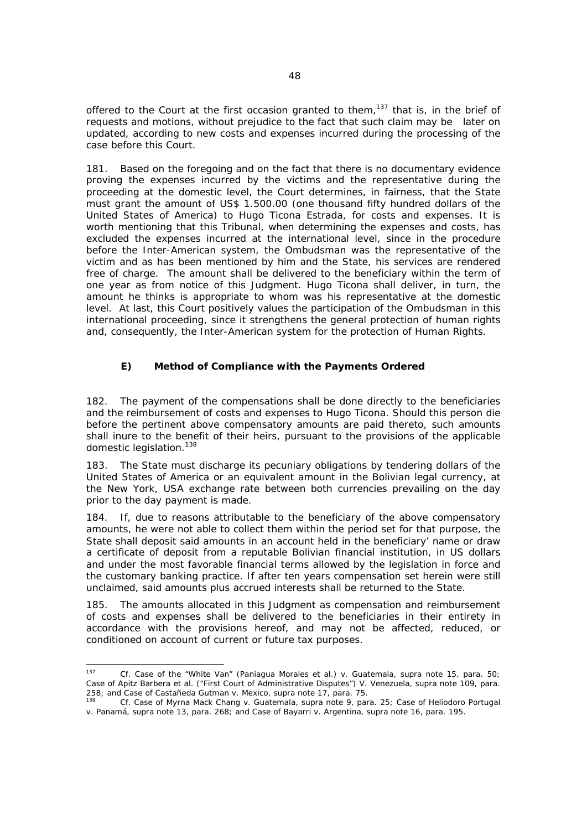offered to the Court at the first occasion granted to them,<sup>137</sup> that is, in the brief of requests and motions, without prejudice to the fact that such claim may be later on updated, according to new costs and expenses incurred during the processing of the case before this Court.

181. Based on the foregoing and on the fact that there is no documentary evidence proving the expenses incurred by the victims and the representative during the proceeding at the domestic level, the Court determines, in fairness, that the State must grant the amount of US\$ 1.500.00 (one thousand fifty hundred dollars of the United States of America) to Hugo Ticona Estrada, for costs and expenses. It is worth mentioning that this Tribunal, when determining the expenses and costs, has excluded the expenses incurred at the international level, since in the procedure before the Inter-American system, the Ombudsman was the representative of the victim and as has been mentioned by him and the State, his services are rendered free of charge. The amount shall be delivered to the beneficiary within the term of one year as from notice of this Judgment. Hugo Ticona shall deliver, in turn, the amount he thinks is appropriate to whom was his representative at the domestic level. At last, this Court positively values the participation of the Ombudsman in this international proceeding, since it strengthens the general protection of human rights and, consequently, the Inter-American system for the protection of Human Rights.

## *E) Method of Compliance with the Payments Ordered*

182. The payment of the compensations shall be done directly to the beneficiaries and the reimbursement of costs and expenses to Hugo Ticona. Should this person die before the pertinent above compensatory amounts are paid thereto, such amounts shall inure to the benefit of their heirs, pursuant to the provisions of the applicable domestic legislation.<sup>138</sup>

183. The State must discharge its pecuniary obligations by tendering dollars of the United States of America or an equivalent amount in the Bolivian legal currency, at the New York, USA exchange rate between both currencies prevailing on the day prior to the day payment is made.

184. If, due to reasons attributable to the beneficiary of the above compensatory amounts, he were not able to collect them within the period set for that purpose, the State shall deposit said amounts in an account held in the beneficiary' name or draw a certificate of deposit from a reputable Bolivian financial institution, in US dollars and under the most favorable financial terms allowed by the legislation in force and the customary banking practice. If after ten years compensation set herein were still unclaimed, said amounts plus accrued interests shall be returned to the State.

185. The amounts allocated in this Judgment as compensation and reimbursement of costs and expenses shall be delivered to the beneficiaries in their entirety in accordance with the provisions hereof, and may not be affected, reduced, or conditioned on account of current or future tax purposes.

<sup>137</sup> 137 *Cf. Case of the "White Van" (Paniagua Morales et al.) v. Guatemala*, supra note 15, para. 50; *Case of Apitz Barbera et al. ("First Court of Administrative Disputes") V. Venezuela, supra note 109, para.*

<sup>258;</sup> and *Case of Castañeda Gutman v. Mexico, supra* note 17, para. 75. 138 *Cf. Case of Myrna Mack Chang v. Guatemala, supra* note 9, *para.* 25; *Case of Heliodoro Portugal v. Panamá*, *supra* note 13, para. 268; and *Case of Bayarri v. Argentina*, supra note 16, para. 195.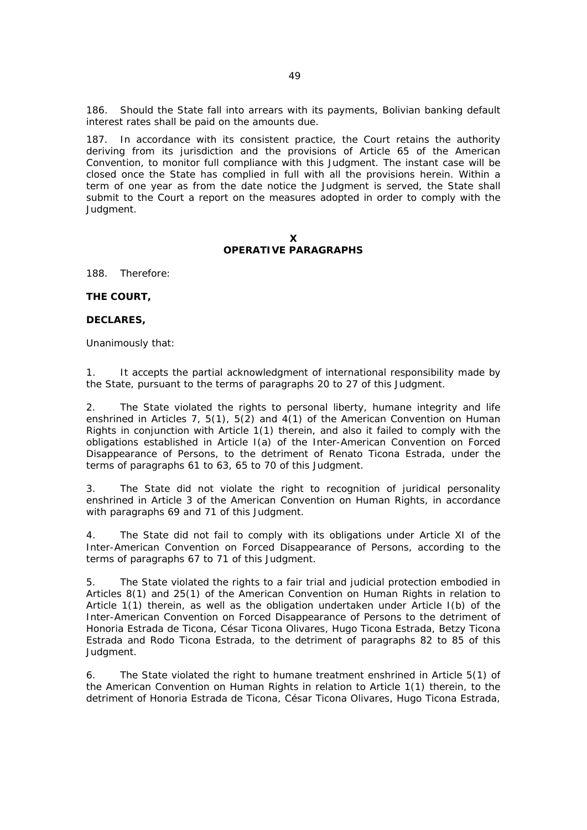186. Should the State fall into arrears with its payments, Bolivian banking default interest rates shall be paid on the amounts due.

187. In accordance with its consistent practice, the Court retains the authority deriving from its jurisdiction and the provisions of Article 65 of the American Convention, to monitor full compliance with this Judgment. The instant case will be closed once the State has complied in full with all the provisions herein. Within a term of one year as from the date notice the Judgment is served, the State shall submit to the Court a report on the measures adopted in order to comply with the Judgment.

#### **X OPERATIVE PARAGRAPHS**

188. Therefore:

#### **THE COURT,**

#### **DECLARES,**

Unanimously that:

1. It accepts the partial acknowledgment of international responsibility made by the State, pursuant to the terms of paragraphs 20 to 27 of this Judgment.

2. The State violated the rights to personal liberty, humane integrity and life enshrined in Articles 7, 5(1), 5(2) and 4(1) of the American Convention on Human Rights in conjunction with Article 1(1) therein, and also it failed to comply with the obligations established in Article I(a) of the Inter-American Convention on Forced Disappearance of Persons, to the detriment of Renato Ticona Estrada, under the terms of paragraphs 61 to 63, 65 to 70 of this Judgment.

3. The State did not violate the right to recognition of juridical personality enshrined in Article 3 of the American Convention on Human Rights, in accordance with paragraphs 69 and 71 of this Judgment.

4. The State did not fail to comply with its obligations under Article XI of the Inter-American Convention on Forced Disappearance of Persons, according to the terms of paragraphs 67 to 71 of this Judgment.

5. The State violated the rights to a fair trial and judicial protection embodied in Articles 8(1) and 25(1) of the American Convention on Human Rights in relation to Article 1(1) therein, as well as the obligation undertaken under Article I(b) of the Inter-American Convention on Forced Disappearance of Persons to the detriment of Honoria Estrada de Ticona, César Ticona Olivares, Hugo Ticona Estrada, Betzy Ticona Estrada and Rodo Ticona Estrada, to the detriment of paragraphs 82 to 85 of this Judgment.

6. The State violated the right to humane treatment enshrined in Article 5(1) of the American Convention on Human Rights in relation to Article 1(1) therein, to the detriment of Honoria Estrada de Ticona, César Ticona Olivares, Hugo Ticona Estrada,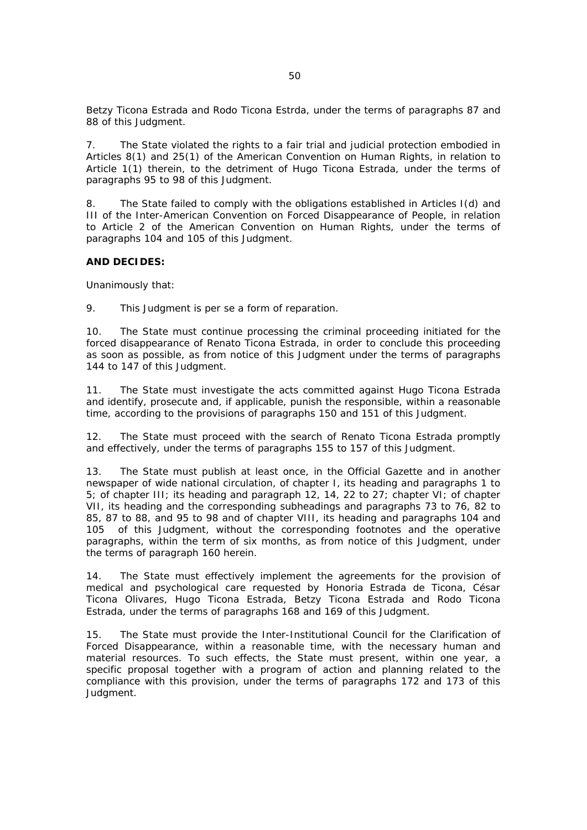Betzy Ticona Estrada and Rodo Ticona Estrda, under the terms of paragraphs 87 and 88 of this Judgment.

7. The State violated the rights to a fair trial and judicial protection embodied in Articles 8(1) and 25(1) of the American Convention on Human Rights, in relation to Article 1(1) therein, to the detriment of Hugo Ticona Estrada, under the terms of paragraphs 95 to 98 of this Judgment.

8. The State failed to comply with the obligations established in Articles I(d) and III of the Inter-American Convention on Forced Disappearance of People, in relation to Article 2 of the American Convention on Human Rights, under the terms of paragraphs 104 and 105 of this Judgment.

#### **AND DECIDES:**

Unanimously that:

9. This Judgment is *per se* a form of reparation.

10. The State must continue processing the criminal proceeding initiated for the forced disappearance of Renato Ticona Estrada, in order to conclude this proceeding as soon as possible, as from notice of this Judgment under the terms of paragraphs 144 to 147 of this Judgment.

11. The State must investigate the acts committed against Hugo Ticona Estrada and identify, prosecute and, if applicable, punish the responsible, within a reasonable time, according to the provisions of paragraphs 150 and 151 of this Judgment.

12. The State must proceed with the search of Renato Ticona Estrada promptly and effectively, under the terms of paragraphs 155 to 157 of this Judgment.

13. The State must publish at least once, in the Official Gazette and in another newspaper of wide national circulation, of chapter I, its heading and paragraphs 1 to 5; of chapter III; its heading and paragraph 12, 14, 22 to 27; chapter VI; of chapter VII, its heading and the corresponding subheadings and paragraphs 73 to 76, 82 to 85, 87 to 88, and 95 to 98 and of chapter VIII, its heading and paragraphs 104 and 105 of this Judgment, without the corresponding footnotes and the operative paragraphs, within the term of six months, as from notice of this Judgment, under the terms of paragraph 160 herein.

14. The State must effectively implement the agreements for the provision of medical and psychological care requested by Honoria Estrada de Ticona, César Ticona Olivares, Hugo Ticona Estrada, Betzy Ticona Estrada and Rodo Ticona Estrada, under the terms of paragraphs 168 and 169 of this Judgment.

15. The State must provide the Inter-Institutional Council for the Clarification of Forced Disappearance, within a reasonable time, with the necessary human and material resources. To such effects, the State must present, within one year, a specific proposal together with a program of action and planning related to the compliance with this provision, under the terms of paragraphs 172 and 173 of this Judgment.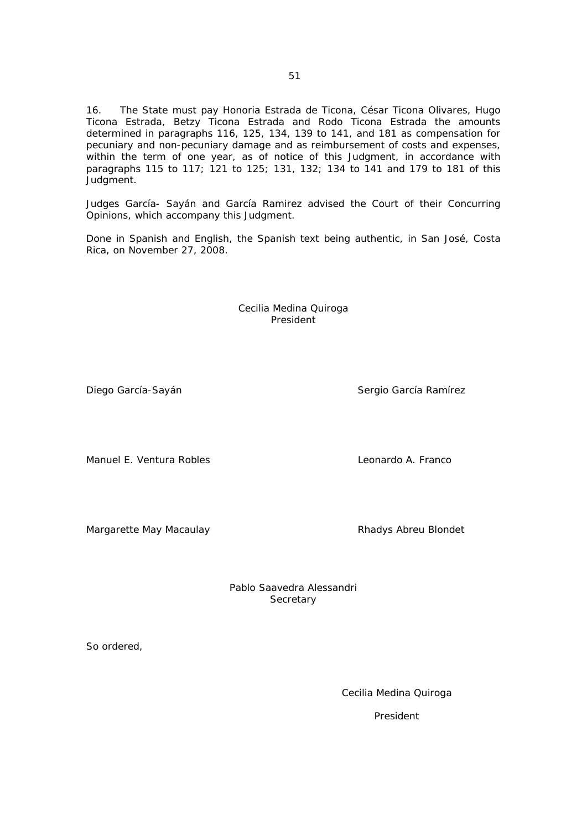16. The State must pay Honoria Estrada de Ticona, César Ticona Olivares, Hugo Ticona Estrada, Betzy Ticona Estrada and Rodo Ticona Estrada the amounts determined in paragraphs 116, 125, 134, 139 to 141, and 181 as compensation for pecuniary and non-pecuniary damage and as reimbursement of costs and expenses, within the term of one year, as of notice of this Judgment, in accordance with paragraphs 115 to 117; 121 to 125; 131, 132; 134 to 141 and 179 to 181 of this Judgment.

Judges García- Sayán and García Ramirez advised the Court of their Concurring Opinions, which accompany this Judgment.

Done in Spanish and English, the Spanish text being authentic, in San José, Costa Rica, on November 27, 2008.

> Cecilia Medina Quiroga President

Manuel E. Ventura Robles Leonardo A. Franco

Margarette May Macaulay **Rhadys Abreu Blondet** 

Pablo Saavedra Alessandri **Secretary** 

So ordered,

Cecilia Medina Quiroga

President

Diego García-Sayán Sergio García Ramírez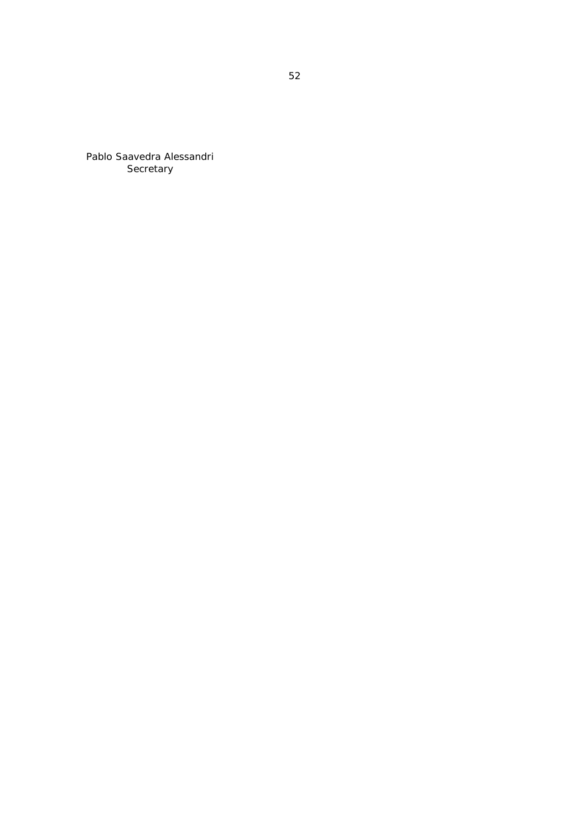Pablo Saavedra Alessandri Secretary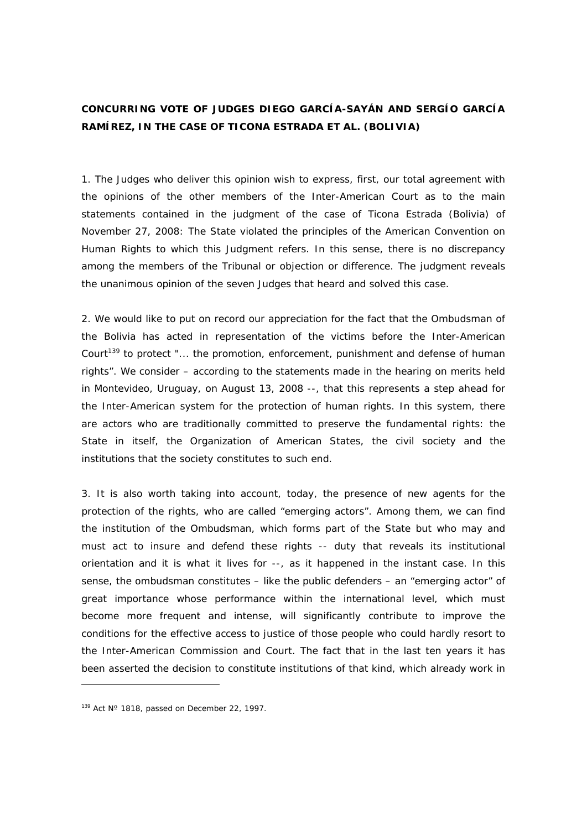## **CONCURRING VOTE OF JUDGES DIEGO GARCÍA-SAYÁN AND SERGÍO GARCÍA RAMÍREZ, IN THE CASE OF** *TICONA ESTRADA ET AL.* **(BOLIVIA)**

1. The Judges who deliver this opinion wish to express, first, our total agreement with the opinions of the other members of the Inter-American Court as to the main statements contained in the judgment of the case of Ticona Estrada (Bolivia) of November 27, 2008: The State violated the principles of the American Convention on Human Rights to which this Judgment refers. In this sense, there is no discrepancy among the members of the Tribunal or objection or difference. The judgment reveals the unanimous opinion of the seven Judges that heard and solved this case.

2. We would like to put on record our appreciation for the fact that the Ombudsman of the Bolivia has acted in representation of the victims before the Inter-American Court<sup>139</sup> to protect "... the promotion, enforcement, punishment and defense of human rights". We consider – according to the statements made in the hearing on merits held in Montevideo, Uruguay, on August 13, 2008 --, that this represents a step ahead for the Inter-American system for the protection of human rights. In this system, there are actors who are traditionally committed to preserve the fundamental rights: the State in itself, the Organization of American States, the civil society and the institutions that the society constitutes to such end.

3. It is also worth taking into account, today, the presence of new agents for the protection of the rights, who are called "emerging actors". Among them, we can find the institution of the Ombudsman, which forms part of the State but who may and must act to insure and defend these rights -- duty that reveals its institutional orientation and it is what it lives for --, as it happened in the instant case. In this sense, the ombudsman constitutes – like the public defenders – an "emerging actor" of great importance whose performance within the international level, which must become more frequent and intense, will significantly contribute to improve the conditions for the effective access to justice of those people who could hardly resort to the Inter-American Commission and Court. The fact that in the last ten years it has been asserted the decision to constitute institutions of that kind, which already work in

 $\overline{a}$ 

 $139$  Act N° 1818, passed on December 22, 1997.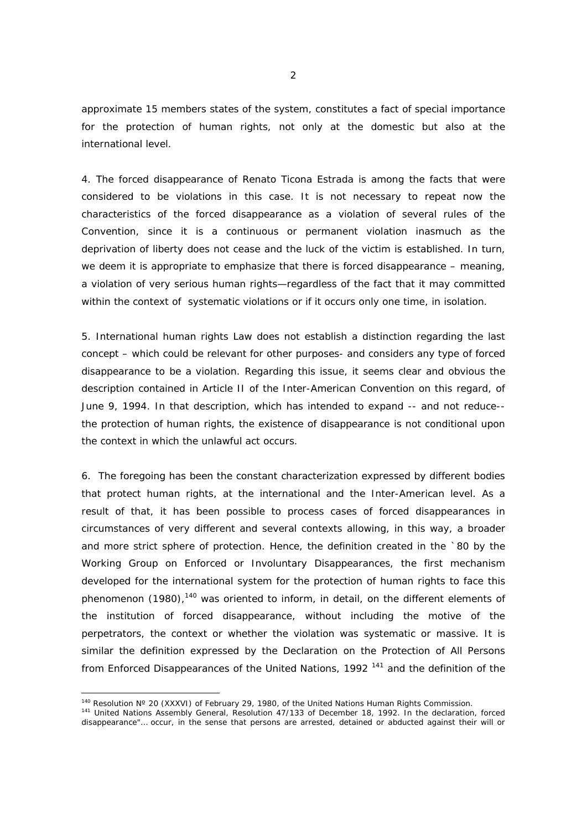approximate 15 members states of the system, constitutes a fact of special importance for the protection of human rights, not only at the domestic but also at the international level.

4. The forced disappearance of Renato Ticona Estrada is among the facts that were considered to be violations in this case. It is not necessary to repeat now the characteristics of the forced disappearance as a violation of several rules of the Convention, since it is a continuous or permanent violation inasmuch as the deprivation of liberty does not cease and the luck of the victim is established. In turn, we deem it is appropriate to emphasize that there is forced disappearance – meaning, a violation of very serious human rights—regardless of the fact that it may committed within the context of systematic violations or if it occurs only one time, in isolation.

5. International human rights Law does not establish a distinction regarding the last concept – which could be relevant for other purposes- and considers any type of forced disappearance to be a violation. Regarding this issue, it seems clear and obvious the description contained in Article II of the Inter-American Convention on this regard, of June 9, 1994. In that description, which has intended to expand -- and not reduce- the protection of human rights, the existence of disappearance is not conditional upon the context in which the unlawful act occurs.

6. The foregoing has been the constant characterization expressed by different bodies that protect human rights, at the international and the Inter-American level. As a result of that, it has been possible to process cases of forced disappearances in circumstances of very different and several contexts allowing, in this way, a broader and more strict sphere of protection. Hence, the definition created in the `80 by the Working Group on Enforced or Involuntary Disappearances, the first mechanism developed for the international system for the protection of human rights to face this phenomenon (1980),<sup>140</sup> was oriented to inform, in detail, on the different elements of the institution of forced disappearance, without including the motive of the perpetrators, the context or whether the violation was systematic or massive. It is similar the definition expressed by the Declaration on the Protection of All Persons from Enforced Disappearances of the United Nations, 1992<sup>141</sup> and the definition of the

-

<sup>&</sup>lt;sup>140</sup> Resolution N° 20 (XXXVI) of February 29, 1980, of the United Nations Human Rights Commission.<br><sup>141</sup> United Nations Assembly General, Resolution 47/133 of December 18, 1992. In the declaration, forced

disappearance"… occur, in the sense that persons are arrested, detained or abducted against their will or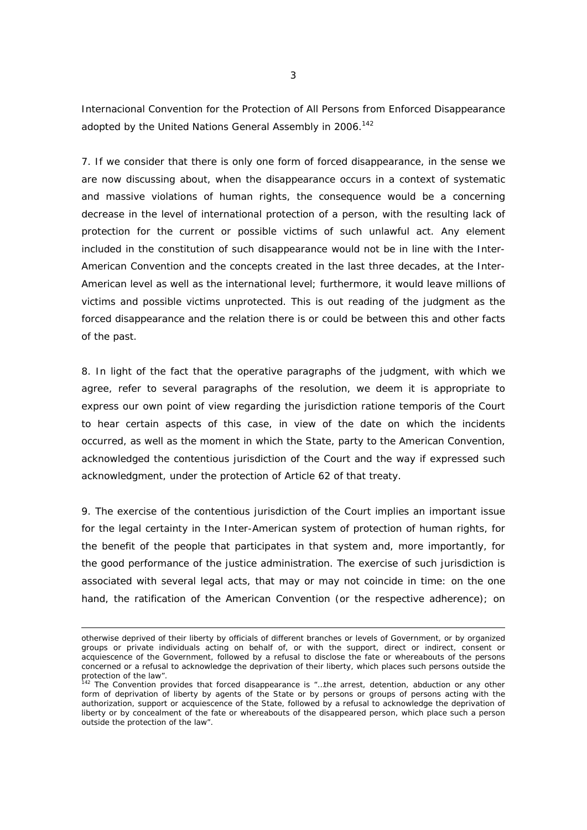Internacional Convention for the Protection of All Persons from Enforced Disappearance adopted by the United Nations General Assembly in 2006.<sup>142</sup>

7. If we consider that there is only one form of forced disappearance, in the sense we are now discussing about, when the disappearance occurs in a context of systematic and massive violations of human rights, the consequence would be a concerning decrease in the level of international protection of a person, with the resulting lack of protection for the current or possible victims of such unlawful act. Any element included in the constitution of such disappearance would not be in line with the Inter-American Convention and the concepts created in the last three decades, at the Inter-American level as well as the international level; furthermore, it would leave millions of victims and possible victims unprotected. This is out reading of the judgment as the forced disappearance and the relation there is or could be between this and other facts of the past.

8. In light of the fact that the operative paragraphs of the judgment, with which we agree, refer to several paragraphs of the resolution, we deem it is appropriate to express our own point of view regarding the jurisdiction *ratione temporis* of the Court to hear certain aspects of this case, in view of the date on which the incidents occurred, as well as the moment in which the State, party to the American Convention, acknowledged the contentious jurisdiction of the Court and the way if expressed such acknowledgment, under the protection of Article 62 of that treaty.

9. The exercise of the contentious jurisdiction of the Court implies an important issue for the legal certainty in the Inter-American system of protection of human rights, for the benefit of the people that participates in that system and, more importantly, for the good performance of the justice administration. The exercise of such jurisdiction is associated with several legal acts, that may or may not coincide in time: on the one hand, the ratification of the American Convention (or the respective adherence); on

otherwise deprived of their liberty by officials of different branches or levels of Government, or by organized groups or private individuals acting on behalf of, or with the support, direct or indirect, consent or acquiescence of the Government, followed by a refusal to disclose the fate or whereabouts of the persons concerned or a refusal to acknowledge the deprivation of their liberty, which places such persons outside the protection of the law".

 $142$  The Convention provides that forced disappearance is "...the arrest, detention, abduction or any other form of deprivation of liberty by agents of the State or by persons or groups of persons acting with the authorization, support or acquiescence of the State, followed by a refusal to acknowledge the deprivation of liberty or by concealment of the fate or whereabouts of the disappeared person, which place such a person outside the protection of the law".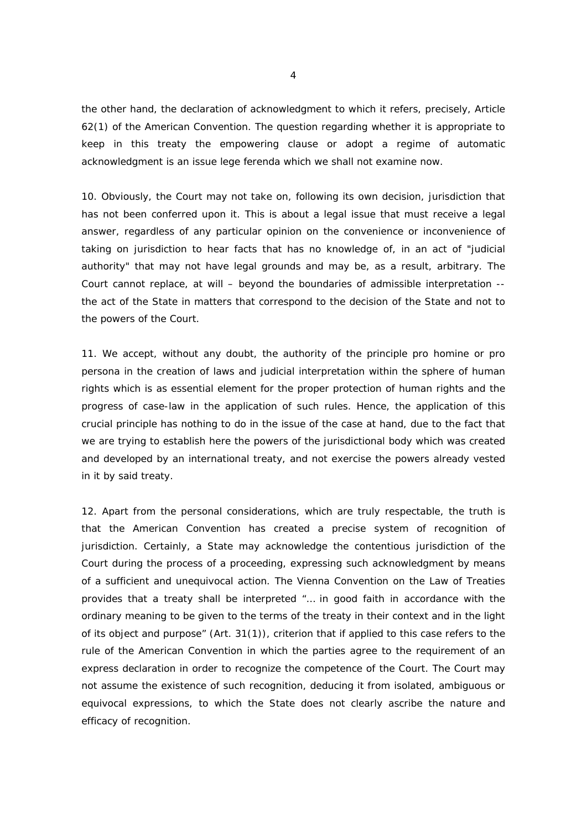the other hand, the declaration of acknowledgment to which it refers, precisely, Article 62(1) of the American Convention. The question regarding whether it is appropriate to keep in this treaty the empowering clause or adopt a regime of automatic acknowledgment is an issue *lege ferenda* which we shall not examine now.

10. Obviously, the Court may not take on, following its own decision, jurisdiction that has not been conferred upon it. This is about a legal issue that must receive a legal answer, regardless of any particular opinion on the convenience or inconvenience of taking on jurisdiction to hear facts that has no knowledge of, in an act of "judicial authority" that may not have legal grounds and may be, as a result, arbitrary. The Court cannot replace, at will – beyond the boundaries of admissible interpretation - the act of the State in matters that correspond to the decision of the State and not to the powers of the Court.

11. We accept, without any doubt, the authority of the principle *pro homine* or *pro persona* in the creation of laws and judicial interpretation within the sphere of human rights which is as essential element for the proper protection of human rights and the progress of case-law in the application of such rules. Hence, the application of this crucial principle has nothing to do in the issue of the case at hand, due to the fact that we are trying to establish here the powers of the jurisdictional body which was created and developed by an international treaty, and not exercise the powers already vested in it by said treaty.

12. Apart from the personal considerations, which are truly respectable, the truth is that the American Convention has created a precise system of recognition of jurisdiction. Certainly, a State may acknowledge the contentious jurisdiction of the Court during the process of a proceeding, expressing such acknowledgment by means of a sufficient and unequivocal action. The Vienna Convention on the Law of Treaties provides that a treaty shall be interpreted "… in good faith in accordance with the ordinary meaning to be given to the terms of the treaty in their context and in the light of its object and purpose" (Art. 31(1)), criterion that if applied to this case refers to the rule of the American Convention in which the parties agree to the requirement of an express declaration in order to recognize the competence of the Court. The Court may not assume the existence of such recognition, deducing it from isolated, ambiguous or equivocal expressions, to which the State does not clearly ascribe the nature and efficacy of recognition.